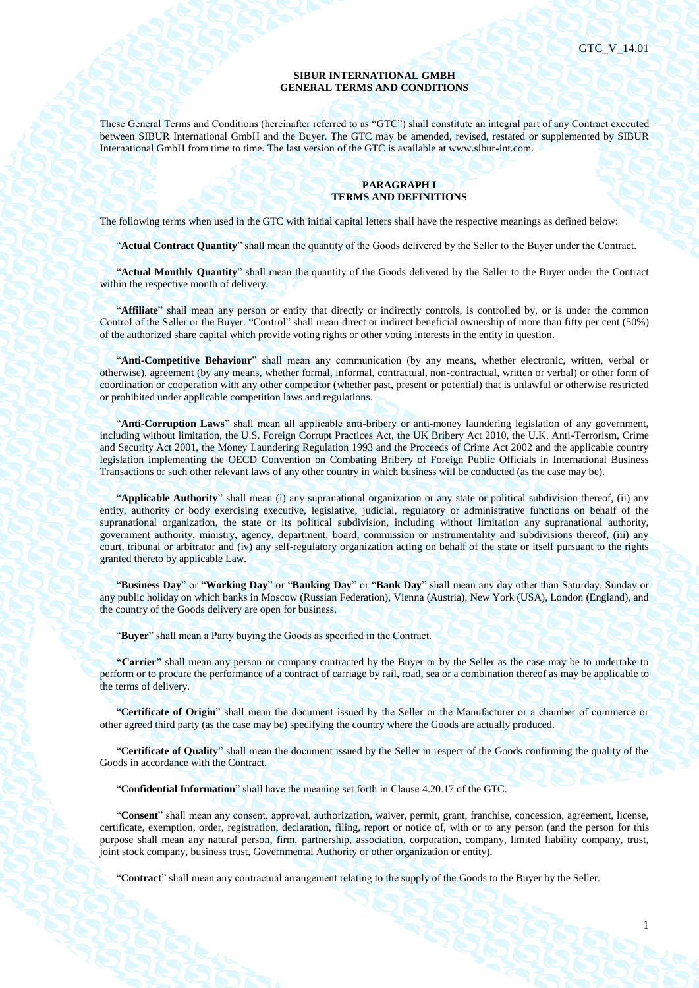1

#### **SIBUR INTERNATIONAL GMBH GENERAL TERMS AND CONDITIONS**

These General Terms and Conditions (hereinafter referred to as "GTC") shall constitute an integral part of any Contract executed between SIBUR International GmbH and the Buyer. The GTC may be amended, revised, restated or supplemented by SIBUR International GmbH from time to time. The last version of the GTC is available at www.sibur-int.com.

## **PARAGRAPH I TERMS AND DEFINITIONS**

The following terms when used in the GTC with initial capital letters shall have the respective meanings as defined below:

"**Actual Contract Quantity**" shall mean the quantity of the Goods delivered by the Seller to the Buyer under the Contract.

"**Actual Monthly Quantity**" shall mean the quantity of the Goods delivered by the Seller to the Buyer under the Contract within the respective month of delivery.

"**Affiliate**" shall mean any person or entity that directly or indirectly controls, is controlled by, or is under the common Control of the Seller or the Buyer. "Control" shall mean direct or indirect beneficial ownership of more than fifty per cent (50%) of the authorized share capital which provide voting rights or other voting interests in the entity in question.

"**Anti-Competitive Behaviour**" shall mean any communication (by any means, whether electronic, written, verbal or otherwise), agreement (by any means, whether formal, informal, contractual, non-contractual, written or verbal) or other form of coordination or cooperation with any other competitor (whether past, present or potential) that is unlawful or otherwise restricted or prohibited under applicable competition laws and regulations.

"**Anti-Corruption Laws**" shall mean all applicable anti-bribery or anti-money laundering legislation of any government, including without limitation, the U.S. Foreign Corrupt Practices Act, the UK Bribery Act 2010, the U.K. Anti-Terrorism, Crime and Security Act 2001, the Money Laundering Regulation 1993 and the Proceeds of Crime Act 2002 and the applicable country legislation implementing the OECD Convention on Combating Bribery of Foreign Public Officials in International Business Transactions or such other relevant laws of any other country in which business will be conducted (as the case may be).

"**Applicable Authority**" shall mean (i) any supranational organization or any state or political subdivision thereof, (ii) any entity, authority or body exercising executive, legislative, judicial, regulatory or administrative functions on behalf of the supranational organization, the state or its political subdivision, including without limitation any supranational authority, government authority, ministry, agency, department, board, commission or instrumentality and subdivisions thereof, (iii) any court, tribunal or arbitrator and (iv) any self-regulatory organization acting on behalf of the state or itself pursuant to the rights granted thereto by applicable Law.

"**Business Day**" or "**Working Day**" or "**Banking Day**" or "**Bank Day**" shall mean any day other than Saturday, Sunday or any public holiday on which banks in Moscow (Russian Federation), Vienna (Austria), New York (USA), London (England), and the country of the Goods delivery are open for business.

"**Buyer**" shall mean a Party buying the Goods as specified in the Contract.

**"Carrier"** shall mean any person or company contracted by the Buyer or by the Seller as the case may be to undertake to perform or to procure the performance of a contract of carriage by rail, road, sea or a combination thereof as may be applicable to the terms of delivery.

"**Certificate of Origin**" shall mean the document issued by the Seller or the Manufacturer or a chamber of commerce or other agreed third party (as the case may be) specifying the country where the Goods are actually produced.

"**Certificate of Quality**" shall mean the document issued by the Seller in respect of the Goods confirming the quality of the Goods in accordance with the Contract.

"**Confidential Information**" shall have the meaning set forth in Clause 4.20.17 of the GTC.

"**Consent**" shall mean any consent, approval, authorization, waiver, permit, grant, franchise, concession, agreement, license, certificate, exemption, order, registration, declaration, filing, report or notice of, with or to any person (and the person for this purpose shall mean any natural person, firm, partnership, association, corporation, company, limited liability company, trust, joint stock company, business trust, Governmental Authority or other organization or entity).

"**Contract**" shall mean any contractual arrangement relating to the supply of the Goods to the Buyer by the Seller.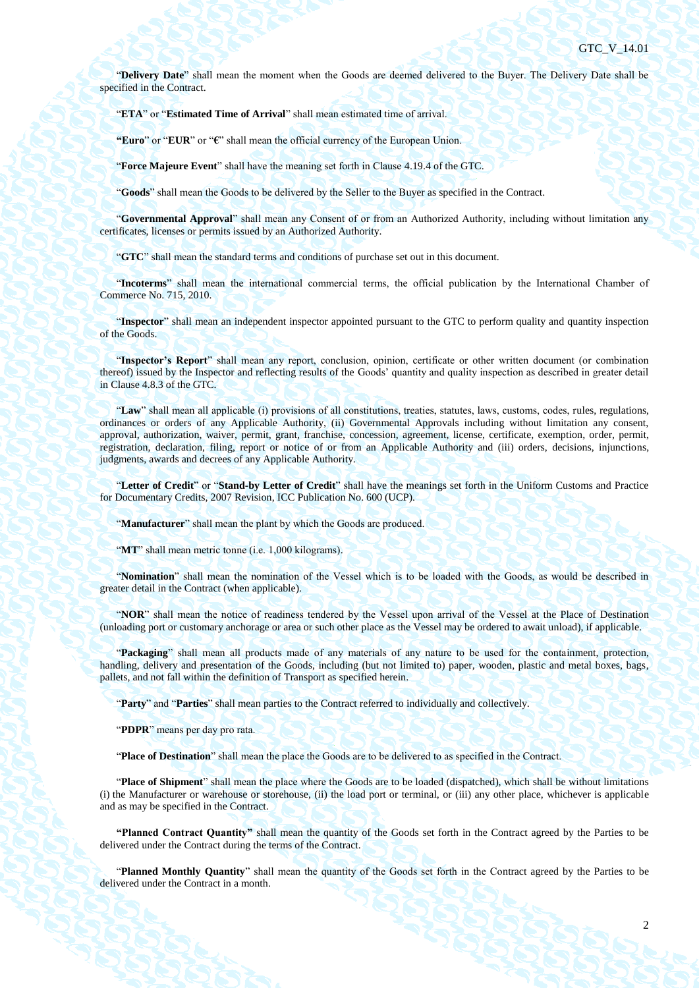"**Delivery Date**" shall mean the moment when the Goods are deemed delivered to the Buyer. The Delivery Date shall be specified in the Contract.

"**ETA**" or "**Estimated Time of Arrival**" shall mean estimated time of arrival.

**"Euro**" or "**EUR**" or "**€**" shall mean the official currency of the European Union.

"**Force Majeure Event**" shall have the meaning set forth in Claus[e 4.19.4](#page-40-0) of the GTC.

"**Goods**" shall mean the Goods to be delivered by the Seller to the Buyer as specified in the Contract.

"**Governmental Approval**" shall mean any Consent of or from an Authorized Authority, including without limitation any certificates, licenses or permits issued by an Authorized Authority.

"**GTC**" shall mean the standard terms and conditions of purchase set out in this document.

"**Incoterms**" shall mean the international commercial terms, the official publication by the International Chamber of Commerce No. 715, 2010.

"**Inspector**" shall mean an independent inspector appointed pursuant to the GTC to perform quality and quantity inspection of the Goods.

"**Inspector's Report**" shall mean any report, conclusion, opinion, certificate or other written document (or combination thereof) issued by the Inspector and reflecting results of the Goods' quantity and quality inspection as described in greater detail in Clause [4.8.3](#page-31-0) of the GTC.

"**Law**" shall mean all applicable (i) provisions of all constitutions, treaties, statutes, laws, customs, codes, rules, regulations, ordinances or orders of any Applicable Authority, (ii) Governmental Approvals including without limitation any consent, approval, authorization, waiver, permit, grant, franchise, concession, agreement, license, certificate, exemption, order, permit, registration, declaration, filing, report or notice of or from an Applicable Authority and (iii) orders, decisions, injunctions, judgments, awards and decrees of any Applicable Authority.

"**Letter of Credit**" or "**Stand-by Letter of Credit**" shall have the meanings set forth in the Uniform Customs and Practice for Documentary Credits, 2007 Revision, ICC Publication No. 600 (UCP).

"**Manufacturer**" shall mean the plant by which the Goods are produced.

"**MT**" shall mean metric tonne (i.e. 1,000 kilograms).

"**Nomination**" shall mean the nomination of the Vessel which is to be loaded with the Goods, as would be described in greater detail in the Contract (when applicable).

"**NOR**" shall mean the notice of readiness tendered by the Vessel upon arrival of the Vessel at the Place of Destination (unloading port or customary anchorage or area or such other place as the Vessel may be ordered to await unload), if applicable.

"**Packaging**" shall mean all products made of any materials of any nature to be used for the containment, protection, handling, delivery and presentation of the Goods, including (but not limited to) paper, wooden, plastic and metal boxes, bags, pallets, and not fall within the definition of Transport as specified herein.

"**Party**" and "**Parties**" shall mean parties to the Contract referred to individually and collectively.

"**PDPR**" means per day pro rata.

"**Place of Destination**" shall mean the place the Goods are to be delivered to as specified in the Contract.

"**Place of Shipment**" shall mean the place where the Goods are to be loaded (dispatched), which shall be without limitations (i) the Manufacturer or warehouse or storehouse, (ii) the load port or terminal, or (iii) any other place, whichever is applicable and as may be specified in the Contract.

**"Planned Contract Quantity"** shall mean the quantity of the Goods set forth in the Contract agreed by the Parties to be delivered under the Contract during the terms of the Contract.

"**Planned Monthly Quantity**" shall mean the quantity of the Goods set forth in the Contract agreed by the Parties to be delivered under the Contract in a month.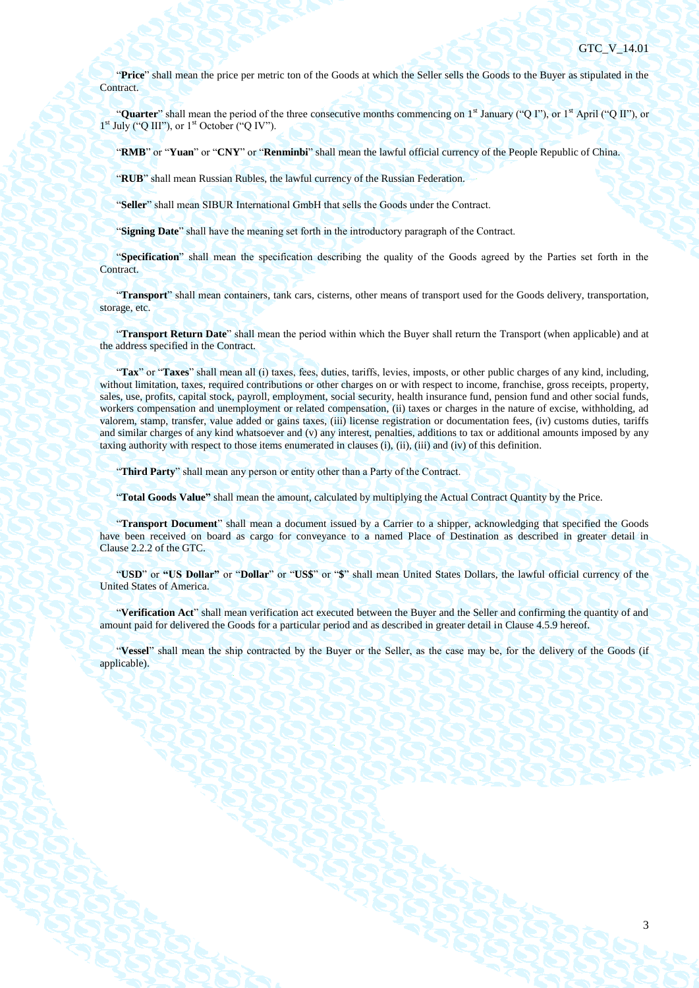"**Price**" shall mean the price per metric ton of the Goods at which the Seller sells the Goods to the Buyer as stipulated in the Contract.

"**Quarter**" shall mean the period of the three consecutive months commencing on 1<sup>st</sup> January ("Q I"), or 1<sup>st</sup> April ("Q II"), or  $1<sup>st</sup>$  July ("Q III"), or  $1<sup>st</sup>$  October ("Q IV").

"**RMB**" or "**Yuan**" or "**CNY**" or "**Renminbi**" shall mean the lawful official currency of the People Republic of China.

"**RUB**" shall mean Russian Rubles, the lawful currency of the Russian Federation.

"**Seller**" shall mean SIBUR International GmbH that sells the Goods under the Contract.

"**Signing Date**" shall have the meaning set forth in the introductory paragraph of the Contract.

"**Specification**" shall mean the specification describing the quality of the Goods agreed by the Parties set forth in the Contract.

"**Transport**" shall mean containers, tank cars, cisterns, other means of transport used for the Goods delivery, transportation, storage, etc.

"**Transport Return Date**" shall mean the period within which the Buyer shall return the Transport (when applicable) and at the address specified in the Contract.

"**Tax**" or "**Taxes**" shall mean all (i) taxes, fees, duties, tariffs, levies, imposts, or other public charges of any kind, including, without limitation, taxes, required contributions or other charges on or with respect to income, franchise, gross receipts, property, sales, use, profits, capital stock, payroll, employment, social security, health insurance fund, pension fund and other social funds, workers compensation and unemployment or related compensation, (ii) taxes or charges in the nature of excise, withholding, ad valorem, stamp, transfer, value added or gains taxes, (iii) license registration or documentation fees, (iv) customs duties, tariffs and similar charges of any kind whatsoever and (v) any interest, penalties, additions to tax or additional amounts imposed by any taxing authority with respect to those items enumerated in clauses (i), (ii), (iii) and (iv) of this definition.

"**Third Party**" shall mean any person or entity other than a Party of the Contract.

"**Total Goods Value"** shall mean the amount, calculated by multiplying the Actual Contract Quantity by the Price.

"**Transport Document**" shall mean a document issued by a Carrier to a shipper, acknowledging that specified the Goods have been received on board as cargo for conveyance to a named Place of Destination as described in greater detail in Clause 2.2.2 of the GTC.

"**USD**" or **"US Dollar"** or "**Dollar**" or "**US\$**" or "**\$**" shall mean United States Dollars, the lawful official currency of the United States of America.

"**Verification Act**" shall mean verification act executed between the Buyer and the Seller and confirming the quantity of and amount paid for delivered the Goods for a particular period and as described in greater detail in Clause [4.5.9](#page-27-0) hereof.

"**Vessel**" shall mean the ship contracted by the Buyer or the Seller, as the case may be, for the delivery of the Goods (if applicable).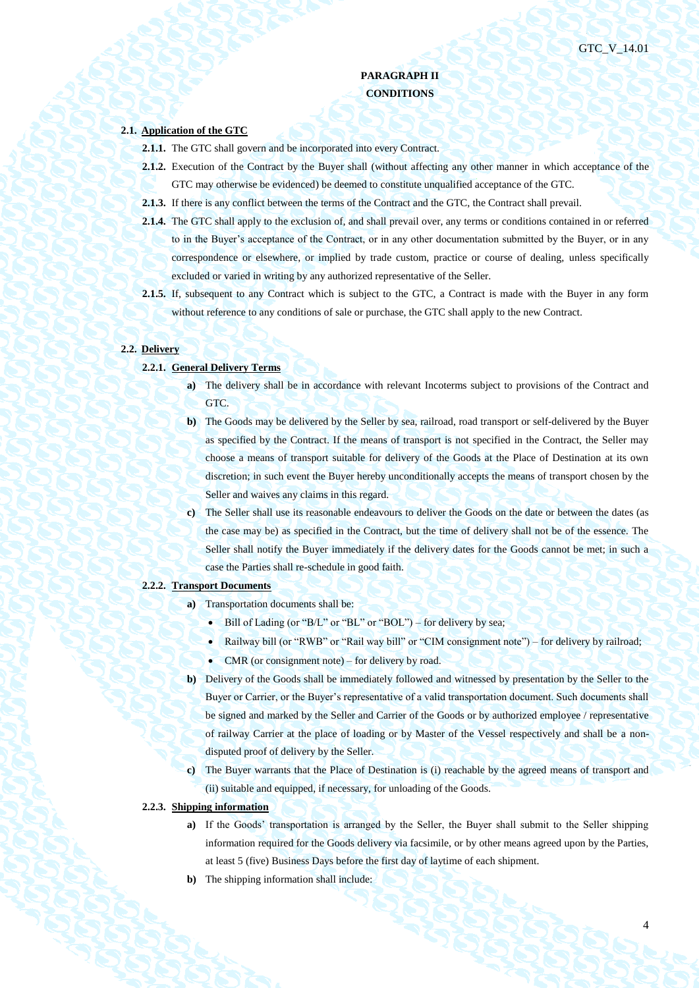4

# **PARAGRAPH II CONDITIONS**

# **2.1. Application of the GTC**

- **2.1.1.** The GTC shall govern and be incorporated into every Contract.
- **2.1.2.** Execution of the Contract by the Buyer shall (without affecting any other manner in which acceptance of the GTC may otherwise be evidenced) be deemed to constitute unqualified acceptance of the GTC.
- **2.1.3.** If there is any conflict between the terms of the Contract and the GTC, the Contract shall prevail.
- **2.1.4.** The GTC shall apply to the exclusion of, and shall prevail over, any terms or conditions contained in or referred to in the Buyer's acceptance of the Contract, or in any other documentation submitted by the Buyer, or in any correspondence or elsewhere, or implied by trade custom, practice or course of dealing, unless specifically excluded or varied in writing by any authorized representative of the Seller.
- **2.1.5.** If, subsequent to any Contract which is subject to the GTC, a Contract is made with the Buyer in any form without reference to any conditions of sale or purchase, the GTC shall apply to the new Contract.

#### **2.2. Delivery**

- **2.2.1. General Delivery Terms**
	- **a**) The delivery shall be in accordance with relevant Incoterms subject to provisions of the Contract and GTC.
	- **b)** The Goods may be delivered by the Seller by sea, railroad, road transport or self-delivered by the Buyer as specified by the Contract. If the means of transport is not specified in the Contract, the Seller may choose a means of transport suitable for delivery of the Goods at the Place of Destination at its own discretion; in such event the Buyer hereby unconditionally accepts the means of transport chosen by the Seller and waives any claims in this regard.
	- **c)** The Seller shall use its reasonable endeavours to deliver the Goods on the date or between the dates (as the case may be) as specified in the Contract, but the time of delivery shall not be of the essence. The Seller shall notify the Buyer immediately if the delivery dates for the Goods cannot be met; in such a case the Parties shall re-schedule in good faith.

#### **2.2.2. Transport Documents**

- **a)** Transportation documents shall be:
	- $\bullet$  Bill of Lading (or "B/L" or "BL" or "BOL") for delivery by sea;
	- Railway bill (or "RWB" or "Rail way bill" or "CIM consignment note") for delivery by railroad;
	- CMR (or consignment note) for delivery by road.
- **b)** Delivery of the Goods shall be immediately followed and witnessed by presentation by the Seller to the Buyer or Carrier, or the Buyer's representative of a valid transportation document. Such documents shall be signed and marked by the Seller and Carrier of the Goods or by authorized employee / representative of railway Carrier at the place of loading or by Master of the Vessel respectively and shall be a nondisputed proof of delivery by the Seller.
- **c)** The Buyer warrants that the Place of Destination is (i) reachable by the agreed means of transport and (ii) suitable and equipped, if necessary, for unloading of the Goods.
- **2.2.3. Shipping information**
	- **a**) If the Goods' transportation is arranged by the Seller, the Buyer shall submit to the Seller shipping information required for the Goods delivery via facsimile, or by other means agreed upon by the Parties, at least 5 (five) Business Days before the first day of laytime of each shipment.
	- **b)** The shipping information shall include: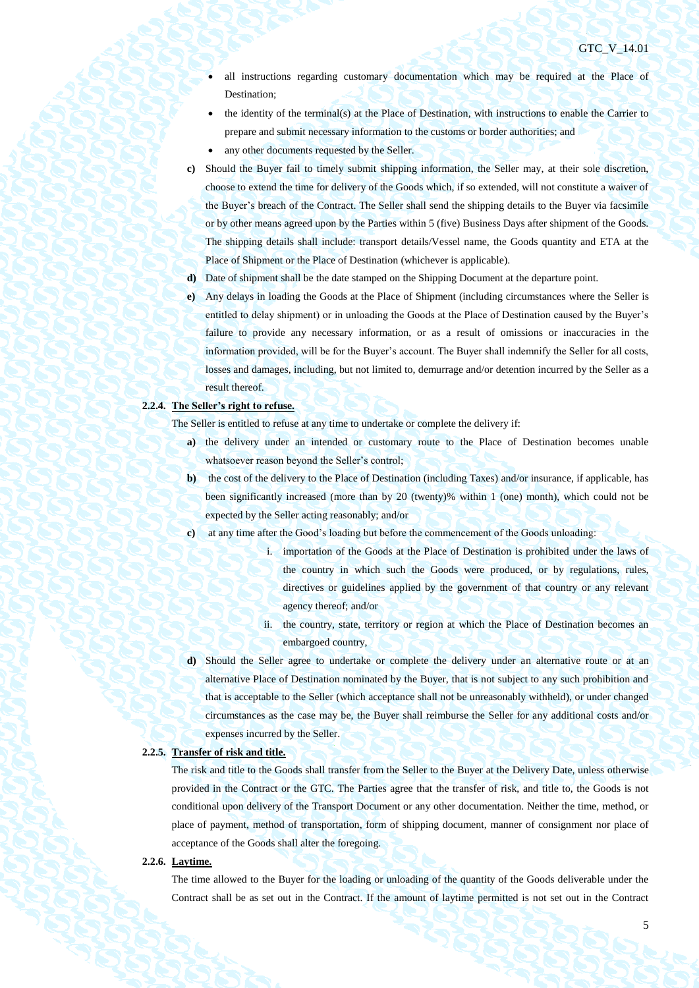- all instructions regarding customary documentation which may be required at the Place of Destination;
- the identity of the terminal(s) at the Place of Destination, with instructions to enable the Carrier to prepare and submit necessary information to the customs or border authorities; and
- any other documents requested by the Seller.
- **c)** Should the Buyer fail to timely submit shipping information, the Seller may, at their sole discretion, choose to extend the time for delivery of the Goods which, if so extended, will not constitute a waiver of the Buyer's breach of the Contract. The Seller shall send the shipping details to the Buyer via facsimile or by other means agreed upon by the Parties within 5 (five) Business Days after shipment of the Goods. The shipping details shall include: transport details/Vessel name, the Goods quantity and ETA at the Place of Shipment or the Place of Destination (whichever is applicable).
- **d)** Date of shipment shall be the date stamped on the Shipping Document at the departure point.
- **e)** Any delays in loading the Goods at the Place of Shipment (including circumstances where the Seller is entitled to delay shipment) or in unloading the Goods at the Place of Destination caused by the Buyer's failure to provide any necessary information, or as a result of omissions or inaccuracies in the information provided, will be for the Buyer's account. The Buyer shall indemnify the Seller for all costs, losses and damages, including, but not limited to, demurrage and/or detention incurred by the Seller as a result thereof.

# **2.2.4. The Seller's right to refuse.**

The Seller is entitled to refuse at any time to undertake or complete the delivery if:

- **a)** the delivery under an intended or customary route to the Place of Destination becomes unable whatsoever reason beyond the Seller's control;
- **b)** the cost of the delivery to the Place of Destination (including Taxes) and/or insurance, if applicable, has been significantly increased (more than by 20 (twenty)% within 1 (one) month), which could not be expected by the Seller acting reasonably; and/or
- **c)** at any time after the Good's loading but before the commencement of the Goods unloading:
	- i. importation of the Goods at the Place of Destination is prohibited under the laws of the country in which such the Goods were produced, or by regulations, rules, directives or guidelines applied by the government of that country or any relevant agency thereof; and/or
	- ii. the country, state, territory or region at which the Place of Destination becomes an embargoed country,
- **d)** Should the Seller agree to undertake or complete the delivery under an alternative route or at an alternative Place of Destination nominated by the Buyer, that is not subject to any such prohibition and that is acceptable to the Seller (which acceptance shall not be unreasonably withheld), or under changed circumstances as the case may be, the Buyer shall reimburse the Seller for any additional costs and/or expenses incurred by the Seller.

### **2.2.5. Transfer of risk and title.**

The risk and title to the Goods shall transfer from the Seller to the Buyer at the Delivery Date, unless otherwise provided in the Contract or the GTC. The Parties agree that the transfer of risk, and title to, the Goods is not conditional upon delivery of the Transport Document or any other documentation. Neither the time, method, or place of payment, method of transportation, form of shipping document, manner of consignment nor place of acceptance of the Goods shall alter the foregoing.

#### **2.2.6. Laytime.**

The time allowed to the Buyer for the loading or unloading of the quantity of the Goods deliverable under the Contract shall be as set out in the Contract. If the amount of laytime permitted is not set out in the Contract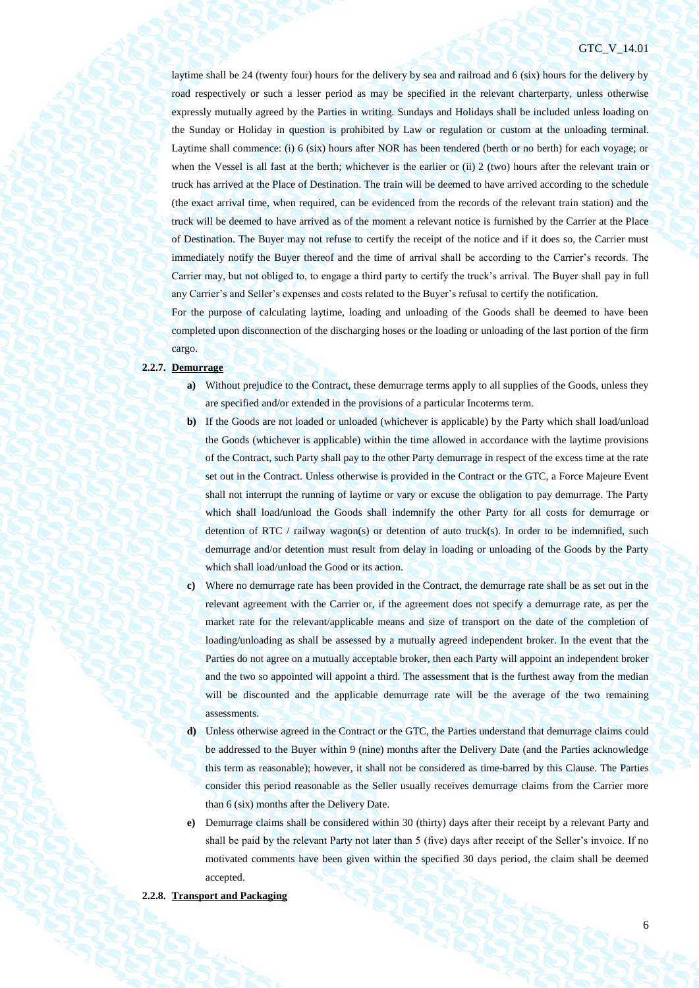laytime shall be 24 (twenty four) hours for the delivery by sea and railroad and 6 (six) hours for the delivery by road respectively or such a lesser period as may be specified in the relevant charterparty, unless otherwise expressly mutually agreed by the Parties in writing. Sundays and Holidays shall be included unless loading on the Sunday or Holiday in question is prohibited by Law or regulation or custom at the unloading terminal. Laytime shall commence: (i) 6 (six) hours after NOR has been tendered (berth or no berth) for each voyage; or when the Vessel is all fast at the berth; whichever is the earlier or (ii) 2 (two) hours after the relevant train or truck has arrived at the Place of Destination. The train will be deemed to have arrived according to the schedule (the exact arrival time, when required, can be evidenced from the records of the relevant train station) and the truck will be deemed to have arrived as of the moment a relevant notice is furnished by the Carrier at the Place of Destination. The Buyer may not refuse to certify the receipt of the notice and if it does so, the Carrier must immediately notify the Buyer thereof and the time of arrival shall be according to the Carrier's records. The Carrier may, but not obliged to, to engage a third party to certify the truck's arrival. The Buyer shall pay in full any Carrier's and Seller's expenses and costs related to the Buyer's refusal to certify the notification.

For the purpose of calculating laytime, loading and unloading of the Goods shall be deemed to have been completed upon disconnection of the discharging hoses or the loading or unloading of the last portion of the firm cargo.

#### **2.2.7. Demurrage**

- **a)** Without prejudice to the Contract, these demurrage terms apply to all supplies of the Goods, unless they are specified and/or extended in the provisions of a particular Incoterms term.
- **b**) If the Goods are not loaded or unloaded (whichever is applicable) by the Party which shall load/unload the Goods (whichever is applicable) within the time allowed in accordance with the laytime provisions of the Contract, such Party shall pay to the other Party demurrage in respect of the excess time at the rate set out in the Contract. Unless otherwise is provided in the Contract or the GTC, a Force Majeure Event shall not interrupt the running of laytime or vary or excuse the obligation to pay demurrage. The Party which shall load/unload the Goods shall indemnify the other Party for all costs for demurrage or detention of RTC / railway wagon(s) or detention of auto truck(s). In order to be indemnified, such demurrage and/or detention must result from delay in loading or unloading of the Goods by the Party which shall load/unload the Good or its action.
- **c)** Where no demurrage rate has been provided in the Contract, the demurrage rate shall be as set out in the relevant agreement with the Carrier or, if the agreement does not specify a demurrage rate, as per the market rate for the relevant/applicable means and size of transport on the date of the completion of loading/unloading as shall be assessed by a mutually agreed independent broker. In the event that the Parties do not agree on a mutually acceptable broker, then each Party will appoint an independent broker and the two so appointed will appoint a third. The assessment that is the furthest away from the median will be discounted and the applicable demurrage rate will be the average of the two remaining assessments.
- **d)** Unless otherwise agreed in the Contract or the GTC, the Parties understand that demurrage claims could be addressed to the Buyer within 9 (nine) months after the Delivery Date (and the Parties acknowledge this term as reasonable); however, it shall not be considered as time-barred by this Clause. The Parties consider this period reasonable as the Seller usually receives demurrage claims from the Carrier more than 6 (six) months after the Delivery Date.
- **e)** Demurrage claims shall be considered within 30 (thirty) days after their receipt by a relevant Party and shall be paid by the relevant Party not later than 5 (five) days after receipt of the Seller's invoice. If no motivated comments have been given within the specified 30 days period, the claim shall be deemed accepted.

# **2.2.8. Transport and Packaging**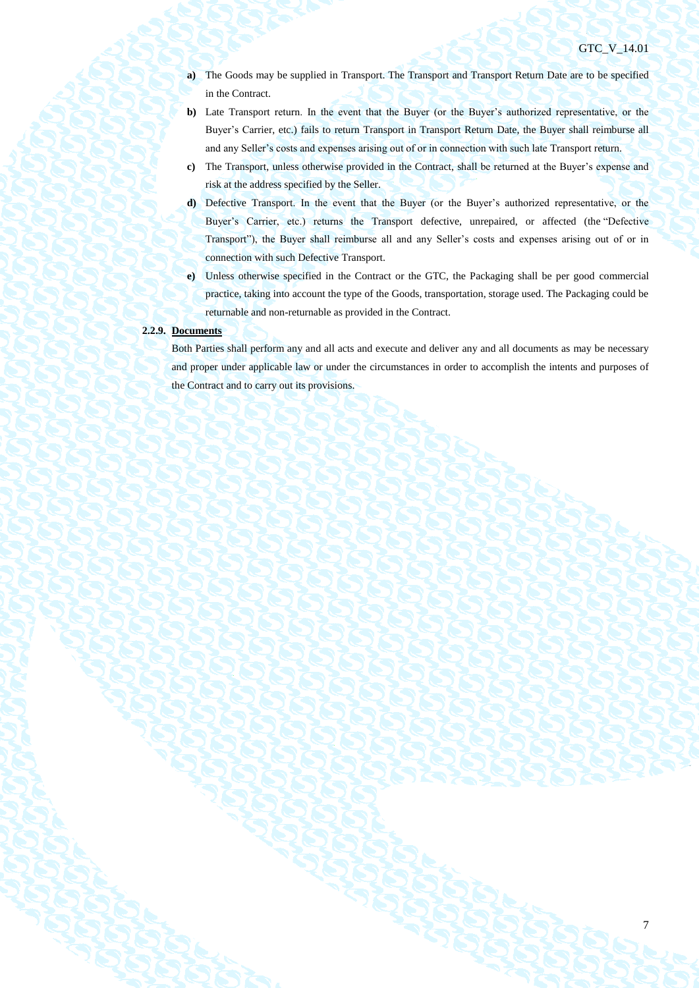- **a)** The Goods may be supplied in Transport. The Transport and Transport Return Date are to be specified in the Contract.
- **b)** Late Transport return. In the event that the Buyer (or the Buyer's authorized representative, or the Buyer's Carrier, etc.) fails to return Transport in Transport Return Date, the Buyer shall reimburse all and any Seller's costs and expenses arising out of or in connection with such late Transport return.
- **c)** The Transport, unless otherwise provided in the Contract, shall be returned at the Buyer's expense and risk at the address specified by the Seller.
- **d)** Defective Transport. In the event that the Buyer (or the Buyer's authorized representative, or the Buyer's Carrier, etc.) returns the Transport defective, unrepaired, or affected (the "Defective Transport"), the Buyer shall reimburse all and any Seller's costs and expenses arising out of or in connection with such Defective Transport.
- **e)** Unless otherwise specified in the Contract or the GTC, the Packaging shall be per good commercial practice, taking into account the type of the Goods, transportation, storage used. The Packaging could be returnable and non-returnable as provided in the Contract.

# **2.2.9. Documents**

Both Parties shall perform any and all acts and execute and deliver any and all documents as may be necessary and proper under applicable law or under the circumstances in order to accomplish the intents and purposes of the Contract and to carry out its provisions.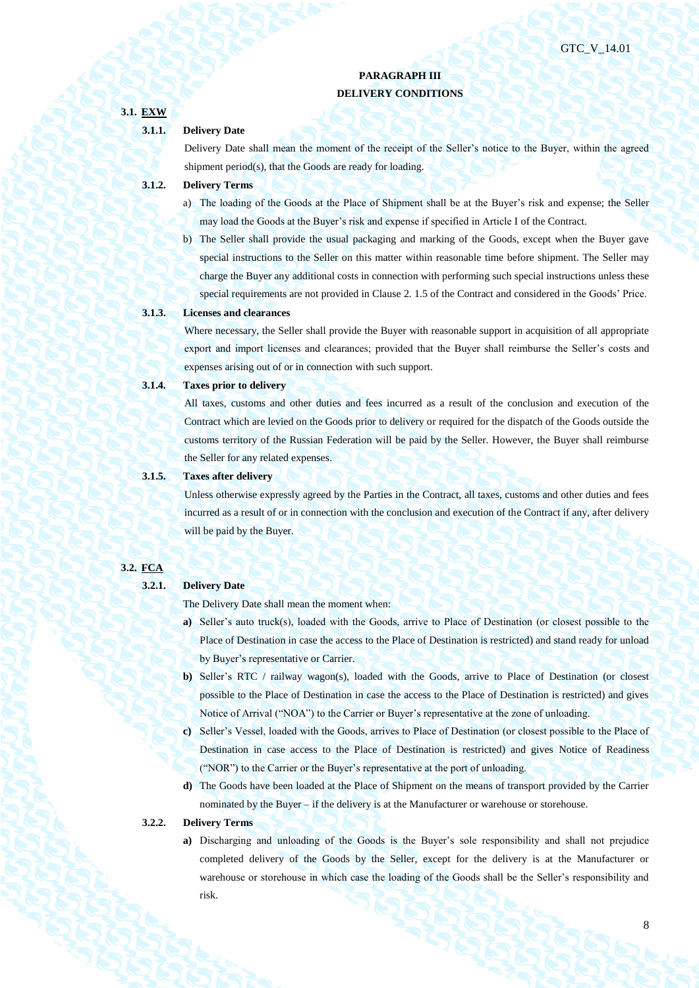# **PARAGRAPH III DELIVERY CONDITIONS**

# **3.1. EXW**

# **3.1.1. Delivery Date**

Delivery Date shall mean the moment of the receipt of the Seller's notice to the Buyer, within the agreed shipment period(s), that the Goods are ready for loading.

# **3.1.2. Delivery Terms**

- a) The loading of the Goods at the Place of Shipment shall be at the Buyer's risk and expense; the Seller may load the Goods at the Buyer's risk and expense if specified in Article I of the Contract.
- b) The Seller shall provide the usual packaging and marking of the Goods, except when the Buyer gave special instructions to the Seller on this matter within reasonable time before shipment. The Seller may charge the Buyer any additional costs in connection with performing such special instructions unless these special requirements are not provided in Clause 2. 1.5 of the Contract and considered in the Goods' Price.

## **3.1.3. Licenses and clearances**

Where necessary, the Seller shall provide the Buyer with reasonable support in acquisition of all appropriate export and import licenses and clearances; provided that the Buyer shall reimburse the Seller's costs and expenses arising out of or in connection with such support.

#### **3.1.4. Taxes prior to delivery**

All taxes, customs and other duties and fees incurred as a result of the conclusion and execution of the Contract which are levied on the Goods prior to delivery or required for the dispatch of the Goods outside the customs territory of the Russian Federation will be paid by the Seller. However, the Buyer shall reimburse the Seller for any related expenses.

#### **3.1.5. Taxes after delivery**

Unless otherwise expressly agreed by the Parties in the Contract, all taxes, customs and other duties and fees incurred as a result of or in connection with the conclusion and execution of the Contract if any, after delivery will be paid by the Buyer.

# **3.2. FCA**

#### **3.2.1. Delivery Date**

The Delivery Date shall mean the moment when:

- **a)** Seller's auto truck(s), loaded with the Goods, arrive to Place of Destination (or closest possible to the Place of Destination in case the access to the Place of Destination is restricted) and stand ready for unload by Buyer's representative or Carrier.
- **b)** Seller's RTC / railway wagon(s), loaded with the Goods, arrive to Place of Destination (or closest possible to the Place of Destination in case the access to the Place of Destination is restricted) and gives Notice of Arrival ("NOA") to the Carrier or Buyer's representative at the zone of unloading.
- **c)** Seller's Vessel, loaded with the Goods, arrives to Place of Destination (or closest possible to the Place of Destination in case access to the Place of Destination is restricted) and gives Notice of Readiness ("NOR") to the Carrier or the Buyer's representative at the port of unloading.
- **d)** The Goods have been loaded at the Place of Shipment on the means of transport provided by the Carrier nominated by the Buyer – if the delivery is at the Manufacturer or warehouse or storehouse.

#### **3.2.2. Delivery Terms**

**a)** Discharging and unloading of the Goods is the Buyer's sole responsibility and shall not prejudice completed delivery of the Goods by the Seller, except for the delivery is at the Manufacturer or warehouse or storehouse in which case the loading of the Goods shall be the Seller's responsibility and risk.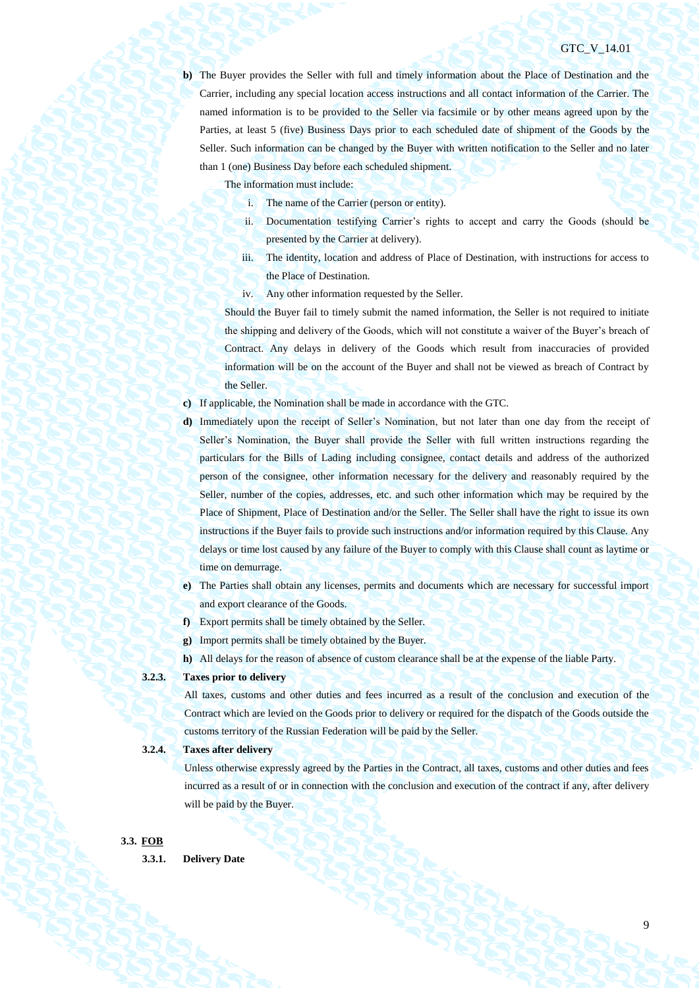**b)** The Buyer provides the Seller with full and timely information about the Place of Destination and the Carrier, including any special location access instructions and all contact information of the Carrier. The named information is to be provided to the Seller via facsimile or by other means agreed upon by the Parties, at least 5 (five) Business Days prior to each scheduled date of shipment of the Goods by the Seller. Such information can be changed by the Buyer with written notification to the Seller and no later than 1 (one) Business Day before each scheduled shipment.

The information must include:

- i. The name of the Carrier (person or entity).
- ii. Documentation testifying Carrier's rights to accept and carry the Goods (should be presented by the Carrier at delivery).
- iii. The identity, location and address of Place of Destination, with instructions for access to the Place of Destination.
- iv. Any other information requested by the Seller.

Should the Buyer fail to timely submit the named information, the Seller is not required to initiate the shipping and delivery of the Goods, which will not constitute a waiver of the Buyer's breach of Contract. Any delays in delivery of the Goods which result from inaccuracies of provided information will be on the account of the Buyer and shall not be viewed as breach of Contract by the Seller.

- **c)** If applicable, the Nomination shall be made in accordance with the GTC.
- **d)** Immediately upon the receipt of Seller's Nomination, but not later than one day from the receipt of Seller's Nomination, the Buyer shall provide the Seller with full written instructions regarding the particulars for the Bills of Lading including consignee, contact details and address of the authorized person of the consignee, other information necessary for the delivery and reasonably required by the Seller, number of the copies, addresses, etc. and such other information which may be required by the Place of Shipment, Place of Destination and/or the Seller. The Seller shall have the right to issue its own instructions if the Buyer fails to provide such instructions and/or information required by this Clause. Any delays or time lost caused by any failure of the Buyer to comply with this Clause shall count as laytime or time on demurrage.
- **e)** The Parties shall obtain any licenses, permits and documents which are necessary for successful import and export clearance of the Goods.
- **f)** Export permits shall be timely obtained by the Seller.
- **g)** Import permits shall be timely obtained by the Buyer.
- **h)** All delays for the reason of absence of custom clearance shall be at the expense of the liable Party.

# **3.2.3. Taxes prior to delivery**

All taxes, customs and other duties and fees incurred as a result of the conclusion and execution of the Contract which are levied on the Goods prior to delivery or required for the dispatch of the Goods outside the customs territory of the Russian Federation will be paid by the Seller.

# **3.2.4. Taxes after delivery**

Unless otherwise expressly agreed by the Parties in the Contract, all taxes, customs and other duties and fees incurred as a result of or in connection with the conclusion and execution of the contract if any, after delivery will be paid by the Buyer.

#### **3.3. FOB**

**3.3.1. Delivery Date**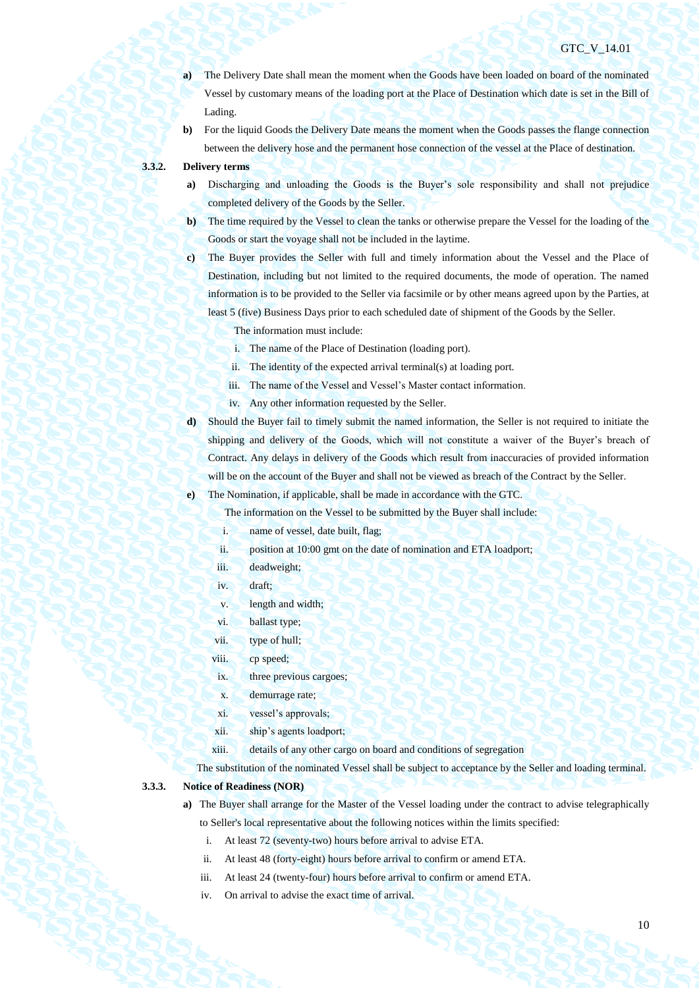# GTC V 14.01

- **a)** The Delivery Date shall mean the moment when the Goods have been loaded on board of the nominated Vessel by customary means of the loading port at the Place of Destination which date is set in the Bill of Lading.
- **b)** For the liquid Goods the Delivery Date means the moment when the Goods passes the flange connection between the delivery hose and the permanent hose connection of the vessel at the Place of destination.

#### **3.3.2. Delivery terms**

- **a)** Discharging and unloading the Goods is the Buyer's sole responsibility and shall not prejudice completed delivery of the Goods by the Seller.
- **b)** The time required by the Vessel to clean the tanks or otherwise prepare the Vessel for the loading of the Goods or start the voyage shall not be included in the laytime.
- **c)** The Buyer provides the Seller with full and timely information about the Vessel and the Place of Destination, including but not limited to the required documents, the mode of operation. The named information is to be provided to the Seller via facsimile or by other means agreed upon by the Parties, at least 5 (five) Business Days prior to each scheduled date of shipment of the Goods by the Seller.

The information must include:

- i. The name of the Place of Destination (loading port).
- ii. The identity of the expected arrival terminal(s) at loading port.
- iii. The name of the Vessel and Vessel's Master contact information.
- iv. Any other information requested by the Seller.
- **d)** Should the Buyer fail to timely submit the named information, the Seller is not required to initiate the shipping and delivery of the Goods, which will not constitute a waiver of the Buyer's breach of Contract. Any delays in delivery of the Goods which result from inaccuracies of provided information will be on the account of the Buyer and shall not be viewed as breach of the Contract by the Seller.

**e)** The Nomination, if applicable, shall be made in accordance with the GTC.

The information on the Vessel to be submitted by the Buyer shall include:

- i. name of vessel, date built, flag;
- ii. position at 10:00 gmt on the date of nomination and ETA loadport;
- iii. deadweight;
- iv. draft;
- v. length and width;
- vi. ballast type;
- vii. type of hull;
- viii. cp speed;
- ix. three previous cargoes;
- x. demurrage rate;
- xi. vessel's approvals;
- xii. ship's agents loadport;
- xiii. details of any other cargo on board and conditions of segregation

The substitution of the nominated Vessel shall be subject to acceptance by the Seller and loading terminal.

#### **3.3.3. Notice of Readiness (NOR)**

- **a)** The Buyer shall arrange for the Master of the Vessel loading under the contract to advise telegraphically
	- to Seller's local representative about the following notices within the limits specified:
	- i. At least 72 (seventy-two) hours before arrival to advise ETA.
	- ii. At least 48 (forty-eight) hours before arrival to confirm or amend ETA.
	- iii. At least 24 (twenty-four) hours before arrival to confirm or amend ETA.
	- iv. On arrival to advise the exact time of arrival.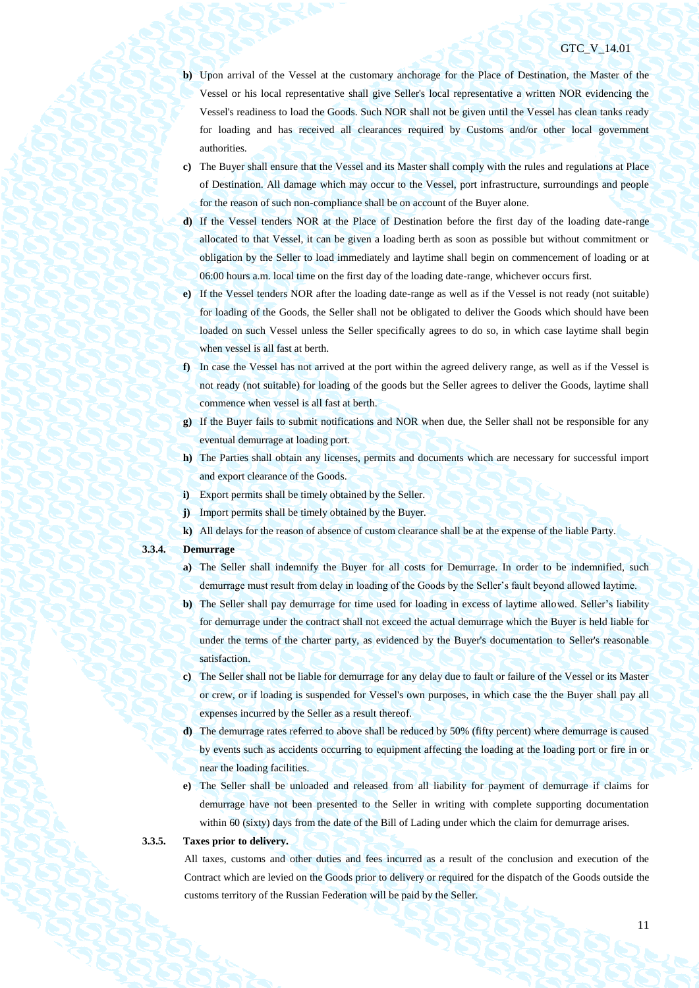- **b)** Upon arrival of the Vessel at the customary anchorage for the Place of Destination, the Master of the Vessel or his local representative shall give Seller's local representative a written NOR evidencing the Vessel's readiness to load the Goods. Such NOR shall not be given until the Vessel has clean tanks ready for loading and has received all clearances required by Customs and/or other local government authorities.
- **c)** The Buyer shall ensure that the Vessel and its Master shall comply with the rules and regulations at Place of Destination. All damage which may occur to the Vessel, port infrastructure, surroundings and people for the reason of such non-compliance shall be on account of the Buyer alone.
- **d)** If the Vessel tenders NOR at the Place of Destination before the first day of the loading date-range allocated to that Vessel, it can be given a loading berth as soon as possible but without commitment or obligation by the Seller to load immediately and laytime shall begin on commencement of loading or at 06:00 hours a.m. local time on the first day of the loading date-range, whichever occurs first.
- **e)** If the Vessel tenders NOR after the loading date-range as well as if the Vessel is not ready (not suitable) for loading of the Goods, the Seller shall not be obligated to deliver the Goods which should have been loaded on such Vessel unless the Seller specifically agrees to do so, in which case laytime shall begin when vessel is all fast at berth.
- **f)** In case the Vessel has not arrived at the port within the agreed delivery range, as well as if the Vessel is not ready (not suitable) for loading of the goods but the Seller agrees to deliver the Goods, laytime shall commence when vessel is all fast at berth.
- **g)** If the Buyer fails to submit notifications and NOR when due, the Seller shall not be responsible for any eventual demurrage at loading port.
- **h)** The Parties shall obtain any licenses, permits and documents which are necessary for successful import and export clearance of the Goods.
- **i)** Export permits shall be timely obtained by the Seller.
- **j)** Import permits shall be timely obtained by the Buyer.
- **k)** All delays for the reason of absence of custom clearance shall be at the expense of the liable Party.

# **3.3.4. Demurrage**

- **a)** The Seller shall indemnify the Buyer for all costs for Demurrage. In order to be indemnified, such demurrage must result from delay in loading of the Goods by the Seller's fault beyond allowed laytime.
- **b)** The Seller shall pay demurrage for time used for loading in excess of laytime allowed. Seller's liability for demurrage under the contract shall not exceed the actual demurrage which the Buyer is held liable for under the terms of the charter party, as evidenced by the Buyer's documentation to Seller's reasonable satisfaction.
- **c)** The Seller shall not be liable for demurrage for any delay due to fault or failure of the Vessel or its Master or crew, or if loading is suspended for Vessel's own purposes, in which case the the Buyer shall pay all expenses incurred by the Seller as a result thereof.
- **d)** The demurrage rates referred to above shall be reduced by 50% (fifty percent) where demurrage is caused by events such as accidents occurring to equipment affecting the loading at the loading port or fire in or near the loading facilities.
- **e)** The Seller shall be unloaded and released from all liability for payment of demurrage if claims for demurrage have not been presented to the Seller in writing with complete supporting documentation within 60 (sixty) days from the date of the Bill of Lading under which the claim for demurrage arises.

# **3.3.5. Taxes prior to delivery.**

All taxes, customs and other duties and fees incurred as a result of the conclusion and execution of the Contract which are levied on the Goods prior to delivery or required for the dispatch of the Goods outside the customs territory of the Russian Federation will be paid by the Seller.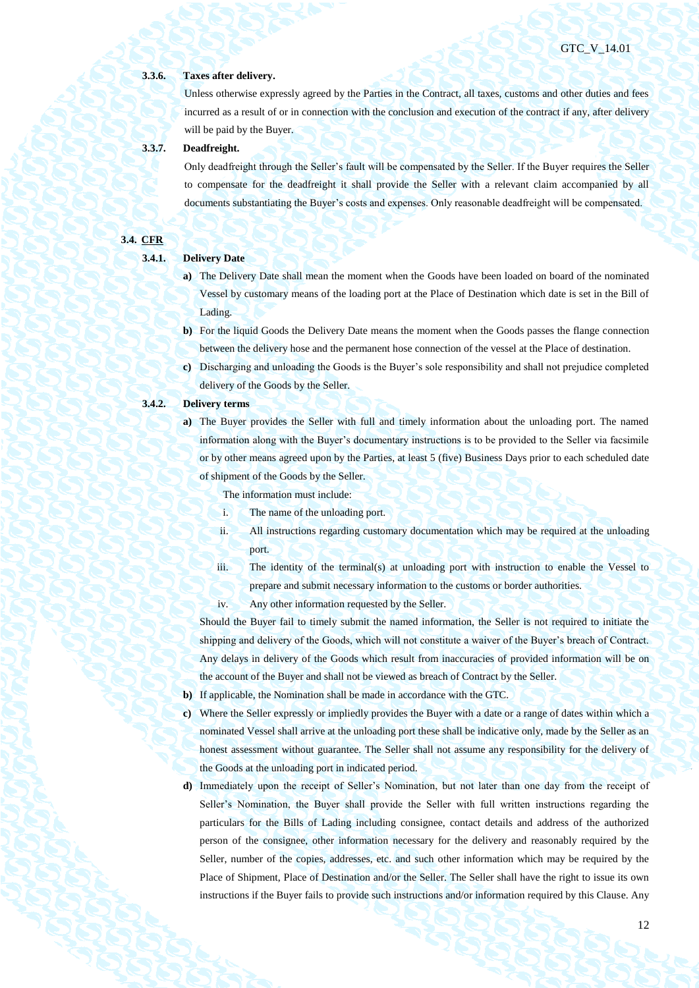#### **3.3.6. Taxes after delivery.**

Unless otherwise expressly agreed by the Parties in the Contract, all taxes, customs and other duties and fees incurred as a result of or in connection with the conclusion and execution of the contract if any, after delivery will be paid by the Buyer.

# **3.3.7. Deadfreight.**

Only deadfreight through the Seller's fault will be compensated by the Seller. If the Buyer requires the Seller to compensate for the deadfreight it shall provide the Seller with a relevant claim accompanied by all documents substantiating the Buyer's costs and expenses. Only reasonable deadfreight will be compensated.

# **3.4. CFR**

# **3.4.1. Delivery Date**

- **a)** The Delivery Date shall mean the moment when the Goods have been loaded on board of the nominated Vessel by customary means of the loading port at the Place of Destination which date is set in the Bill of Lading.
- **b)** For the liquid Goods the Delivery Date means the moment when the Goods passes the flange connection between the delivery hose and the permanent hose connection of the vessel at the Place of destination.
- **c)** Discharging and unloading the Goods is the Buyer's sole responsibility and shall not prejudice completed delivery of the Goods by the Seller.

# **3.4.2. Delivery terms**

**a)** The Buyer provides the Seller with full and timely information about the unloading port. The named information along with the Buyer's documentary instructions is to be provided to the Seller via facsimile or by other means agreed upon by the Parties, at least 5 (five) Business Days prior to each scheduled date of shipment of the Goods by the Seller.

The information must include:

- i. The name of the unloading port.
- ii. All instructions regarding customary documentation which may be required at the unloading port.
- iii. The identity of the terminal(s) at unloading port with instruction to enable the Vessel to prepare and submit necessary information to the customs or border authorities.
- iv. Any other information requested by the Seller.

Should the Buyer fail to timely submit the named information, the Seller is not required to initiate the shipping and delivery of the Goods, which will not constitute a waiver of the Buyer's breach of Contract. Any delays in delivery of the Goods which result from inaccuracies of provided information will be on the account of the Buyer and shall not be viewed as breach of Contract by the Seller.

- **b)** If applicable, the Nomination shall be made in accordance with the GTC.
- **c)** Where the Seller expressly or impliedly provides the Buyer with a date or a range of dates within which a nominated Vessel shall arrive at the unloading port these shall be indicative only, made by the Seller as an honest assessment without guarantee. The Seller shall not assume any responsibility for the delivery of the Goods at the unloading port in indicated period.
- **d)** Immediately upon the receipt of Seller's Nomination, but not later than one day from the receipt of Seller's Nomination, the Buyer shall provide the Seller with full written instructions regarding the particulars for the Bills of Lading including consignee, contact details and address of the authorized person of the consignee, other information necessary for the delivery and reasonably required by the Seller, number of the copies, addresses, etc. and such other information which may be required by the Place of Shipment, Place of Destination and/or the Seller. The Seller shall have the right to issue its own instructions if the Buyer fails to provide such instructions and/or information required by this Clause. Any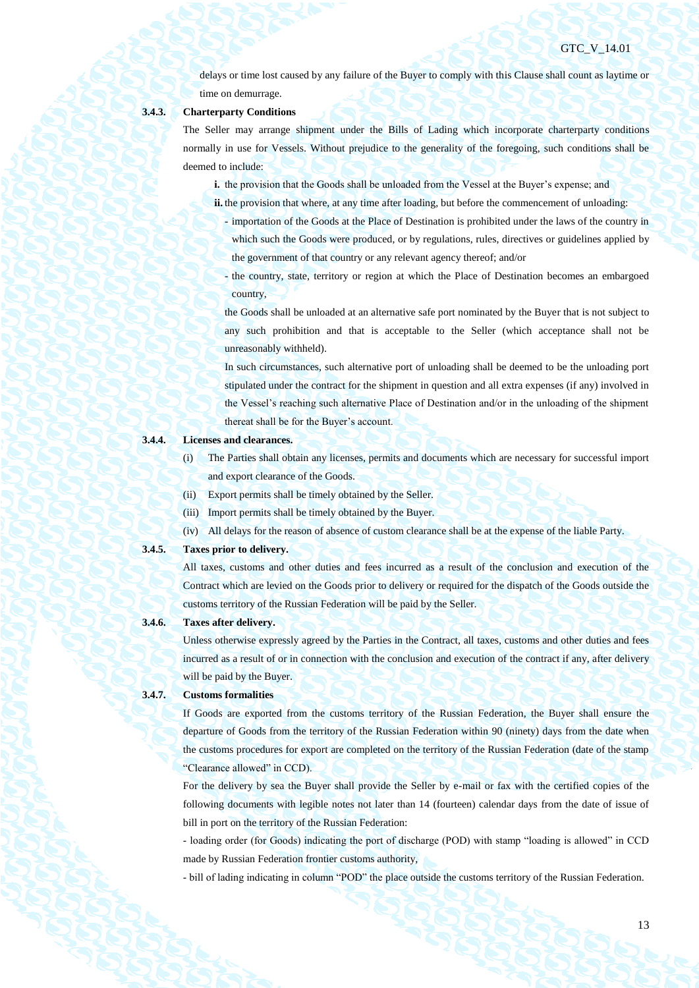delays or time lost caused by any failure of the Buyer to comply with this Clause shall count as laytime or time on demurrage.

# **3.4.3. Charterparty Conditions**

The Seller may arrange shipment under the Bills of Lading which incorporate charterparty conditions normally in use for Vessels. Without prejudice to the generality of the foregoing, such conditions shall be deemed to include:

**i.** the provision that the Goods shall be unloaded from the Vessel at the Buyer's expense; and

- **ii.** the provision that where, at any time after loading, but before the commencement of unloading:
	- importation of the Goods at the Place of Destination is prohibited under the laws of the country in which such the Goods were produced, or by regulations, rules, directives or guidelines applied by the government of that country or any relevant agency thereof; and/or
	- the country, state, territory or region at which the Place of Destination becomes an embargoed country,

the Goods shall be unloaded at an alternative safe port nominated by the Buyer that is not subject to any such prohibition and that is acceptable to the Seller (which acceptance shall not be unreasonably withheld).

In such circumstances, such alternative port of unloading shall be deemed to be the unloading port stipulated under the contract for the shipment in question and all extra expenses (if any) involved in the Vessel's reaching such alternative Place of Destination and/or in the unloading of the shipment thereat shall be for the Buyer's account.

# **3.4.4. Licenses and clearances.**

- (i) The Parties shall obtain any licenses, permits and documents which are necessary for successful import and export clearance of the Goods.
- (ii) Export permits shall be timely obtained by the Seller.
- (iii) Import permits shall be timely obtained by the Buyer.
- (iv) All delays for the reason of absence of custom clearance shall be at the expense of the liable Party.

### **3.4.5. Taxes prior to delivery.**

All taxes, customs and other duties and fees incurred as a result of the conclusion and execution of the Contract which are levied on the Goods prior to delivery or required for the dispatch of the Goods outside the customs territory of the Russian Federation will be paid by the Seller.

# **3.4.6. Taxes after delivery.**

Unless otherwise expressly agreed by the Parties in the Contract, all taxes, customs and other duties and fees incurred as a result of or in connection with the conclusion and execution of the contract if any, after delivery will be paid by the Buyer.

#### **3.4.7. Customs formalities**

If Goods are exported from the customs territory of the Russian Federation, the Buyer shall ensure the departure of Goods from the territory of the Russian Federation within 90 (ninety) days from the date when the customs procedures for export are completed on the territory of the Russian Federation (date of the stamp "Clearance allowed" in CCD).

For the delivery by sea the Buyer shall provide the Seller by e-mail or fax with the certified copies of the following documents with legible notes not later than 14 (fourteen) calendar days from the date of issue of bill in port on the territory of the Russian Federation:

- loading order (for Goods) indicating the port of discharge (POD) with stamp "loading is allowed" in CCD made by Russian Federation frontier customs authority,

- bill of lading indicating in column "POD" the place outside the customs territory of the Russian Federation.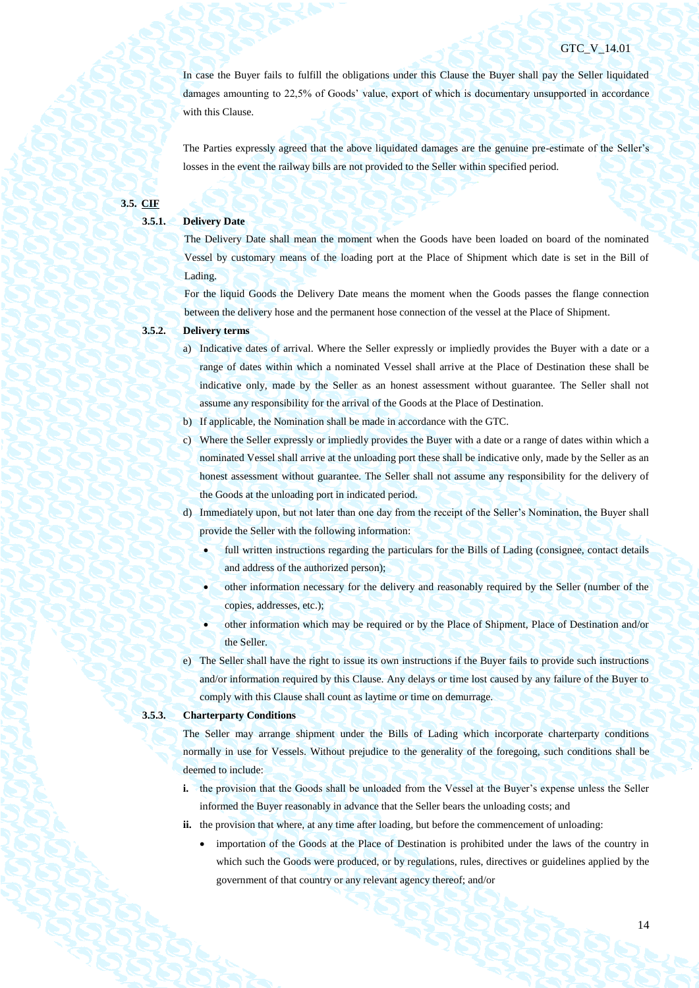In case the Buyer fails to fulfill the obligations under this Clause the Buyer shall pay the Seller liquidated damages amounting to 22,5% of Goods' value, export of which is documentary unsupported in accordance with this Clause.

The Parties expressly agreed that the above liquidated damages are the genuine pre-estimate of the Seller's losses in the event the railway bills are not provided to the Seller within specified period.

# **3.5. CIF**

# **3.5.1. Delivery Date**

The Delivery Date shall mean the moment when the Goods have been loaded on board of the nominated Vessel by customary means of the loading port at the Place of Shipment which date is set in the Bill of Lading.

For the liquid Goods the Delivery Date means the moment when the Goods passes the flange connection between the delivery hose and the permanent hose connection of the vessel at the Place of Shipment.

# **3.5.2. Delivery terms**

- a) Indicative dates of arrival. Where the Seller expressly or impliedly provides the Buyer with a date or a range of dates within which a nominated Vessel shall arrive at the Place of Destination these shall be indicative only, made by the Seller as an honest assessment without guarantee. The Seller shall not assume any responsibility for the arrival of the Goods at the Place of Destination.
- b) If applicable, the Nomination shall be made in accordance with the GTC.
- c) Where the Seller expressly or impliedly provides the Buyer with a date or a range of dates within which a nominated Vessel shall arrive at the unloading port these shall be indicative only, made by the Seller as an honest assessment without guarantee. The Seller shall not assume any responsibility for the delivery of the Goods at the unloading port in indicated period.
- d) Immediately upon, but not later than one day from the receipt of the Seller's Nomination, the Buyer shall provide the Seller with the following information:
	- full written instructions regarding the particulars for the Bills of Lading (consignee, contact details and address of the authorized person);
	- other information necessary for the delivery and reasonably required by the Seller (number of the copies, addresses, etc.);
	- other information which may be required or by the Place of Shipment, Place of Destination and/or the Seller.
- e) The Seller shall have the right to issue its own instructions if the Buyer fails to provide such instructions and/or information required by this Clause. Any delays or time lost caused by any failure of the Buyer to comply with this Clause shall count as laytime or time on demurrage.

#### **3.5.3. Charterparty Conditions**

The Seller may arrange shipment under the Bills of Lading which incorporate charterparty conditions normally in use for Vessels. Without prejudice to the generality of the foregoing, such conditions shall be deemed to include:

- **i.** the provision that the Goods shall be unloaded from the Vessel at the Buyer's expense unless the Seller informed the Buyer reasonably in advance that the Seller bears the unloading costs; and
- **ii.** the provision that where, at any time after loading, but before the commencement of unloading:
	- importation of the Goods at the Place of Destination is prohibited under the laws of the country in which such the Goods were produced, or by regulations, rules, directives or guidelines applied by the government of that country or any relevant agency thereof; and/or

14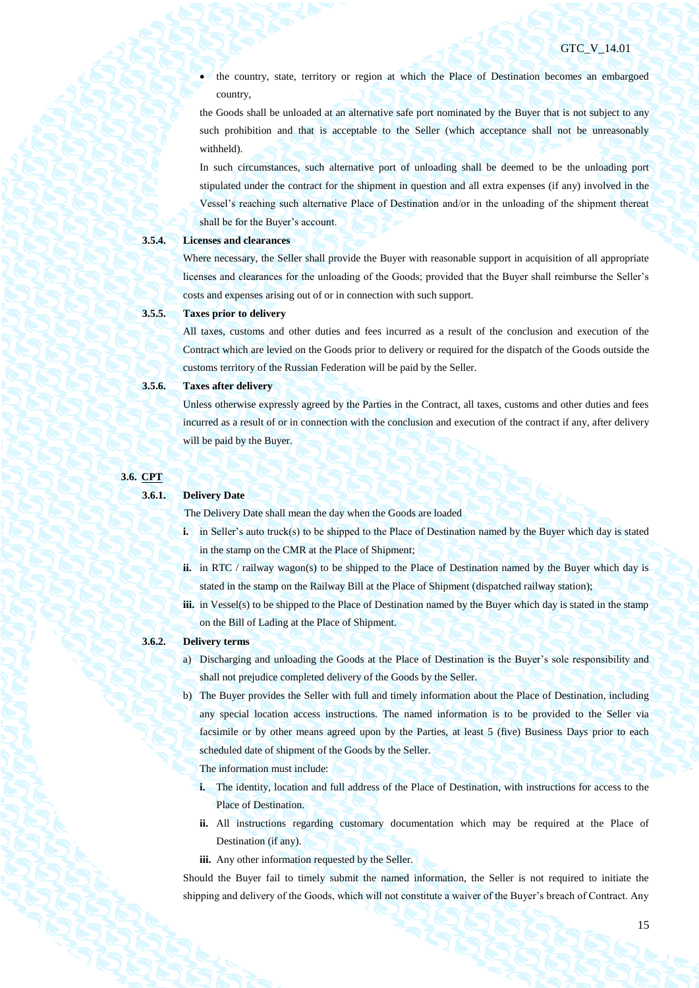the country, state, territory or region at which the Place of Destination becomes an embargoed country,

the Goods shall be unloaded at an alternative safe port nominated by the Buyer that is not subject to any such prohibition and that is acceptable to the Seller (which acceptance shall not be unreasonably withheld).

In such circumstances, such alternative port of unloading shall be deemed to be the unloading port stipulated under the contract for the shipment in question and all extra expenses (if any) involved in the Vessel's reaching such alternative Place of Destination and/or in the unloading of the shipment thereat shall be for the Buyer's account.

### **3.5.4. Licenses and clearances**

Where necessary, the Seller shall provide the Buyer with reasonable support in acquisition of all appropriate licenses and clearances for the unloading of the Goods; provided that the Buyer shall reimburse the Seller's costs and expenses arising out of or in connection with such support.

# **3.5.5. Taxes prior to delivery**

All taxes, customs and other duties and fees incurred as a result of the conclusion and execution of the Contract which are levied on the Goods prior to delivery or required for the dispatch of the Goods outside the customs territory of the Russian Federation will be paid by the Seller.

### **3.5.6. Taxes after delivery**

Unless otherwise expressly agreed by the Parties in the Contract, all taxes, customs and other duties and fees incurred as a result of or in connection with the conclusion and execution of the contract if any, after delivery will be paid by the Buyer.

| <b>3.6. CPT</b> |
|-----------------|
|                 |

#### **3.6.1. Delivery Date**

The Delivery Date shall mean the day when the Goods are loaded

- **i.** in Seller's auto truck(s) to be shipped to the Place of Destination named by the Buyer which day is stated in the stamp on the CMR at the Place of Shipment;
- **ii.** in RTC / railway wagon(s) to be shipped to the Place of Destination named by the Buyer which day is stated in the stamp on the Railway Bill at the Place of Shipment (dispatched railway station);
- **iii.** in Vessel(s) to be shipped to the Place of Destination named by the Buyer which day is stated in the stamp on the Bill of Lading at the Place of Shipment.

#### **3.6.2. Delivery terms**

- a) Discharging and unloading the Goods at the Place of Destination is the Buyer's sole responsibility and shall not prejudice completed delivery of the Goods by the Seller.
- b) The Buyer provides the Seller with full and timely information about the Place of Destination, including any special location access instructions. The named information is to be provided to the Seller via facsimile or by other means agreed upon by the Parties, at least 5 (five) Business Days prior to each scheduled date of shipment of the Goods by the Seller.
	- The information must include:
	- **i.** The identity, location and full address of the Place of Destination, with instructions for access to the Place of Destination.
	- **ii.** All instructions regarding customary documentation which may be required at the Place of Destination (if any).
	- **iii.** Any other information requested by the Seller.

Should the Buyer fail to timely submit the named information, the Seller is not required to initiate the shipping and delivery of the Goods, which will not constitute a waiver of the Buyer's breach of Contract. Any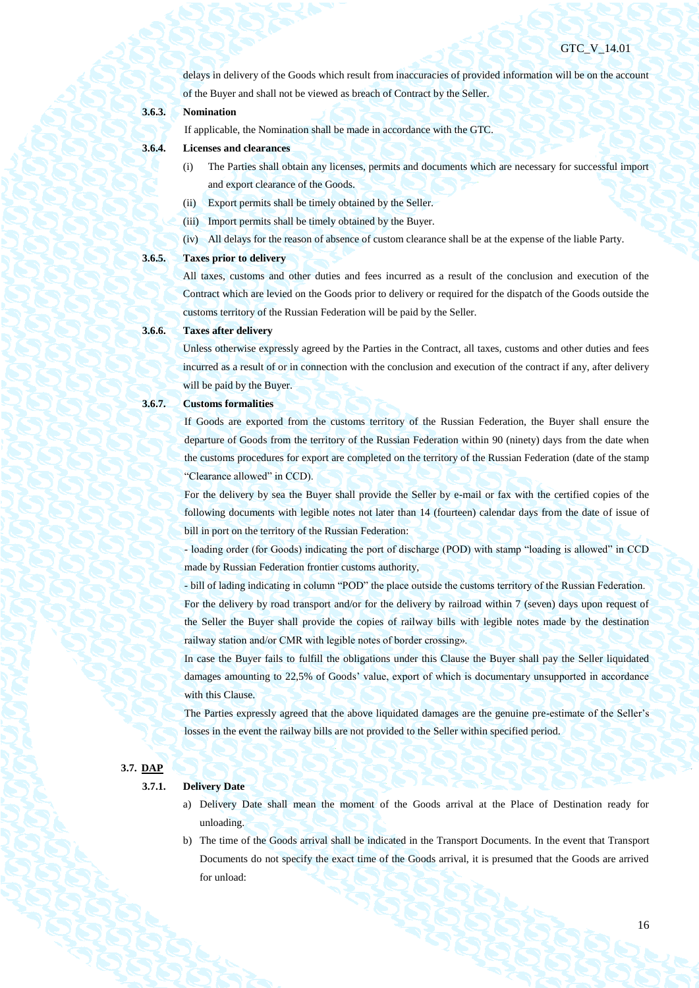delays in delivery of the Goods which result from inaccuracies of provided information will be on the account of the Buyer and shall not be viewed as breach of Contract by the Seller.

# **3.6.3. Nomination**

If applicable, the Nomination shall be made in accordance with the GTC.

- **3.6.4. Licenses and clearances** 
	- (i) The Parties shall obtain any licenses, permits and documents which are necessary for successful import and export clearance of the Goods.
	- (ii) Export permits shall be timely obtained by the Seller.
	- (iii) Import permits shall be timely obtained by the Buyer.
	- (iv) All delays for the reason of absence of custom clearance shall be at the expense of the liable Party.

# **3.6.5. Taxes prior to delivery**

All taxes, customs and other duties and fees incurred as a result of the conclusion and execution of the Contract which are levied on the Goods prior to delivery or required for the dispatch of the Goods outside the customs territory of the Russian Federation will be paid by the Seller.

# **3.6.6. Taxes after delivery**

Unless otherwise expressly agreed by the Parties in the Contract, all taxes, customs and other duties and fees incurred as a result of or in connection with the conclusion and execution of the contract if any, after delivery will be paid by the Buyer.

#### **3.6.7. Customs formalities**

If Goods are exported from the customs territory of the Russian Federation, the Buyer shall ensure the departure of Goods from the territory of the Russian Federation within 90 (ninety) days from the date when the customs procedures for export are completed on the territory of the Russian Federation (date of the stamp "Clearance allowed" in CCD).

For the delivery by sea the Buyer shall provide the Seller by e-mail or fax with the certified copies of the following documents with legible notes not later than 14 (fourteen) calendar days from the date of issue of bill in port on the territory of the Russian Federation:

- loading order (for Goods) indicating the port of discharge (POD) with stamp "loading is allowed" in CCD made by Russian Federation frontier customs authority,

- bill of lading indicating in column "POD" the place outside the customs territory of the Russian Federation. For the delivery by road transport and/or for the delivery by railroad within 7 (seven) days upon request of the Seller the Buyer shall provide the copies of railway bills with legible notes made by the destination railway station and/or CMR with legible notes of border crossing».

In case the Buyer fails to fulfill the obligations under this Clause the Buyer shall pay the Seller liquidated damages amounting to 22,5% of Goods' value, export of which is documentary unsupported in accordance with this Clause.

The Parties expressly agreed that the above liquidated damages are the genuine pre-estimate of the Seller's losses in the event the railway bills are not provided to the Seller within specified period.

# **3.7. DAP**

#### **3.7.1. Delivery Date**

- a) Delivery Date shall mean the moment of the Goods arrival at the Place of Destination ready for unloading.
- b) The time of the Goods arrival shall be indicated in the Transport Documents. In the event that Transport Documents do not specify the exact time of the Goods arrival, it is presumed that the Goods are arrived for unload: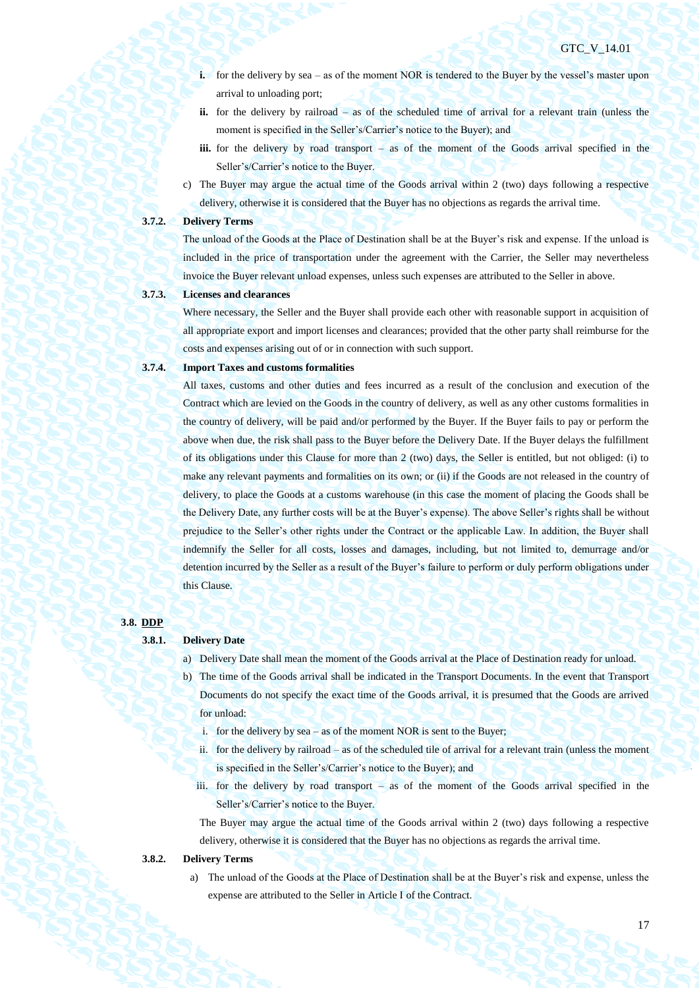- **i.** for the delivery by sea as of the moment NOR is tendered to the Buyer by the vessel's master upon arrival to unloading port;
- **ii.** for the delivery by railroad as of the scheduled time of arrival for a relevant train (unless the moment is specified in the Seller's/Carrier's notice to the Buyer); and
- **iii.** for the delivery by road transport as of the moment of the Goods arrival specified in the Seller's/Carrier's notice to the Buyer.
- c) The Buyer may argue the actual time of the Goods arrival within 2 (two) days following a respective delivery, otherwise it is considered that the Buyer has no objections as regards the arrival time.

#### **3.7.2. Delivery Terms**

The unload of the Goods at the Place of Destination shall be at the Buyer's risk and expense. If the unload is included in the price of transportation under the agreement with the Carrier, the Seller may nevertheless invoice the Buyer relevant unload expenses, unless such expenses are attributed to the Seller in above.

# **3.7.3. Licenses and clearances**

Where necessary, the Seller and the Buyer shall provide each other with reasonable support in acquisition of all appropriate export and import licenses and clearances; provided that the other party shall reimburse for the costs and expenses arising out of or in connection with such support.

# **3.7.4. Import Taxes and customs formalities**

All taxes, customs and other duties and fees incurred as a result of the conclusion and execution of the Contract which are levied on the Goods in the country of delivery, as well as any other customs formalities in the country of delivery, will be paid and/or performed by the Buyer. If the Buyer fails to pay or perform the above when due, the risk shall pass to the Buyer before the Delivery Date. If the Buyer delays the fulfillment of its obligations under this Clause for more than 2 (two) days, the Seller is entitled, but not obliged: (i) to make any relevant payments and formalities on its own; or (ii) if the Goods are not released in the country of delivery, to place the Goods at a customs warehouse (in this case the moment of placing the Goods shall be the Delivery Date, any further costs will be at the Buyer's expense). The above Seller's rights shall be without prejudice to the Seller's other rights under the Contract or the applicable Law. In addition, the Buyer shall indemnify the Seller for all costs, losses and damages, including, but not limited to, demurrage and/or detention incurred by the Seller as a result of the Buyer's failure to perform or duly perform obligations under this Clause.

#### **3.8. DDP**

# **3.8.1. Delivery Date**

- a) Delivery Date shall mean the moment of the Goods arrival at the Place of Destination ready for unload.
- b) The time of the Goods arrival shall be indicated in the Transport Documents. In the event that Transport Documents do not specify the exact time of the Goods arrival, it is presumed that the Goods are arrived for unload:
	- i. for the delivery by sea as of the moment NOR is sent to the Buyer;
	- ii. for the delivery by railroad as of the scheduled tile of arrival for a relevant train (unless the moment is specified in the Seller's/Carrier's notice to the Buyer); and
	- iii. for the delivery by road transport as of the moment of the Goods arrival specified in the Seller's/Carrier's notice to the Buyer.

The Buyer may argue the actual time of the Goods arrival within 2 (two) days following a respective delivery, otherwise it is considered that the Buyer has no objections as regards the arrival time.

## **3.8.2. Delivery Terms**

a) The unload of the Goods at the Place of Destination shall be at the Buyer's risk and expense, unless the expense are attributed to the Seller in Article I of the Contract.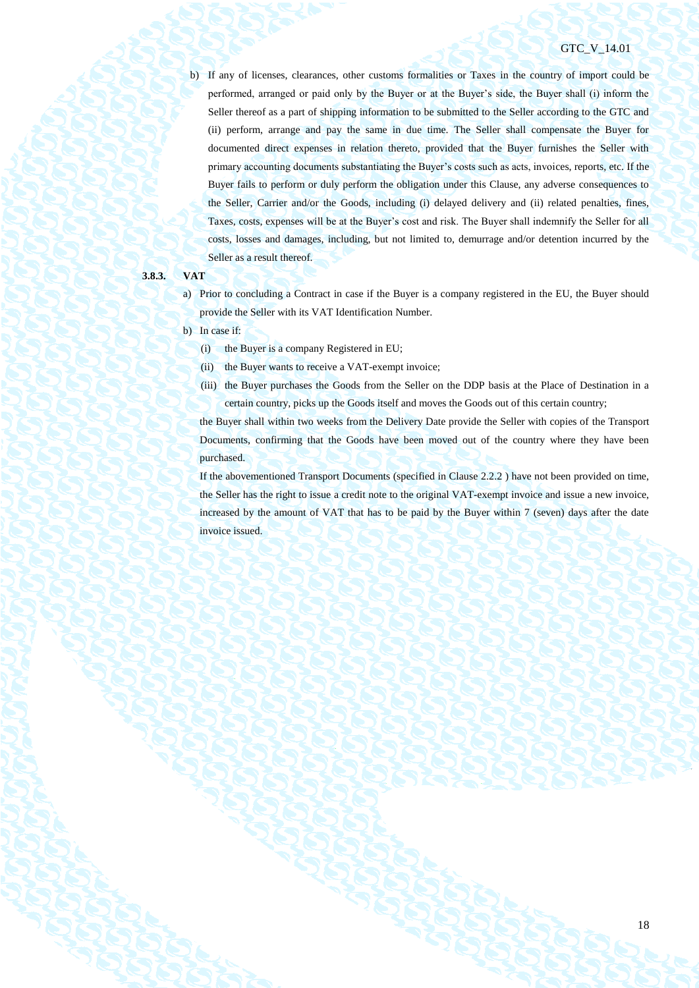b) If any of licenses, clearances, other customs formalities or Taxes in the country of import could be performed, arranged or paid only by the Buyer or at the Buyer's side, the Buyer shall (i) inform the Seller thereof as a part of shipping information to be submitted to the Seller according to the GTC and (ii) perform, arrange and pay the same in due time. The Seller shall compensate the Buyer for documented direct expenses in relation thereto, provided that the Buyer furnishes the Seller with primary accounting documents substantiating the Buyer's costs such as acts, invoices, reports, etc. If the Buyer fails to perform or duly perform the obligation under this Clause, any adverse consequences to the Seller, Carrier and/or the Goods, including (i) delayed delivery and (ii) related penalties, fines, Taxes, costs, expenses will be at the Buyer's cost and risk. The Buyer shall indemnify the Seller for all costs, losses and damages, including, but not limited to, demurrage and/or detention incurred by the Seller as a result thereof.

# **3.8.3. VAT**

- a) Prior to concluding a Contract in case if the Buyer is a company registered in the EU, the Buyer should provide the Seller with its VAT Identification Number.
- b) In case if:
	- (i) the Buyer is a company Registered in EU;
	- (ii) the Buyer wants to receive a VAT-exempt invoice;
	- (iii) the Buyer purchases the Goods from the Seller on the DDP basis at the Place of Destination in a certain country, picks up the Goods itself and moves the Goods out of this certain country;

the Buyer shall within two weeks from the Delivery Date provide the Seller with copies of the Transport Documents, confirming that the Goods have been moved out of the country where they have been purchased.

If the abovementioned Transport Documents (specified in Clause 2.2.2 ) have not been provided on time, the Seller has the right to issue a credit note to the original VAT-exempt invoice and issue a new invoice, increased by the amount of VAT that has to be paid by the Buyer within 7 (seven) days after the date invoice issued.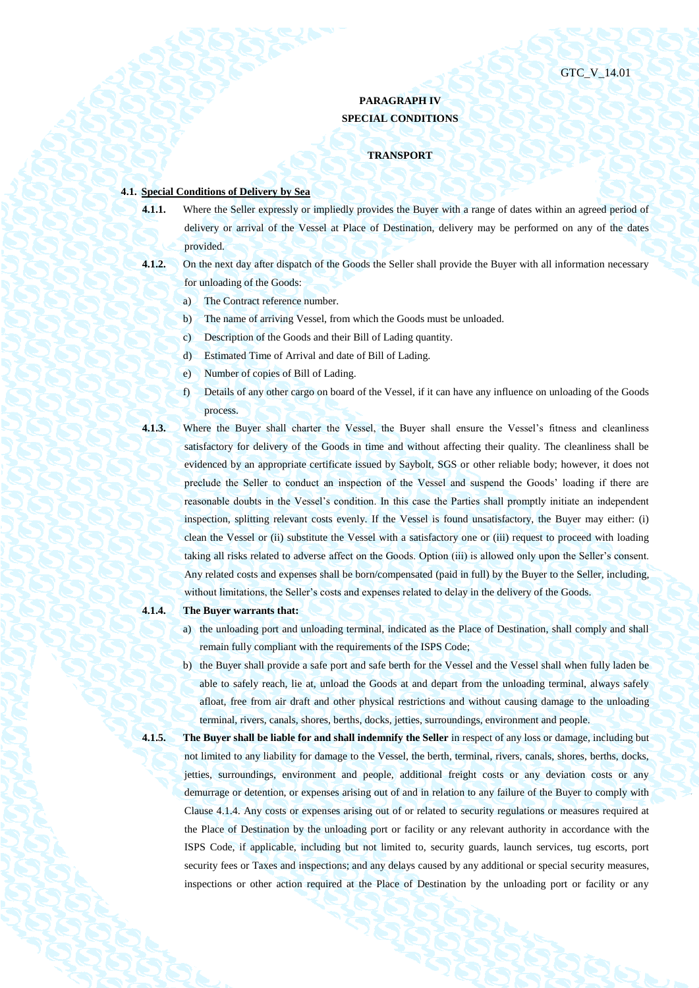# **PARAGRAPH IV SPECIAL CONDITIONS**

#### **TRANSPORT**

# **4.1. Special Conditions of Delivery by Sea**

- **4.1.1.** Where the Seller expressly or impliedly provides the Buyer with a range of dates within an agreed period of delivery or arrival of the Vessel at Place of Destination, delivery may be performed on any of the dates provided.
- **4.1.2.** On the next day after dispatch of the Goods the Seller shall provide the Buyer with all information necessary for unloading of the Goods:
	- a) The Contract reference number.
	- b) The name of arriving Vessel, from which the Goods must be unloaded.
	- c) Description of the Goods and their Bill of Lading quantity.
	- d) Estimated Time of Arrival and date of Bill of Lading.
	- e) Number of copies of Bill of Lading.
	- f) Details of any other cargo on board of the Vessel, if it can have any influence on unloading of the Goods process.
- 
- **4.1.3.** Where the Buyer shall charter the Vessel, the Buyer shall ensure the Vessel's fitness and cleanliness satisfactory for delivery of the Goods in time and without affecting their quality. The cleanliness shall be evidenced by an appropriate certificate issued by Saybolt, SGS or other reliable body; however, it does not preclude the Seller to conduct an inspection of the Vessel and suspend the Goods' loading if there are reasonable doubts in the Vessel's condition. In this case the Parties shall promptly initiate an independent inspection, splitting relevant costs evenly. If the Vessel is found unsatisfactory, the Buyer may either: (i) clean the Vessel or (ii) substitute the Vessel with a satisfactory one or (iii) request to proceed with loading taking all risks related to adverse affect on the Goods. Option (iii) is allowed only upon the Seller's consent. Any related costs and expenses shall be born/compensated (paid in full) by the Buyer to the Seller, including, without limitations, the Seller's costs and expenses related to delay in the delivery of the Goods.

# <span id="page-18-0"></span>**4.1.4. The Buyer warrants that:**

- a) the unloading port and unloading terminal, indicated as the Place of Destination, shall comply and shall remain fully compliant with the requirements of the ISPS Code;
- b) the Buyer shall provide a safe port and safe berth for the Vessel and the Vessel shall when fully laden be able to safely reach, lie at, unload the Goods at and depart from the unloading terminal, always safely afloat, free from air draft and other physical restrictions and without causing damage to the unloading terminal, rivers, canals, shores, berths, docks, jetties, surroundings, environment and people.
- 

**4.1.5. The Buyer shall be liable for and shall indemnify the Seller** in respect of any loss or damage, including but not limited to any liability for damage to the Vessel, the berth, terminal, rivers, canals, shores, berths, docks, jetties, surroundings, environment and people, additional freight costs or any deviation costs or any demurrage or detention, or expenses arising out of and in relation to any failure of the Buyer to comply with Clause [4.1.4.](#page-18-0) Any costs or expenses arising out of or related to security regulations or measures required at the Place of Destination by the unloading port or facility or any relevant authority in accordance with the ISPS Code, if applicable, including but not limited to, security guards, launch services, tug escorts, port security fees or Taxes and inspections; and any delays caused by any additional or special security measures, inspections or other action required at the Place of Destination by the unloading port or facility or any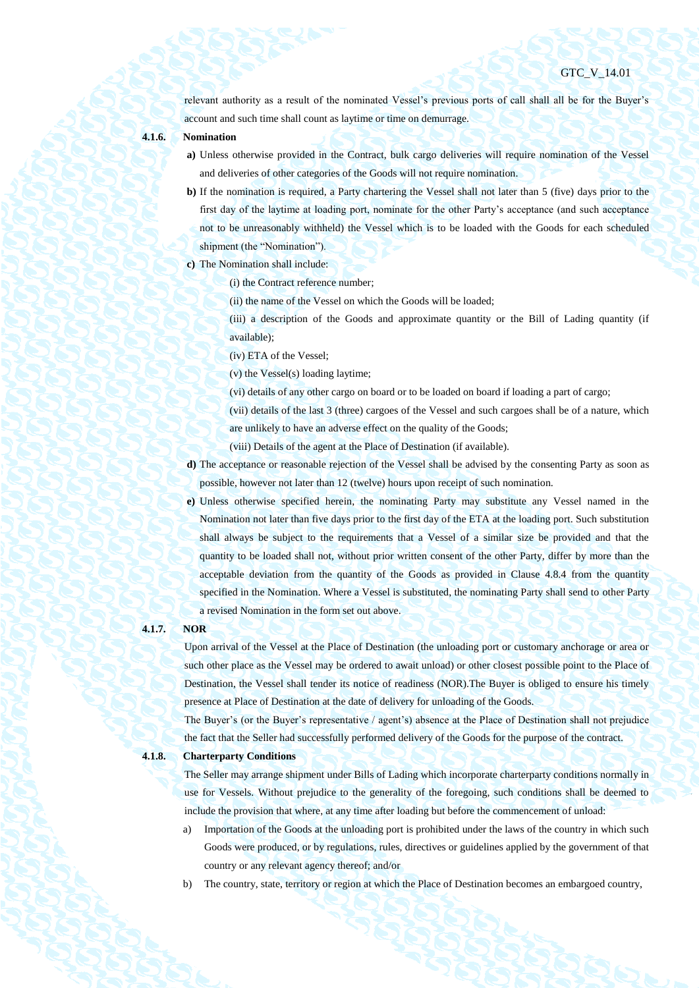relevant authority as a result of the nominated Vessel's previous ports of call shall all be for the Buyer's account and such time shall count as laytime or time on demurrage.

# **4.1.6. Nomination**

- **a)** Unless otherwise provided in the Contract, bulk cargo deliveries will require nomination of the Vessel and deliveries of other categories of the Goods will not require nomination.
- **b)** If the nomination is required, a Party chartering the Vessel shall not later than 5 (five) days prior to the first day of the laytime at loading port, nominate for the other Party's acceptance (and such acceptance not to be unreasonably withheld) the Vessel which is to be loaded with the Goods for each scheduled shipment (the "Nomination").
- **c)** The Nomination shall include:
	- (i) the Contract reference number;
	- (ii) the name of the Vessel on which the Goods will be loaded;
	- (iii) a description of the Goods and approximate quantity or the Bill of Lading quantity (if available);
	- (iv) ETA of the Vessel;
	- (v) the Vessel(s) loading laytime;
	- (vi) details of any other cargo on board or to be loaded on board if loading a part of cargo;
	- (vii) details of the last 3 (three) cargoes of the Vessel and such cargoes shall be of a nature, which are unlikely to have an adverse effect on the quality of the Goods;
	-
	- (viii) Details of the agent at the Place of Destination (if available).
- **d)** The acceptance or reasonable rejection of the Vessel shall be advised by the consenting Party as soon as possible, however not later than 12 (twelve) hours upon receipt of such nomination.
- **e)** Unless otherwise specified herein, the nominating Party may substitute any Vessel named in the Nomination not later than five days prior to the first day of the ETA at the loading port. Such substitution shall always be subject to the requirements that a Vessel of a similar size be provided and that the quantity to be loaded shall not, without prior written consent of the other Party, differ by more than the acceptable deviation from the quantity of the Goods as provided in Clause [4.8.4](#page-32-0) from the quantity specified in the Nomination. Where a Vessel is substituted, the nominating Party shall send to other Party a revised Nomination in the form set out above.

#### **4.1.7. NOR**

Upon arrival of the Vessel at the Place of Destination (the unloading port or customary anchorage or area or such other place as the Vessel may be ordered to await unload) or other closest possible point to the Place of Destination, the Vessel shall tender its notice of readiness (NOR).The Buyer is obliged to ensure his timely presence at Place of Destination at the date of delivery for unloading of the Goods.

The Buyer's (or the Buyer's representative / agent's) absence at the Place of Destination shall not prejudice the fact that the Seller had successfully performed delivery of the Goods for the purpose of the contract.

**4.1.8. Charterparty Conditions**

The Seller may arrange shipment under Bills of Lading which incorporate charterparty conditions normally in use for Vessels. Without prejudice to the generality of the foregoing, such conditions shall be deemed to include the provision that where, at any time after loading but before the commencement of unload:

- a) Importation of the Goods at the unloading port is prohibited under the laws of the country in which such Goods were produced, or by regulations, rules, directives or guidelines applied by the government of that country or any relevant agency thereof; and/or
- b) The country, state, territory or region at which the Place of Destination becomes an embargoed country,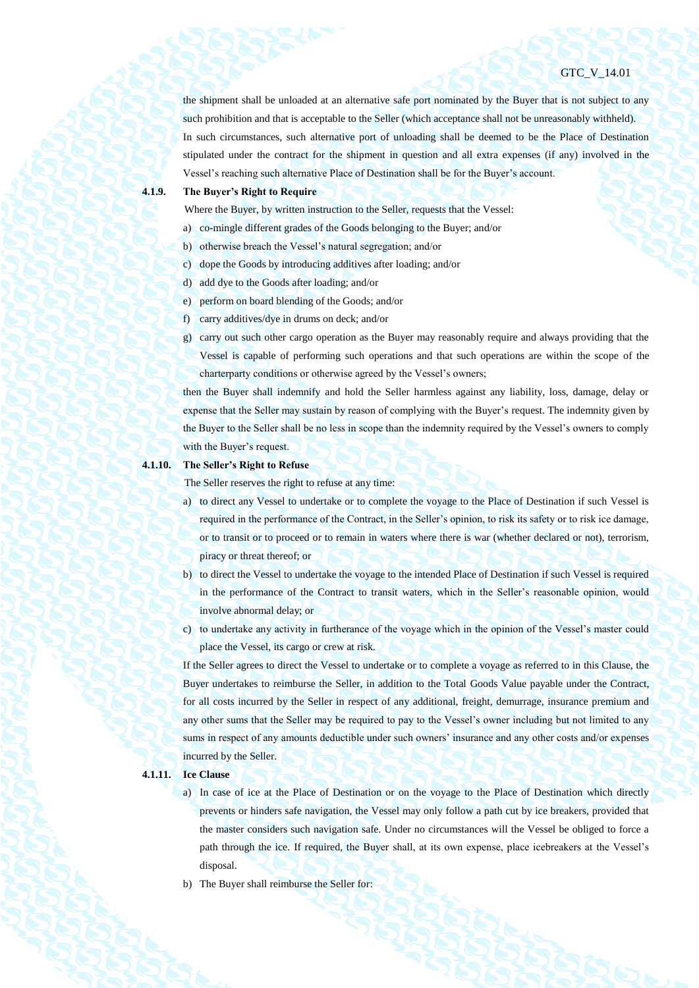the shipment shall be unloaded at an alternative safe port nominated by the Buyer that is not subject to any such prohibition and that is acceptable to the Seller (which acceptance shall not be unreasonably withheld). In such circumstances, such alternative port of unloading shall be deemed to be the Place of Destination stipulated under the contract for the shipment in question and all extra expenses (if any) involved in the Vessel's reaching such alternative Place of Destination shall be for the Buyer's account.

# **4.1.9. The Buyer's Right to Require**

Where the Buyer, by written instruction to the Seller, requests that the Vessel:

- a) co-mingle different grades of the Goods belonging to the Buyer; and/or
- b) otherwise breach the Vessel's natural segregation; and/or
- c) dope the Goods by introducing additives after loading; and/or
- d) add dye to the Goods after loading; and/or
- e) perform on board blending of the Goods; and/or
- f) carry additives/dye in drums on deck; and/or
- g) carry out such other cargo operation as the Buyer may reasonably require and always providing that the Vessel is capable of performing such operations and that such operations are within the scope of the charterparty conditions or otherwise agreed by the Vessel's owners;

then the Buyer shall indemnify and hold the Seller harmless against any liability, loss, damage, delay or expense that the Seller may sustain by reason of complying with the Buyer's request. The indemnity given by the Buyer to the Seller shall be no less in scope than the indemnity required by the Vessel's owners to comply with the Buyer's request.

#### **4.1.10. The Seller's Right to Refuse**

The Seller reserves the right to refuse at any time:

- a) to direct any Vessel to undertake or to complete the voyage to the Place of Destination if such Vessel is required in the performance of the Contract, in the Seller's opinion, to risk its safety or to risk ice damage, or to transit or to proceed or to remain in waters where there is war (whether declared or not), terrorism, piracy or threat thereof; or
- b) to direct the Vessel to undertake the voyage to the intended Place of Destination if such Vessel is required in the performance of the Contract to transit waters, which in the Seller's reasonable opinion, would involve abnormal delay; or
- c) to undertake any activity in furtherance of the voyage which in the opinion of the Vessel's master could place the Vessel, its cargo or crew at risk.

If the Seller agrees to direct the Vessel to undertake or to complete a voyage as referred to in this Clause, the Buyer undertakes to reimburse the Seller, in addition to the Total Goods Value payable under the Contract, for all costs incurred by the Seller in respect of any additional, freight, demurrage, insurance premium and any other sums that the Seller may be required to pay to the Vessel's owner including but not limited to any sums in respect of any amounts deductible under such owners' insurance and any other costs and/or expenses incurred by the Seller.

#### **4.1.11. Ice Clause**

- a) In case of ice at the Place of Destination or on the voyage to the Place of Destination which directly prevents or hinders safe navigation, the Vessel may only follow a path cut by ice breakers, provided that the master considers such navigation safe. Under no circumstances will the Vessel be obliged to force a path through the ice. If required, the Buyer shall, at its own expense, place icebreakers at the Vessel's disposal.
- b) The Buyer shall reimburse the Seller for: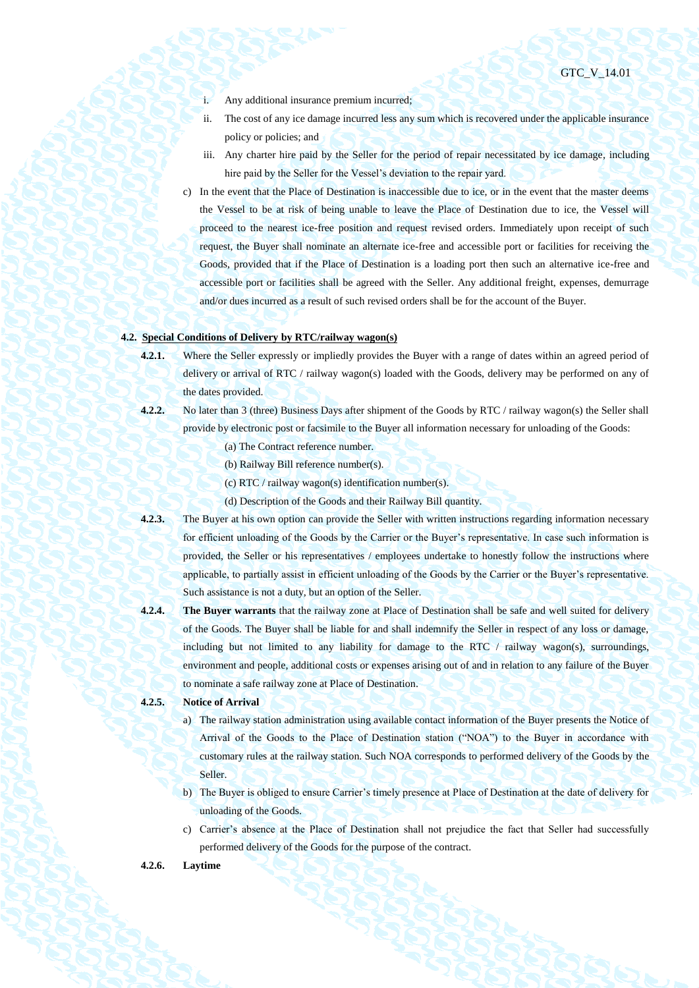- i. Any additional insurance premium incurred;
- ii. The cost of any ice damage incurred less any sum which is recovered under the applicable insurance policy or policies; and
- iii. Any charter hire paid by the Seller for the period of repair necessitated by ice damage, including hire paid by the Seller for the Vessel's deviation to the repair yard.
- c) In the event that the Place of Destination is inaccessible due to ice, or in the event that the master deems the Vessel to be at risk of being unable to leave the Place of Destination due to ice, the Vessel will proceed to the nearest ice-free position and request revised orders. Immediately upon receipt of such request, the Buyer shall nominate an alternate ice-free and accessible port or facilities for receiving the Goods, provided that if the Place of Destination is a loading port then such an alternative ice-free and accessible port or facilities shall be agreed with the Seller. Any additional freight, expenses, demurrage and/or dues incurred as a result of such revised orders shall be for the account of the Buyer.

#### **4.2. Special Conditions of Delivery by RTC/railway wagon(s)**

- **4.2.1.** Where the Seller expressly or impliedly provides the Buyer with a range of dates within an agreed period of delivery or arrival of RTC / railway wagon(s) loaded with the Goods, delivery may be performed on any of the dates provided.
- **4.2.2.** No later than 3 (three) Business Days after shipment of the Goods by RTC / railway wagon(s) the Seller shall provide by electronic post or facsimile to the Buyer all information necessary for unloading of the Goods:
	- (a) The Contract reference number.
	- (b) Railway Bill reference number(s).
	- (c) RTC / railway wagon(s) identification number(s).
	- (d) Description of the Goods and their Railway Bill quantity.
- **4.2.3.** The Buyer at his own option can provide the Seller with written instructions regarding information necessary for efficient unloading of the Goods by the Carrier or the Buyer's representative. In case such information is provided, the Seller or his representatives / employees undertake to honestly follow the instructions where applicable, to partially assist in efficient unloading of the Goods by the Carrier or the Buyer's representative. Such assistance is not a duty, but an option of the Seller.
- **4.2.4. The Buyer warrants** that the railway zone at Place of Destination shall be safe and well suited for delivery of the Goods. The Buyer shall be liable for and shall indemnify the Seller in respect of any loss or damage, including but not limited to any liability for damage to the RTC  $/$  railway wagon(s), surroundings, environment and people, additional costs or expenses arising out of and in relation to any failure of the Buyer to nominate a safe railway zone at Place of Destination.
- **4.2.5. Notice of Arrival**
	- a) The railway station administration using available contact information of the Buyer presents the Notice of Arrival of the Goods to the Place of Destination station ("NOA") to the Buyer in accordance with customary rules at the railway station. Such NOA corresponds to performed delivery of the Goods by the Seller.
	- b) The Buyer is obliged to ensure Carrier's timely presence at Place of Destination at the date of delivery for unloading of the Goods.
	- c) Carrier's absence at the Place of Destination shall not prejudice the fact that Seller had successfully performed delivery of the Goods for the purpose of the contract.

# **4.2.6. Laytime**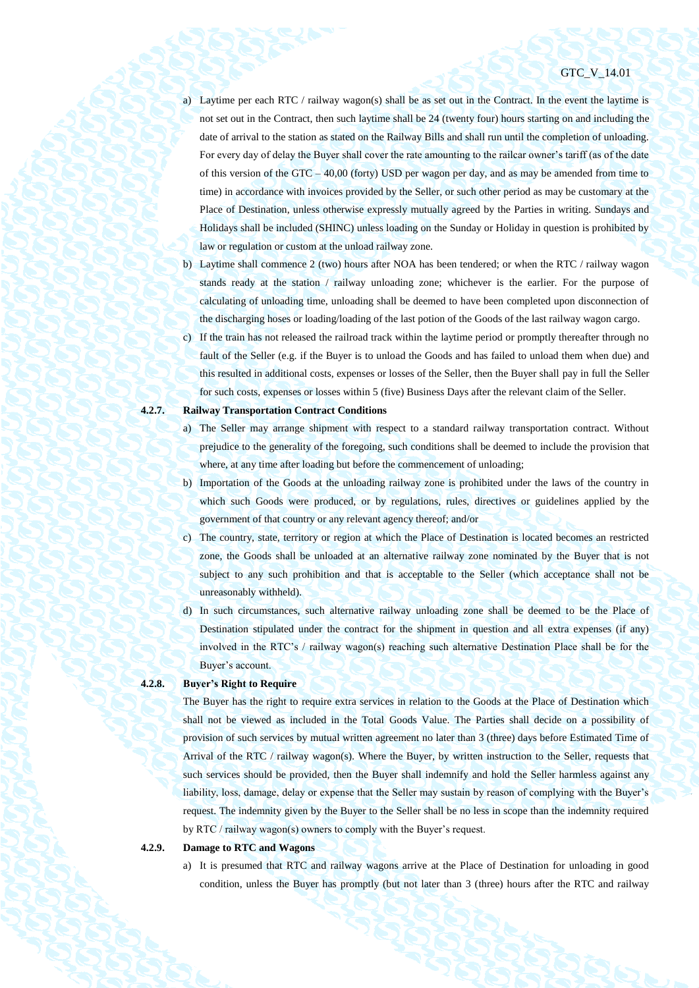- a) Laytime per each RTC / railway wagon(s) shall be as set out in the Contract. In the event the laytime is not set out in the Contract, then such laytime shall be 24 (twenty four) hours starting on and including the date of arrival to the station as stated on the Railway Bills and shall run until the completion of unloading. For every day of delay the Buyer shall cover the rate amounting to the railcar owner's tariff (as of the date of this version of the GTC – 40,00 (forty) USD per wagon per day, and as may be amended from time to time) in accordance with invoices provided by the Seller, or such other period as may be customary at the Place of Destination, unless otherwise expressly mutually agreed by the Parties in writing. Sundays and Holidays shall be included (SHINC) unless loading on the Sunday or Holiday in question is prohibited by law or regulation or custom at the unload railway zone.
- b) Laytime shall commence 2 (two) hours after NOA has been tendered; or when the RTC / railway wagon stands ready at the station / railway unloading zone; whichever is the earlier. For the purpose of calculating of unloading time, unloading shall be deemed to have been completed upon disconnection of the discharging hoses or loading/loading of the last potion of the Goods of the last railway wagon cargo.
- c) If the train has not released the railroad track within the laytime period or promptly thereafter through no fault of the Seller (e.g. if the Buyer is to unload the Goods and has failed to unload them when due) and this resulted in additional costs, expenses or losses of the Seller, then the Buyer shall pay in full the Seller for such costs, expenses or losses within 5 (five) Business Days after the relevant claim of the Seller.

#### **4.2.7. Railway Transportation Contract Conditions**

- a) The Seller may arrange shipment with respect to a standard railway transportation contract. Without prejudice to the generality of the foregoing, such conditions shall be deemed to include the provision that where, at any time after loading but before the commencement of unloading;
- b) Importation of the Goods at the unloading railway zone is prohibited under the laws of the country in which such Goods were produced, or by regulations, rules, directives or guidelines applied by the government of that country or any relevant agency thereof; and/or
- c) The country, state, territory or region at which the Place of Destination is located becomes an restricted zone, the Goods shall be unloaded at an alternative railway zone nominated by the Buyer that is not subject to any such prohibition and that is acceptable to the Seller (which acceptance shall not be unreasonably withheld).
- d) In such circumstances, such alternative railway unloading zone shall be deemed to be the Place of Destination stipulated under the contract for the shipment in question and all extra expenses (if any) involved in the RTC's / railway wagon(s) reaching such alternative Destination Place shall be for the Buyer's account.

#### **4.2.8. Buyer's Right to Require**

The Buyer has the right to require extra services in relation to the Goods at the Place of Destination which shall not be viewed as included in the Total Goods Value. The Parties shall decide on a possibility of provision of such services by mutual written agreement no later than 3 (three) days before Estimated Time of Arrival of the RTC / railway wagon(s). Where the Buyer, by written instruction to the Seller, requests that such services should be provided, then the Buyer shall indemnify and hold the Seller harmless against any liability, loss, damage, delay or expense that the Seller may sustain by reason of complying with the Buyer's request. The indemnity given by the Buyer to the Seller shall be no less in scope than the indemnity required by RTC / railway wagon(s) owners to comply with the Buyer's request.

### **4.2.9. Damage to RTC and Wagons**

a) It is presumed that RTC and railway wagons arrive at the Place of Destination for unloading in good condition, unless the Buyer has promptly (but not later than 3 (three) hours after the RTC and railway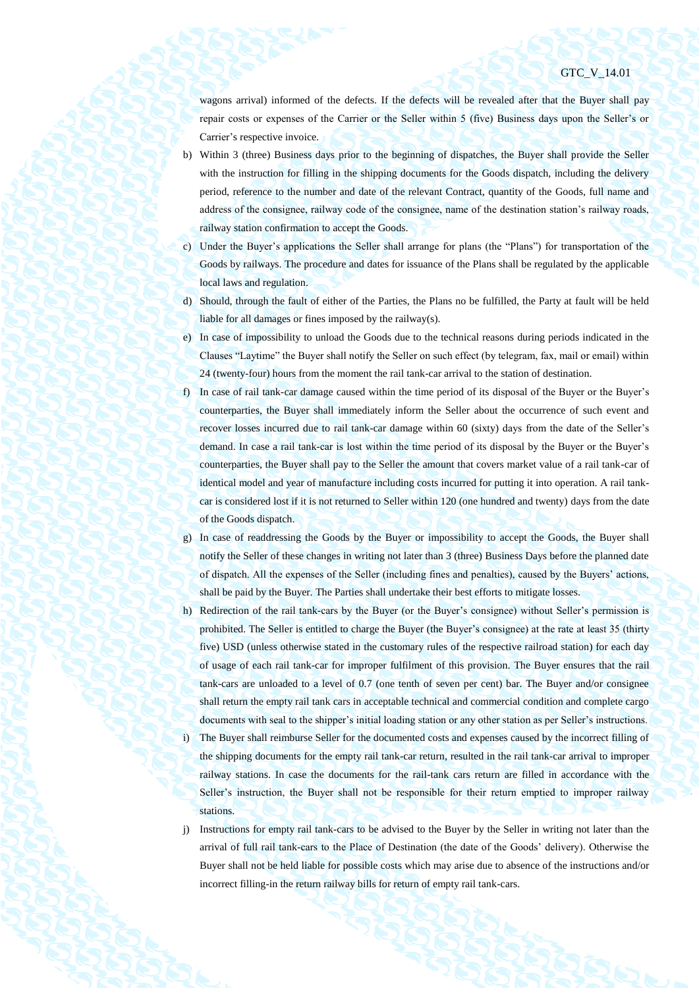wagons arrival) informed of the defects. If the defects will be revealed after that the Buyer shall pay repair costs or expenses of the Carrier or the Seller within 5 (five) Business days upon the Seller's or Carrier's respective invoice.

- b) Within 3 (three) Business days prior to the beginning of dispatches, the Buyer shall provide the Seller with the instruction for filling in the shipping documents for the Goods dispatch, including the delivery period, reference to the number and date of the relevant Contract, quantity of the Goods, full name and address of the consignee, railway code of the consignee, name of the destination station's railway roads, railway station confirmation to accept the Goods.
- c) Under the Buyer's applications the Seller shall arrange for plans (the "Plans") for transportation of the Goods by railways. The procedure and dates for issuance of the Plans shall be regulated by the applicable local laws and regulation.
- d) Should, through the fault of either of the Parties, the Plans no be fulfilled, the Party at fault will be held liable for all damages or fines imposed by the railway(s).
- e) In case of impossibility to unload the Goods due to the technical reasons during periods indicated in the Clauses "Laytime" the Buyer shall notify the Seller on such effect (by telegram, fax, mail or email) within 24 (twenty-four) hours from the moment the rail tank-car arrival to the station of destination.
- f) In case of rail tank-car damage caused within the time period of its disposal of the Buyer or the Buyer's counterparties, the Buyer shall immediately inform the Seller about the occurrence of such event and recover losses incurred due to rail tank-car damage within 60 (sixty) days from the date of the Seller's demand. In case a rail tank-car is lost within the time period of its disposal by the Buyer or the Buyer's counterparties, the Buyer shall pay to the Seller the amount that covers market value of a rail tank-car of identical model and year of manufacture including costs incurred for putting it into operation. A rail tankcar is considered lost if it is not returned to Seller within 120 (one hundred and twenty) days from the date of the Goods dispatch.
- g) In case of readdressing the Goods by the Buyer or impossibility to accept the Goods, the Buyer shall notify the Seller of these changes in writing not later than 3 (three) Business Days before the planned date of dispatch. All the expenses of the Seller (including fines and penalties), caused by the Buyers' actions, shall be paid by the Buyer. The Parties shall undertake their best efforts to mitigate losses.
- h) Redirection of the rail tank-cars by the Buyer (or the Buyer's consignee) without Seller's permission is prohibited. The Seller is entitled to charge the Buyer (the Buyer's consignee) at the rate at least 35 (thirty five) USD (unless otherwise stated in the customary rules of the respective railroad station) for each day of usage of each rail tank-car for improper fulfilment of this provision. The Buyer ensures that the rail tank-cars are unloaded to a level of 0.7 (one tenth of seven per cent) bar. The Buyer and/or consignee shall return the empty rail tank cars in acceptable technical and commercial condition and complete cargo documents with seal to the shipper's initial loading station or any other station as per Seller's instructions. i) The Buyer shall reimburse Seller for the documented costs and expenses caused by the incorrect filling of
	- the shipping documents for the empty rail tank-car return, resulted in the rail tank-car arrival to improper railway stations. In case the documents for the rail-tank cars return are filled in accordance with the Seller's instruction, the Buyer shall not be responsible for their return emptied to improper railway stations.
- j) Instructions for empty rail tank-cars to be advised to the Buyer by the Seller in writing not later than the arrival of full rail tank-cars to the Place of Destination (the date of the Goods' delivery). Otherwise the Buyer shall not be held liable for possible costs which may arise due to absence of the instructions and/or incorrect filling-in the return railway bills for return of empty rail tank-cars.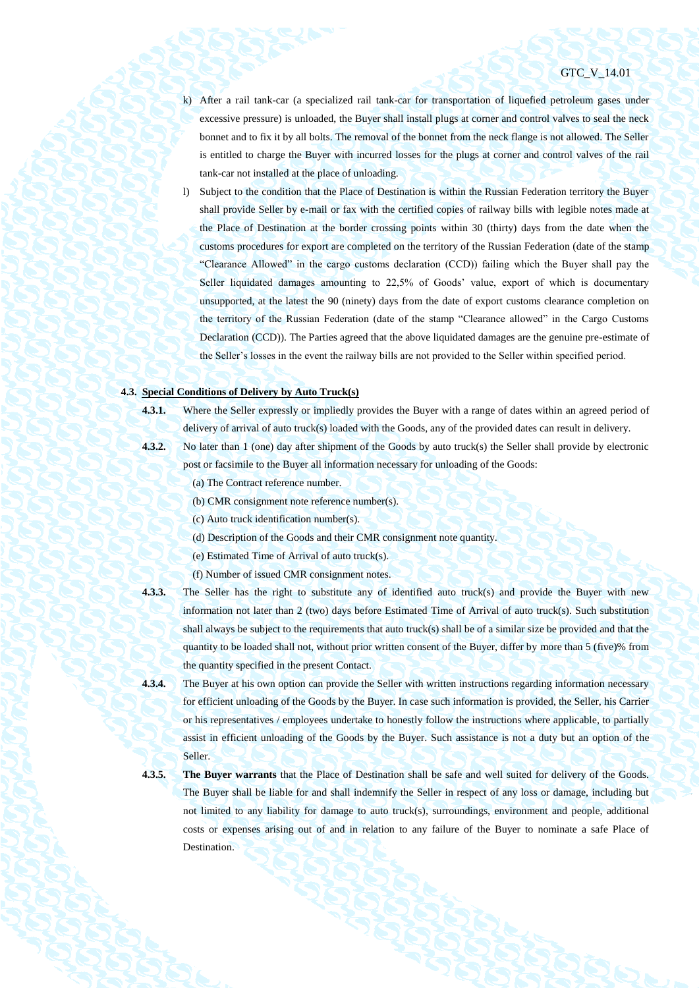- k) After a rail tank-car (a specialized rail tank-car for transportation of liquefied petroleum gases under excessive pressure) is unloaded, the Buyer shall install plugs at corner and control valves to seal the neck bonnet and to fix it by all bolts. The removal of the bonnet from the neck flange is not allowed. The Seller is entitled to charge the Buyer with incurred losses for the plugs at corner and control valves of the rail tank-car not installed at the place of unloading.
- l) Subject to the condition that the Place of Destination is within the Russian Federation territory the Buyer shall provide Seller by e-mail or fax with the certified copies of railway bills with legible notes made at the Place of Destination at the border crossing points within 30 (thirty) days from the date when the customs procedures for export are completed on the territory of the Russian Federation (date of the stamp "Clearance Allowed" in the cargo customs declaration (CCD)) failing which the Buyer shall pay the Seller liquidated damages amounting to 22,5% of Goods' value, export of which is documentary unsupported, at the latest the 90 (ninety) days from the date of export customs clearance completion on the territory of the Russian Federation (date of the stamp "Clearance allowed" in the Cargo Customs Declaration (CCD)). The Parties agreed that the above liquidated damages are the genuine pre-estimate of the Seller's losses in the event the railway bills are not provided to the Seller within specified period.

# **4.3. Special Conditions of Delivery by Auto Truck(s)**

**4.3.1.** Where the Seller expressly or impliedly provides the Buyer with a range of dates within an agreed period of delivery of arrival of auto truck(s) loaded with the Goods, any of the provided dates can result in delivery.

- 
- **4.3.2.** No later than 1 (one) day after shipment of the Goods by auto truck(s) the Seller shall provide by electronic
	- post or facsimile to the Buyer all information necessary for unloading of the Goods:
		- (a) The Contract reference number.
		- (b) CMR consignment note reference number(s).
		- (c) Auto truck identification number(s).
		- (d) Description of the Goods and their CMR consignment note quantity.
		- (e) Estimated Time of Arrival of auto truck(s).
		- (f) Number of issued CMR consignment notes.
- 

**4.3.3.** The Seller has the right to substitute any of identified auto truck(s) and provide the Buyer with new information not later than 2 (two) days before Estimated Time of Arrival of auto truck(s). Such substitution shall always be subject to the requirements that auto truck(s) shall be of a similar size be provided and that the quantity to be loaded shall not, without prior written consent of the Buyer, differ by more than 5 (five)% from the quantity specified in the present Contact.

- **4.3.4.** The Buyer at his own option can provide the Seller with written instructions regarding information necessary for efficient unloading of the Goods by the Buyer. In case such information is provided, the Seller, his Carrier or his representatives / employees undertake to honestly follow the instructions where applicable, to partially assist in efficient unloading of the Goods by the Buyer. Such assistance is not a duty but an option of the Seller.
- 

**4.3.5. The Buyer warrants** that the Place of Destination shall be safe and well suited for delivery of the Goods. The Buyer shall be liable for and shall indemnify the Seller in respect of any loss or damage, including but not limited to any liability for damage to auto truck(s), surroundings, environment and people, additional costs or expenses arising out of and in relation to any failure of the Buyer to nominate a safe Place of Destination.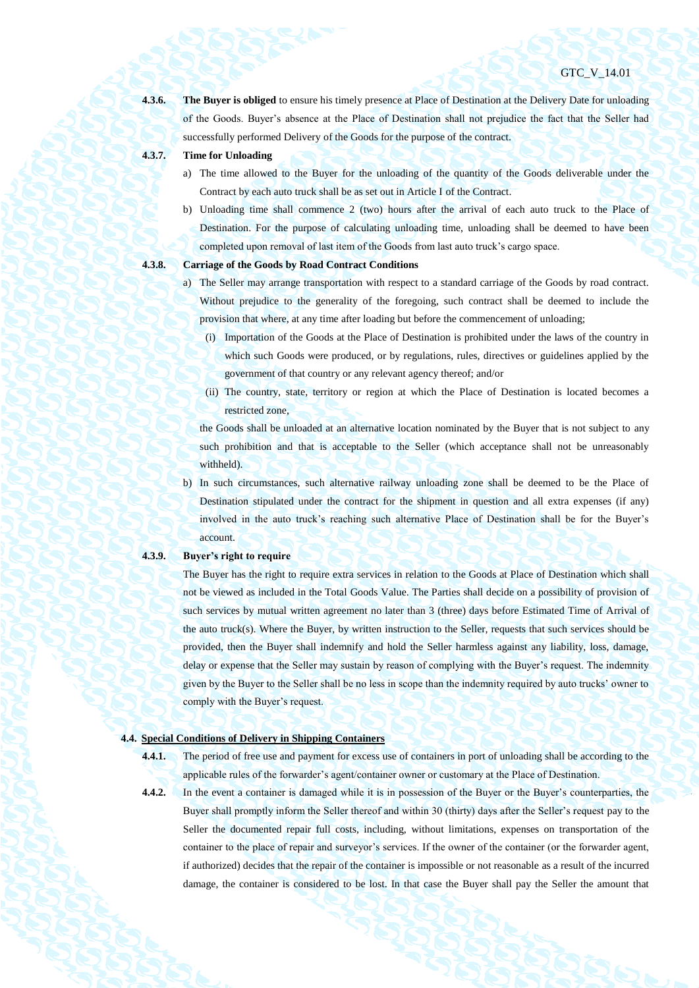**4.3.6. The Buyer is obliged** to ensure his timely presence at Place of Destination at the Delivery Date for unloading of the Goods. Buyer's absence at the Place of Destination shall not prejudice the fact that the Seller had successfully performed Delivery of the Goods for the purpose of the contract.

### **4.3.7. Time for Unloading**

- a) The time allowed to the Buyer for the unloading of the quantity of the Goods deliverable under the Contract by each auto truck shall be as set out in Article I of the Contract.
- b) Unloading time shall commence 2 (two) hours after the arrival of each auto truck to the Place of Destination. For the purpose of calculating unloading time, unloading shall be deemed to have been completed upon removal of last item of the Goods from last auto truck's cargo space.

- **4.3.8. Carriage of the Goods by Road Contract Conditions**
	- a) The Seller may arrange transportation with respect to a standard carriage of the Goods by road contract. Without prejudice to the generality of the foregoing, such contract shall be deemed to include the provision that where, at any time after loading but before the commencement of unloading;
		- (i) Importation of the Goods at the Place of Destination is prohibited under the laws of the country in which such Goods were produced, or by regulations, rules, directives or guidelines applied by the government of that country or any relevant agency thereof; and/or
		- (ii) The country, state, territory or region at which the Place of Destination is located becomes a restricted zone,

the Goods shall be unloaded at an alternative location nominated by the Buyer that is not subject to any such prohibition and that is acceptable to the Seller (which acceptance shall not be unreasonably withheld).

b) In such circumstances, such alternative railway unloading zone shall be deemed to be the Place of Destination stipulated under the contract for the shipment in question and all extra expenses (if any) involved in the auto truck's reaching such alternative Place of Destination shall be for the Buyer's account.

#### **4.3.9. Buyer's right to require**

The Buyer has the right to require extra services in relation to the Goods at Place of Destination which shall not be viewed as included in the Total Goods Value. The Parties shall decide on a possibility of provision of such services by mutual written agreement no later than 3 (three) days before Estimated Time of Arrival of the auto truck(s). Where the Buyer, by written instruction to the Seller, requests that such services should be provided, then the Buyer shall indemnify and hold the Seller harmless against any liability, loss, damage, delay or expense that the Seller may sustain by reason of complying with the Buyer's request. The indemnity given by the Buyer to the Seller shall be no less in scope than the indemnity required by auto trucks' owner to comply with the Buyer's request.

# <span id="page-25-0"></span>**4.4. Special Conditions of Delivery in Shipping Containers**

- **4.4.1.** The period of free use and payment for excess use of containers in port of unloading shall be according to the applicable rules of the forwarder's agent/container owner or customary at the Place of Destination.
- 

**4.4.2.** In the event a container is damaged while it is in possession of the Buyer or the Buyer's counterparties, the Buyer shall promptly inform the Seller thereof and within 30 (thirty) days after the Seller's request pay to the Seller the documented repair full costs, including, without limitations, expenses on transportation of the container to the place of repair and surveyor's services. If the owner of the container (or the forwarder agent, if authorized) decides that the repair of the container is impossible or not reasonable as a result of the incurred damage, the container is considered to be lost. In that case the Buyer shall pay the Seller the amount that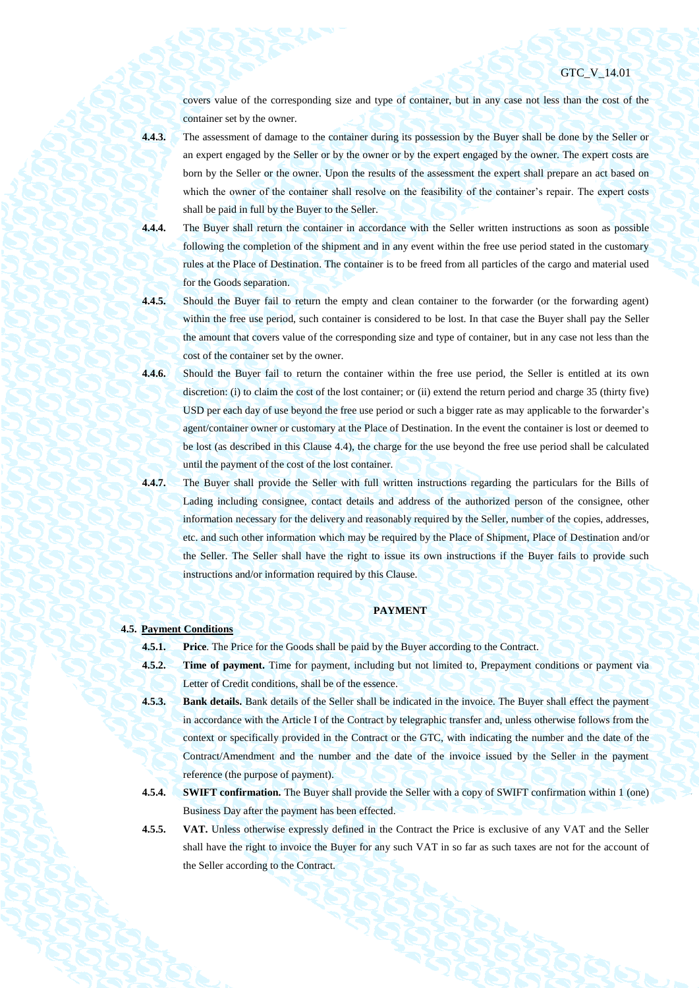covers value of the corresponding size and type of container, but in any case not less than the cost of the container set by the owner.

**4.4.3.** The assessment of damage to the container during its possession by the Buyer shall be done by the Seller or an expert engaged by the Seller or by the owner or by the expert engaged by the owner. The expert costs are born by the Seller or the owner. Upon the results of the assessment the expert shall prepare an act based on which the owner of the container shall resolve on the feasibility of the container's repair. The expert costs shall be paid in full by the Buyer to the Seller.

- **4.4.4.** The Buyer shall return the container in accordance with the Seller written instructions as soon as possible following the completion of the shipment and in any event within the free use period stated in the customary rules at the Place of Destination. The container is to be freed from all particles of the cargo and material used for the Goods separation.
- **4.4.5.** Should the Buyer fail to return the empty and clean container to the forwarder (or the forwarding agent) within the free use period, such container is considered to be lost. In that case the Buyer shall pay the Seller the amount that covers value of the corresponding size and type of container, but in any case not less than the cost of the container set by the owner.
- **4.4.6.** Should the Buyer fail to return the container within the free use period, the Seller is entitled at its own discretion: (i) to claim the cost of the lost container; or (ii) extend the return period and charge 35 (thirty five) USD per each day of use beyond the free use period or such a bigger rate as may applicable to the forwarder's agent/container owner or customary at the Place of Destination. In the event the container is lost or deemed to be lost (as described in this Clause [4.4\)](#page-25-0), the charge for the use beyond the free use period shall be calculated until the payment of the cost of the lost container.
- **4.4.7.** The Buyer shall provide the Seller with full written instructions regarding the particulars for the Bills of Lading including consignee, contact details and address of the authorized person of the consignee, other information necessary for the delivery and reasonably required by the Seller, number of the copies, addresses, etc. and such other information which may be required by the Place of Shipment, Place of Destination and/or the Seller. The Seller shall have the right to issue its own instructions if the Buyer fails to provide such instructions and/or information required by this Clause.

## **PAYMENT**

### **4.5. Payment Conditions**

**4.5.1. Price**. The Price for the Goods shall be paid by the Buyer according to the Contract.

- **4.5.2. Time of payment.** Time for payment, including but not limited to, Prepayment conditions or payment via Letter of Credit conditions, shall be of the essence.
- **4.5.3. Bank details.** Bank details of the Seller shall be indicated in the invoice. The Buyer shall effect the payment in accordance with the Article I of the Contract by telegraphic transfer and, unless otherwise follows from the context or specifically provided in the Contract or the GTC, with indicating the number and the date of the Contract/Amendment and the number and the date of the invoice issued by the Seller in the payment reference (the purpose of payment).
- **4.5.4. SWIFT confirmation.** The Buyer shall provide the Seller with a copy of SWIFT confirmation within 1 (one) Business Day after the payment has been effected.
- **4.5.5. VAT.** Unless otherwise expressly defined in the Contract the Price is exclusive of any VAT and the Seller shall have the right to invoice the Buyer for any such VAT in so far as such taxes are not for the account of the Seller according to the Contract.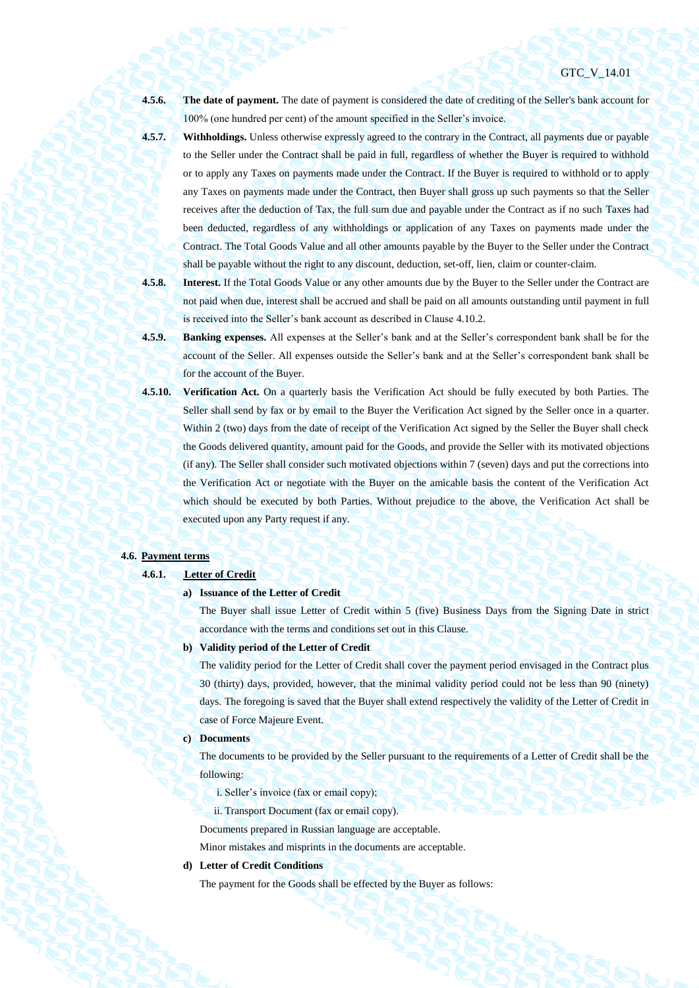**4.5.6. The date of payment.** The date of payment is considered the date of crediting of the Seller's bank account for 100% (one hundred per cent) of the amount specified in the Seller's invoice.

- **4.5.7. Withholdings.** Unless otherwise expressly agreed to the contrary in the Contract, all payments due or payable to the Seller under the Contract shall be paid in full, regardless of whether the Buyer is required to withhold or to apply any Taxes on payments made under the Contract. If the Buyer is required to withhold or to apply any Taxes on payments made under the Contract, then Buyer shall gross up such payments so that the Seller receives after the deduction of Tax, the full sum due and payable under the Contract as if no such Taxes had been deducted, regardless of any withholdings or application of any Taxes on payments made under the Contract. The Total Goods Value and all other amounts payable by the Buyer to the Seller under the Contract shall be payable without the right to any discount, deduction, set-off, lien, claim or counter-claim.
- **4.5.8. Interest.** If the Total Goods Value or any other amounts due by the Buyer to the Seller under the Contract are not paid when due, interest shall be accrued and shall be paid on all amounts outstanding until payment in full is received into the Seller's bank account as described in Clause 4.10.2.
- **4.5.9. Banking expenses.** All expenses at the Seller's bank and at the Seller's correspondent bank shall be for the account of the Seller. All expenses outside the Seller's bank and at the Seller's correspondent bank shall be for the account of the Buyer.
- <span id="page-27-0"></span>**4.5.10. Verification Act.** On a quarterly basis the Verification Act should be fully executed by both Parties. The Seller shall send by fax or by email to the Buyer the Verification Act signed by the Seller once in a quarter. Within 2 (two) days from the date of receipt of the Verification Act signed by the Seller the Buyer shall check the Goods delivered quantity, amount paid for the Goods, and provide the Seller with its motivated objections (if any). The Seller shall consider such motivated objections within 7 (seven) days and put the corrections into the Verification Act or negotiate with the Buyer on the amicable basis the content of the Verification Act which should be executed by both Parties. Without prejudice to the above, the Verification Act shall be executed upon any Party request if any.

#### <span id="page-27-1"></span>**4.6. Payment terms**

**4.6.1. Letter of Credit**

#### **a) Issuance of the Letter of Credit**

The Buyer shall issue Letter of Credit within 5 (five) Business Days from the Signing Date in strict accordance with the terms and conditions set out in this Clause.

#### **b) Validity period of the Letter of Credit**

The validity period for the Letter of Credit shall cover the payment period envisaged in the Contract plus 30 (thirty) days, provided, however, that the minimal validity period could not be less than 90 (ninety) days. The foregoing is saved that the Buyer shall extend respectively the validity of the Letter of Credit in case of Force Majeure Event.

# **c) Documents**

The documents to be provided by the Seller pursuant to the requirements of a Letter of Credit shall be the following:

- i. Seller's invoice (fax or email copy);
- ii. Transport Document (fax or email copy).
- Documents prepared in Russian language are acceptable.

Minor mistakes and misprints in the documents are acceptable.

# **d) Letter of Credit Conditions**

The payment for the Goods shall be effected by the Buyer as follows: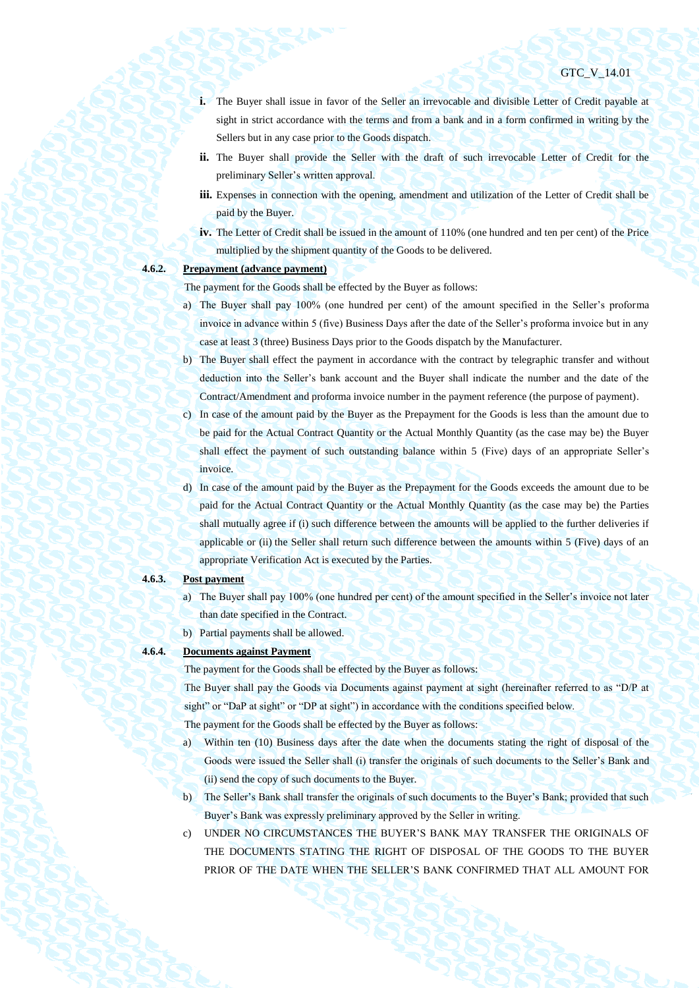- **i.** The Buyer shall issue in favor of the Seller an irrevocable and divisible Letter of Credit payable at sight in strict accordance with the terms and from a bank and in a form confirmed in writing by the Sellers but in any case prior to the Goods dispatch.
- **ii.** The Buyer shall provide the Seller with the draft of such irrevocable Letter of Credit for the preliminary Seller's written approval.
- **iii.** Expenses in connection with the opening, amendment and utilization of the Letter of Credit shall be paid by the Buyer.
- **iv.** The Letter of Credit shall be issued in the amount of 110% (one hundred and ten per cent) of the Price multiplied by the shipment quantity of the Goods to be delivered.

# <span id="page-28-0"></span>**4.6.2. Prepayment (advance payment)**

The payment for the Goods shall be effected by the Buyer as follows:

- a) The Buyer shall pay 100% (one hundred per cent) of the amount specified in the Seller's proforma invoice in advance within 5 (five) Business Days after the date of the Seller's proforma invoice but in any case at least 3 (three) Business Days prior to the Goods dispatch by the Manufacturer.
- b) The Buyer shall effect the payment in accordance with the contract by telegraphic transfer and without deduction into the Seller's bank account and the Buyer shall indicate the number and the date of the Contract/Amendment and proforma invoice number in the payment reference (the purpose of payment).
- c) In case of the amount paid by the Buyer as the Prepayment for the Goods is less than the amount due to be paid for the Actual Contract Quantity or the Actual Monthly Quantity (as the case may be) the Buyer shall effect the payment of such outstanding balance within 5 (Five) days of an appropriate Seller's invoice.
- d) In case of the amount paid by the Buyer as the Prepayment for the Goods exceeds the amount due to be paid for the Actual Contract Quantity or the Actual Monthly Quantity (as the case may be) the Parties shall mutually agree if (i) such difference between the amounts will be applied to the further deliveries if applicable or (ii) the Seller shall return such difference between the amounts within 5 (Five) days of an appropriate Verification Act is executed by the Parties.

#### **4.6.3. Post payment**

- a) The Buyer shall pay 100% (one hundred per cent) of the amount specified in the Seller's invoice not later than date specified in the Contract.
- b) Partial payments shall be allowed.

# **4.6.4. Documents against Payment**

The payment for the Goods shall be effected by the Buyer as follows:

The Buyer shall pay the Goods via Documents against payment at sight (hereinafter referred to as "D/P at sight" or "DaP at sight" or "DP at sight") in accordance with the conditions specified below.

The payment for the Goods shall be effected by the Buyer as follows:

- a) Within ten (10) Business days after the date when the documents stating the right of disposal of the Goods were issued the Seller shall (i) transfer the originals of such documents to the Seller's Bank and (ii) send the copy of such documents to the Buyer.
- b) The Seller's Bank shall transfer the originals of such documents to the Buyer's Bank; provided that such Buyer's Bank was expressly preliminary approved by the Seller in writing.
- c) UNDER NO CIRCUMSTANCES THE BUYER'S BANK MAY TRANSFER THE ORIGINALS OF THE DOCUMENTS STATING THE RIGHT OF DISPOSAL OF THE GOODS TO THE BUYER PRIOR OF THE DATE WHEN THE SELLER'S BANK CONFIRMED THAT ALL AMOUNT FOR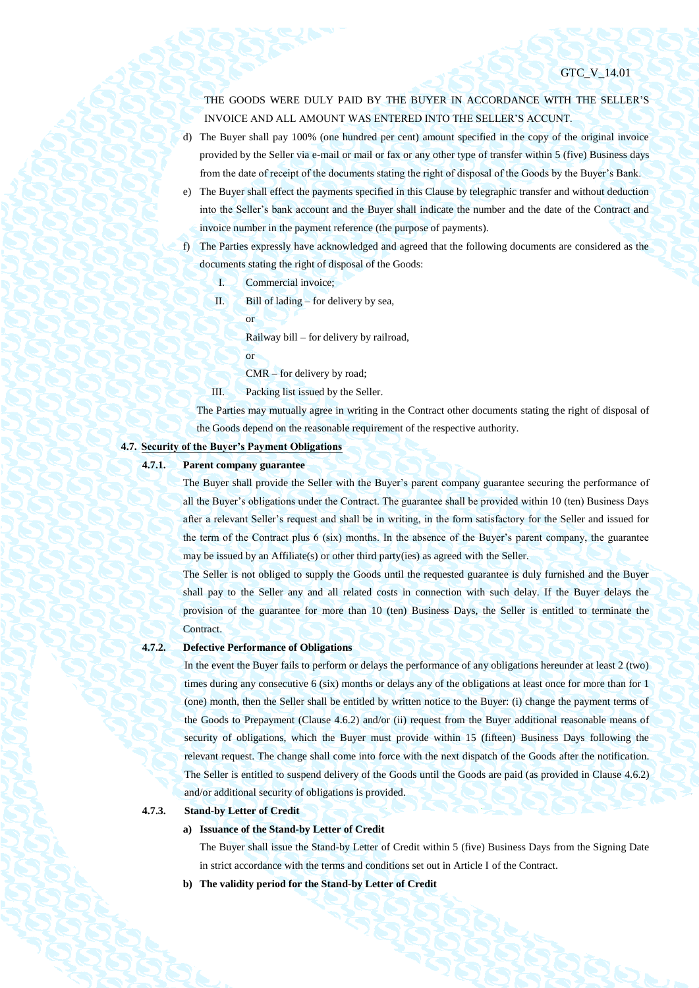THE GOODS WERE DULY PAID BY THE BUYER IN ACCORDANCE WITH THE SELLER'S INVOICE AND ALL AMOUNT WAS ENTERED INTO THE SELLER'S ACCUNT.

- d) The Buyer shall pay 100% (one hundred per cent) amount specified in the copy of the original invoice provided by the Seller via e-mail or mail or fax or any other type of transfer within 5 (five) Business days from the date of receipt of the documents stating the right of disposal of the Goods by the Buyer's Bank.
- e) The Buyer shall effect the payments specified in this Clause by telegraphic transfer and without deduction into the Seller's bank account and the Buyer shall indicate the number and the date of the Contract and invoice number in the payment reference (the purpose of payments).
- f) The Parties expressly have acknowledged and agreed that the following documents are considered as the documents stating the right of disposal of the Goods:
	- I. Commercial invoice;
	- II. Bill of lading for delivery by sea,
		- or

Railway bill – for delivery by railroad,

- or
- CMR for delivery by road;
- III. Packing list issued by the Seller.

The Parties may mutually agree in writing in the Contract other documents stating the right of disposal of the Goods depend on the reasonable requirement of the respective authority.

# **4.7. Security of the Buyer's Payment Obligations**

# **4.7.1. Parent company guarantee**

The Buyer shall provide the Seller with the Buyer's parent company guarantee securing the performance of all the Buyer's obligations under the Contract. The guarantee shall be provided within 10 (ten) Business Days after a relevant Seller's request and shall be in writing, in the form satisfactory for the Seller and issued for the term of the Contract plus 6 (six) months. In the absence of the Buyer's parent company, the guarantee may be issued by an Affiliate(s) or other third party(ies) as agreed with the Seller.

The Seller is not obliged to supply the Goods until the requested guarantee is duly furnished and the Buyer shall pay to the Seller any and all related costs in connection with such delay. If the Buyer delays the provision of the guarantee for more than 10 (ten) Business Days, the Seller is entitled to terminate the **Contract.** 

# **4.7.2. Defective Performance of Obligations**

In the event the Buyer fails to perform or delays the performance of any obligations hereunder at least 2 (two) times during any consecutive 6 (six) months or delays any of the obligations at least once for more than for 1 (one) month, then the Seller shall be entitled by written notice to the Buyer: (i) change the payment terms of the Goods to Prepayment (Clause [4.6.2\)](#page-28-0) and/or (ii) request from the Buyer additional reasonable means of security of obligations, which the Buyer must provide within 15 (fifteen) Business Days following the relevant request. The change shall come into force with the next dispatch of the Goods after the notification. The Seller is entitled to suspend delivery of the Goods until the Goods are paid (as provided in Clause [4.6.2\)](#page-28-0) and/or additional security of obligations is provided.

# **4.7.3. Stand-by Letter of Credit**

# **a) Issuance of the Stand-by Letter of Credit**

The Buyer shall issue the Stand-by Letter of Credit within 5 (five) Business Days from the Signing Date in strict accordance with the terms and conditions set out in Article I of the Contract.

**b) The validity period for the Stand-by Letter of Credit**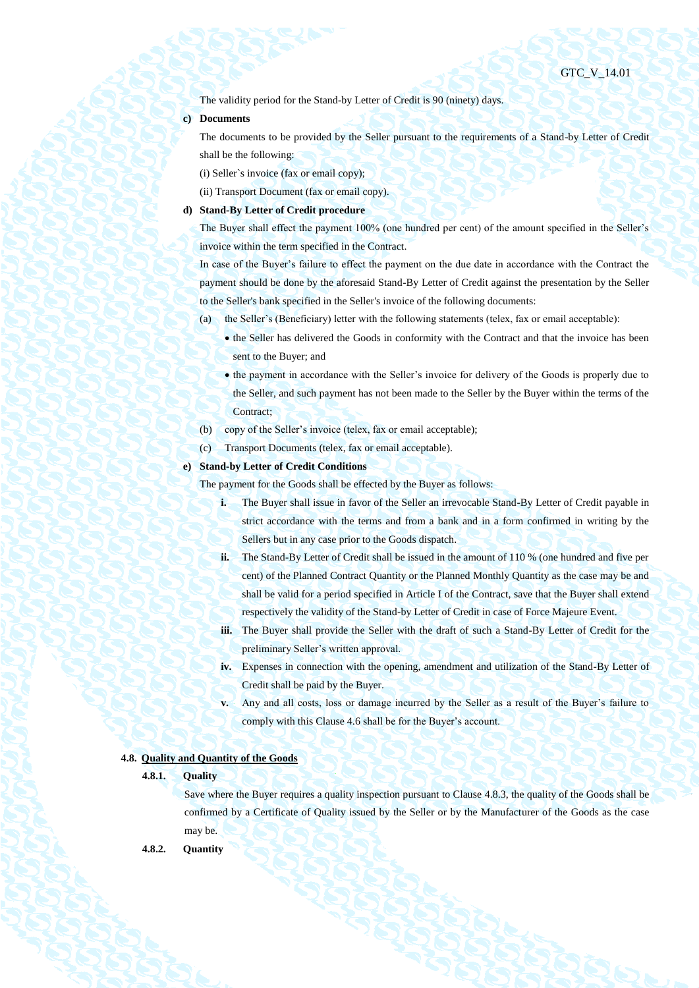The validity period for the Stand-by Letter of Credit is 90 (ninety) days.

#### **c) Documents**

The documents to be provided by the Seller pursuant to the requirements of a Stand-by Letter of Credit shall be the following:

(i) Seller`s invoice (fax or email copy);

(ii) Transport Document (fax or email copy).

## **d) Stand-By Letter of Credit procedure**

The Buyer shall effect the payment 100% (one hundred per cent) of the amount specified in the Seller's invoice within the term specified in the Contract.

In case of the Buyer's failure to effect the payment on the due date in accordance with the Contract the payment should be done by the aforesaid Stand-By Letter of Credit against the presentation by the Seller to the Seller's bank specified in the Seller's invoice of the following documents:

- (a) the Seller's (Beneficiary) letter with the following statements (telex, fax or email acceptable):
	- the Seller has delivered the Goods in conformity with the Contract and that the invoice has been sent to the Buyer; and
	- the payment in accordance with the Seller's invoice for delivery of the Goods is properly due to the Seller, and such payment has not been made to the Seller by the Buyer within the terms of the Contract;
- (b) copy of the Seller's invoice (telex, fax or email acceptable);
- (c) Transport Documents (telex, fax or email acceptable).

#### **e) Stand-by Letter of Credit Conditions**

The payment for the Goods shall be effected by the Buyer as follows:

- **i.** The Buyer shall issue in favor of the Seller an irrevocable Stand-By Letter of Credit payable in strict accordance with the terms and from a bank and in a form confirmed in writing by the Sellers but in any case prior to the Goods dispatch.
- **ii.** The Stand-By Letter of Credit shall be issued in the amount of 110 % (one hundred and five per cent) of the Planned Contract Quantity or the Planned Monthly Quantity as the case may be and shall be valid for a period specified in Article I of the Contract, save that the Buyer shall extend respectively the validity of the Stand-by Letter of Credit in case of Force Majeure Event.
- **iii.** The Buyer shall provide the Seller with the draft of such a Stand-By Letter of Credit for the preliminary Seller's written approval.
- **iv.** Expenses in connection with the opening, amendment and utilization of the Stand-By Letter of Credit shall be paid by the Buyer.
- **v.** Any and all costs, loss or damage incurred by the Seller as a result of the Buyer's failure to comply with this Claus[e 4.6](#page-27-1) shall be for the Buyer's account.

### **4.8. Quality and Quantity of the Goods**

# **4.8.1. Quality**

Save where the Buyer requires a quality inspection pursuant to Clause [4.8.3,](#page-31-0) the quality of the Goods shall be confirmed by a Certificate of Quality issued by the Seller or by the Manufacturer of the Goods as the case may be.

**4.8.2. Quantity**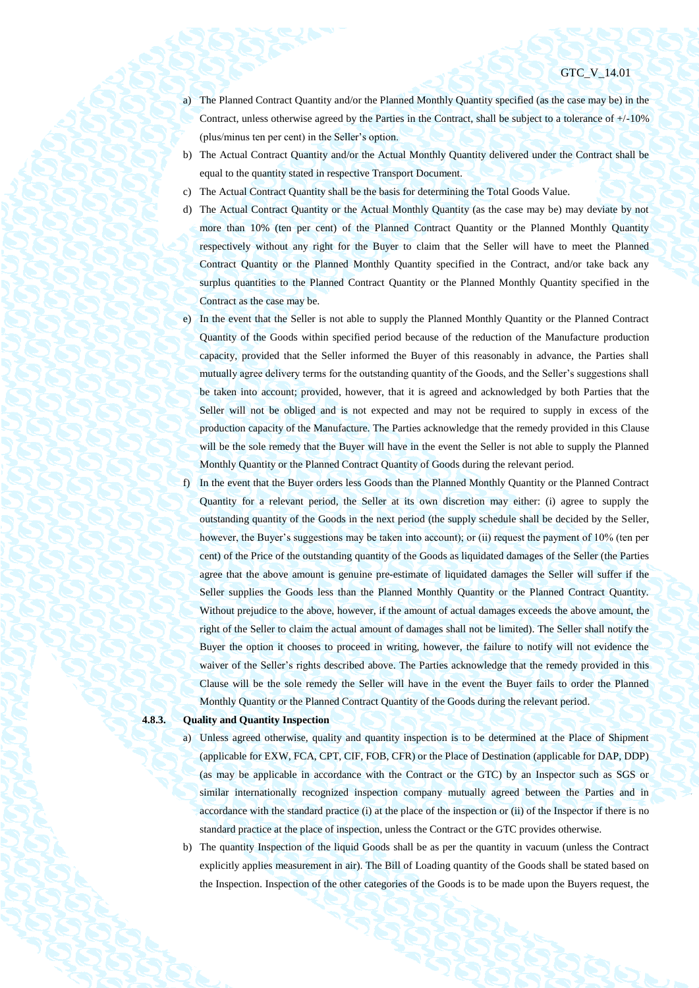- a) The Planned Contract Quantity and/or the Planned Monthly Quantity specified (as the case may be) in the Contract, unless otherwise agreed by the Parties in the Contract, shall be subject to a tolerance of  $+/10\%$ (plus/minus ten per cent) in the Seller's option.
- b) The Actual Contract Quantity and/or the Actual Monthly Quantity delivered under the Contract shall be equal to the quantity stated in respective Transport Document.
- c) The Actual Contract Quantity shall be the basis for determining the Total Goods Value.
- d) The Actual Contract Quantity or the Actual Monthly Quantity (as the case may be) may deviate by not more than 10% (ten per cent) of the Planned Contract Quantity or the Planned Monthly Quantity respectively without any right for the Buyer to claim that the Seller will have to meet the Planned Contract Quantity or the Planned Monthly Quantity specified in the Contract, and/or take back any surplus quantities to the Planned Contract Quantity or the Planned Monthly Quantity specified in the Contract as the case may be.
- e) In the event that the Seller is not able to supply the Planned Monthly Quantity or the Planned Contract Quantity of the Goods within specified period because of the reduction of the Manufacture production capacity, provided that the Seller informed the Buyer of this reasonably in advance, the Parties shall mutually agree delivery terms for the outstanding quantity of the Goods, and the Seller's suggestions shall be taken into account; provided, however, that it is agreed and acknowledged by both Parties that the Seller will not be obliged and is not expected and may not be required to supply in excess of the production capacity of the Manufacture. The Parties acknowledge that the remedy provided in this Clause will be the sole remedy that the Buyer will have in the event the Seller is not able to supply the Planned Monthly Quantity or the Planned Contract Quantity of Goods during the relevant period.
- f) In the event that the Buyer orders less Goods than the Planned Monthly Quantity or the Planned Contract Quantity for a relevant period, the Seller at its own discretion may either: (i) agree to supply the outstanding quantity of the Goods in the next period (the supply schedule shall be decided by the Seller, however, the Buyer's suggestions may be taken into account); or (ii) request the payment of 10% (ten per cent) of the Price of the outstanding quantity of the Goods as liquidated damages of the Seller (the Parties agree that the above amount is genuine pre-estimate of liquidated damages the Seller will suffer if the Seller supplies the Goods less than the Planned Monthly Quantity or the Planned Contract Quantity. Without prejudice to the above, however, if the amount of actual damages exceeds the above amount, the right of the Seller to claim the actual amount of damages shall not be limited). The Seller shall notify the Buyer the option it chooses to proceed in writing, however, the failure to notify will not evidence the waiver of the Seller's rights described above. The Parties acknowledge that the remedy provided in this Clause will be the sole remedy the Seller will have in the event the Buyer fails to order the Planned Monthly Quantity or the Planned Contract Quantity of the Goods during the relevant period.

#### <span id="page-31-1"></span><span id="page-31-0"></span>**4.8.3. Quality and Quantity Inspection**

- a) Unless agreed otherwise, quality and quantity inspection is to be determined at the Place of Shipment (applicable for EXW, FCA, CPT, CIF, FOB, CFR) or the Place of Destination (applicable for DAP, DDP) (as may be applicable in accordance with the Contract or the GTC) by an Inspector such as SGS or similar internationally recognized inspection company mutually agreed between the Parties and in accordance with the standard practice (i) at the place of the inspection or (ii) of the Inspector if there is no standard practice at the place of inspection, unless the Contract or the GTC provides otherwise.
- <span id="page-31-2"></span>b) The quantity Inspection of the liquid Goods shall be as per the quantity in vacuum (unless the Contract explicitly applies measurement in air). The Bill of Loading quantity of the Goods shall be stated based on the Inspection. Inspection of the other categories of the Goods is to be made upon the Buyers request, the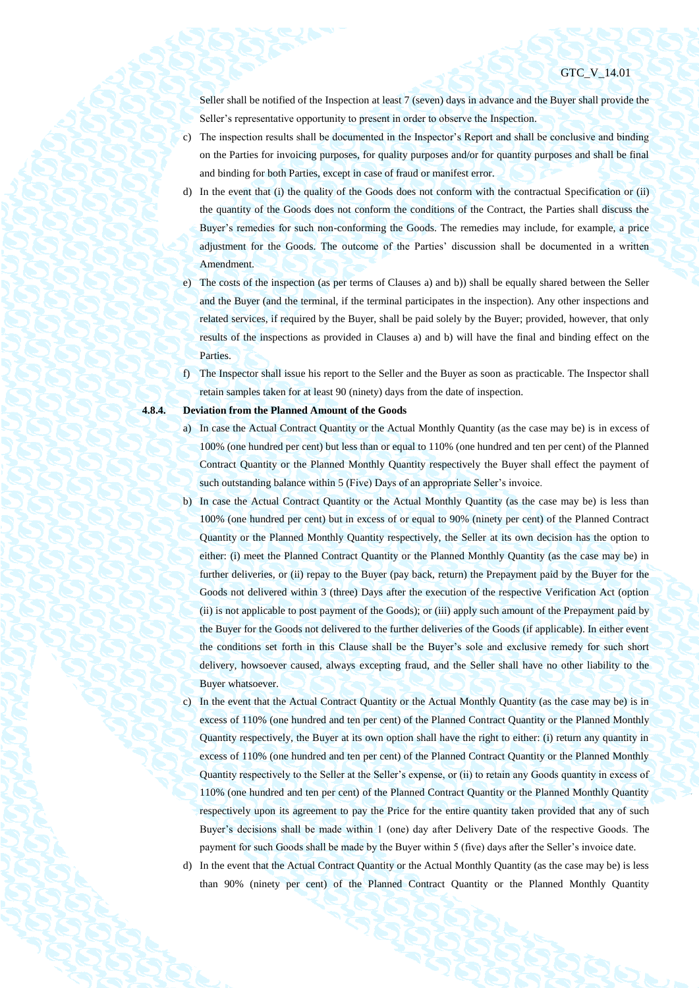Seller shall be notified of the Inspection at least 7 (seven) days in advance and the Buyer shall provide the Seller's representative opportunity to present in order to observe the Inspection.

- c) The inspection results shall be documented in the Inspector's Report and shall be conclusive and binding on the Parties for invoicing purposes, for quality purposes and/or for quantity purposes and shall be final and binding for both Parties, except in case of fraud or manifest error.
- d) In the event that (i) the quality of the Goods does not conform with the contractual Specification or (ii) the quantity of the Goods does not conform the conditions of the Contract, the Parties shall discuss the Buyer's remedies for such non-conforming the Goods. The remedies may include, for example, a price adjustment for the Goods. The outcome of the Parties' discussion shall be documented in a written Amendment.
- e) The costs of the inspection (as per terms of Clauses [a\)](#page-31-1) an[d b\)\)](#page-31-2) shall be equally shared between the Seller and the Buyer (and the terminal, if the terminal participates in the inspection). Any other inspections and related services, if required by the Buyer, shall be paid solely by the Buyer; provided, however, that only results of the inspections as provided in Clauses [a\)](#page-31-1) and [b\)](#page-31-2) will have the final and binding effect on the Parties.
- f) The Inspector shall issue his report to the Seller and the Buyer as soon as practicable. The Inspector shall retain samples taken for at least 90 (ninety) days from the date of inspection.

#### <span id="page-32-0"></span>**4.8.4. Deviation from the Planned Amount of the Goods**

- a) In case the Actual Contract Quantity or the Actual Monthly Quantity (as the case may be) is in excess of 100% (one hundred per cent) but less than or equal to 110% (one hundred and ten per cent) of the Planned Contract Quantity or the Planned Monthly Quantity respectively the Buyer shall effect the payment of such outstanding balance within 5 (Five) Days of an appropriate Seller's invoice.
- b) In case the Actual Contract Quantity or the Actual Monthly Quantity (as the case may be) is less than 100% (one hundred per cent) but in excess of or equal to 90% (ninety per cent) of the Planned Contract Quantity or the Planned Monthly Quantity respectively, the Seller at its own decision has the option to either: (i) meet the Planned Contract Quantity or the Planned Monthly Quantity (as the case may be) in further deliveries, or (ii) repay to the Buyer (pay back, return) the Prepayment paid by the Buyer for the Goods not delivered within 3 (three) Days after the execution of the respective Verification Act (option (ii) is not applicable to post payment of the Goods); or (iii) apply such amount of the Prepayment paid by the Buyer for the Goods not delivered to the further deliveries of the Goods (if applicable). In either event the conditions set forth in this Clause shall be the Buyer's sole and exclusive remedy for such short delivery, howsoever caused, always excepting fraud, and the Seller shall have no other liability to the Buyer whatsoever.
- c) In the event that the Actual Contract Quantity or the Actual Monthly Quantity (as the case may be) is in excess of 110% (one hundred and ten per cent) of the Planned Contract Quantity or the Planned Monthly Quantity respectively, the Buyer at its own option shall have the right to either: (i) return any quantity in excess of 110% (one hundred and ten per cent) of the Planned Contract Quantity or the Planned Monthly Quantity respectively to the Seller at the Seller's expense, or (ii) to retain any Goods quantity in excess of 110% (one hundred and ten per cent) of the Planned Contract Quantity or the Planned Monthly Quantity respectively upon its agreement to pay the Price for the entire quantity taken provided that any of such Buyer's decisions shall be made within 1 (one) day after Delivery Date of the respective Goods. The payment for such Goods shall be made by the Buyer within 5 (five) days after the Seller's invoice date.
- d) In the event that the Actual Contract Quantity or the Actual Monthly Quantity (as the case may be) is less than 90% (ninety per cent) of the Planned Contract Quantity or the Planned Monthly Quantity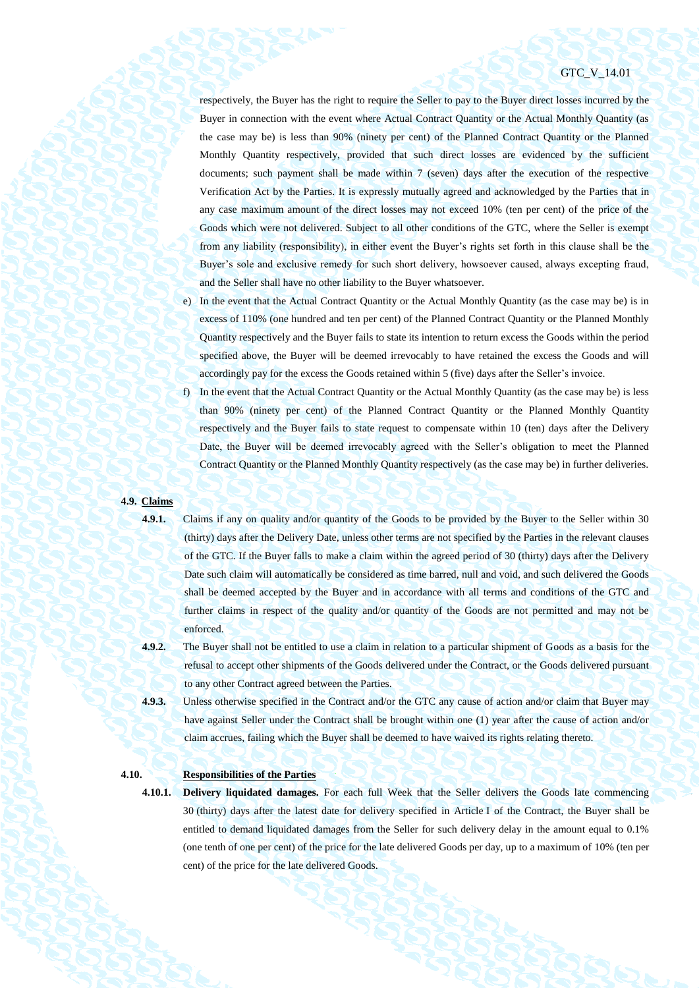respectively, the Buyer has the right to require the Seller to pay to the Buyer direct losses incurred by the Buyer in connection with the event where Actual Contract Quantity or the Actual Monthly Quantity (as the case may be) is less than 90% (ninety per cent) of the Planned Contract Quantity or the Planned Monthly Quantity respectively, provided that such direct losses are evidenced by the sufficient documents; such payment shall be made within 7 (seven) days after the execution of the respective Verification Act by the Parties. It is expressly mutually agreed and acknowledged by the Parties that in any case maximum amount of the direct losses may not exceed 10% (ten per cent) of the price of the Goods which were not delivered. Subject to all other conditions of the GTC, where the Seller is exempt from any liability (responsibility), in either event the Buyer's rights set forth in this clause shall be the Buyer's sole and exclusive remedy for such short delivery, howsoever caused, always excepting fraud, and the Seller shall have no other liability to the Buyer whatsoever.

- e) In the event that the Actual Contract Quantity or the Actual Monthly Quantity (as the case may be) is in excess of 110% (one hundred and ten per cent) of the Planned Contract Quantity or the Planned Monthly Quantity respectively and the Buyer fails to state its intention to return excess the Goods within the period specified above, the Buyer will be deemed irrevocably to have retained the excess the Goods and will accordingly pay for the excess the Goods retained within 5 (five) days after the Seller's invoice.
- f) In the event that the Actual Contract Quantity or the Actual Monthly Quantity (as the case may be) is less than 90% (ninety per cent) of the Planned Contract Quantity or the Planned Monthly Quantity respectively and the Buyer fails to state request to compensate within 10 (ten) days after the Delivery Date, the Buyer will be deemed irrevocably agreed with the Seller's obligation to meet the Planned Contract Quantity or the Planned Monthly Quantity respectively (as the case may be) in further deliveries.

#### **4.9. Claims**

<span id="page-33-0"></span>**4.9.1.** Claims if any on quality and/or quantity of the Goods to be provided by the Buyer to the Seller within 30 (thirty) days after the Delivery Date, unless other terms are not specified by the Parties in the relevant clauses of the GTC. If the Buyer falls to make a claim within the agreed period of 30 (thirty) days after the Delivery Date such claim will automatically be considered as time barred, null and void, and such delivered the Goods shall be deemed accepted by the Buyer and in accordance with all terms and conditions of the GTC and further claims in respect of the quality and/or quantity of the Goods are not permitted and may not be enforced.

**4.9.2.** The Buyer shall not be entitled to use a claim in relation to a particular shipment of Goods as a basis for the refusal to accept other shipments of the Goods delivered under the Contract, or the Goods delivered pursuant to any other Contract agreed between the Parties.

**4.9.3.** Unless otherwise specified in the Contract and/or the GTC any cause of action and/or claim that Buyer may have against Seller under the Contract shall be brought within one (1) year after the cause of action and/or claim accrues, failing which the Buyer shall be deemed to have waived its rights relating thereto.

# **4.10. Responsibilities of the Parties**

**4.10.1. Delivery liquidated damages.** For each full Week that the Seller delivers the Goods late commencing 30 (thirty) days after the latest date for delivery specified in Article I of the Contract, the Buyer shall be entitled to demand liquidated damages from the Seller for such delivery delay in the amount equal to 0.1% (one tenth of one per cent) of the price for the late delivered Goods per day, up to a maximum of 10% (ten per cent) of the price for the late delivered Goods.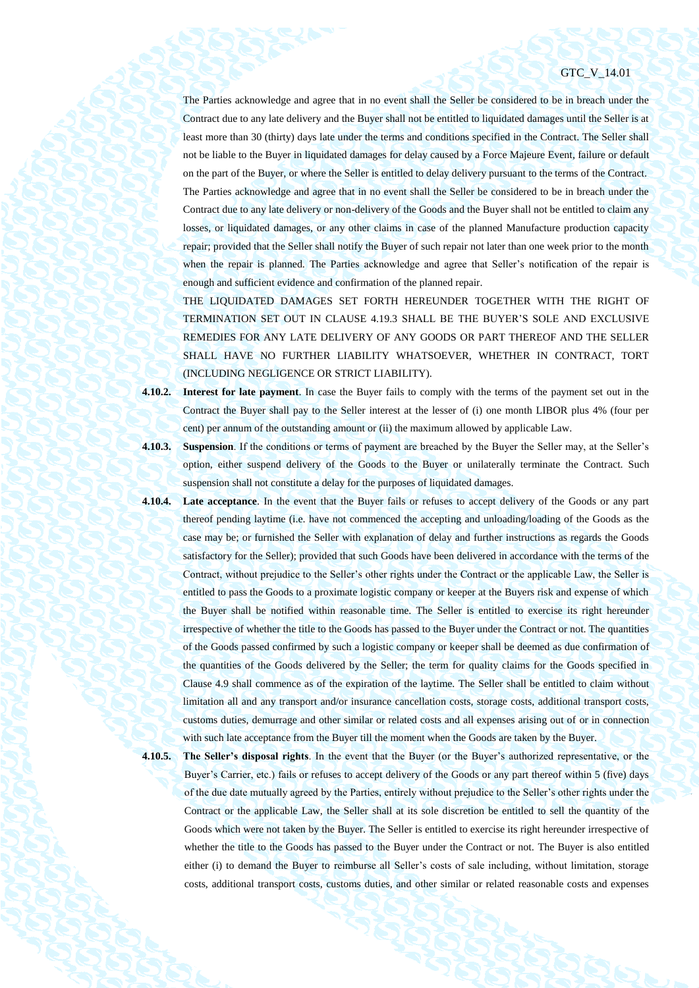The Parties acknowledge and agree that in no event shall the Seller be considered to be in breach under the Contract due to any late delivery and the Buyer shall not be entitled to liquidated damages until the Seller is at least more than 30 (thirty) days late under the terms and conditions specified in the Contract. The Seller shall not be liable to the Buyer in liquidated damages for delay caused by a Force Majeure Event, failure or default on the part of the Buyer, or where the Seller is entitled to delay delivery pursuant to the terms of the Contract. The Parties acknowledge and agree that in no event shall the Seller be considered to be in breach under the Contract due to any late delivery or non-delivery of the Goods and the Buyer shall not be entitled to claim any losses, or liquidated damages, or any other claims in case of the planned Manufacture production capacity repair; provided that the Seller shall notify the Buyer of such repair not later than one week prior to the month when the repair is planned. The Parties acknowledge and agree that Seller's notification of the repair is enough and sufficient evidence and confirmation of the planned repair.

THE LIQUIDATED DAMAGES SET FORTH HEREUNDER TOGETHER WITH THE RIGHT OF TERMINATION SET OUT IN CLAUSE [4.19.3](#page-40-1) SHALL BE THE BUYER'S SOLE AND EXCLUSIVE REMEDIES FOR ANY LATE DELIVERY OF ANY GOODS OR PART THEREOF AND THE SELLER SHALL HAVE NO FURTHER LIABILITY WHATSOEVER, WHETHER IN CONTRACT, TORT (INCLUDING NEGLIGENCE OR STRICT LIABILITY).

**4.10.2. Interest for late payment**. In case the Buyer fails to comply with the terms of the payment set out in the Contract the Buyer shall pay to the Seller interest at the lesser of (i) one month LIBOR plus 4% (four per cent) per annum of the outstanding amount or (ii) the maximum allowed by applicable Law.

**4.10.3. Suspension**. If the conditions or terms of payment are breached by the Buyer the Seller may, at the Seller's option, either suspend delivery of the Goods to the Buyer or unilaterally terminate the Contract. Such suspension shall not constitute a delay for the purposes of liquidated damages.

- **4.10.4. Late acceptance**. In the event that the Buyer fails or refuses to accept delivery of the Goods or any part thereof pending laytime (i.e. have not commenced the accepting and unloading/loading of the Goods as the case may be; or furnished the Seller with explanation of delay and further instructions as regards the Goods satisfactory for the Seller); provided that such Goods have been delivered in accordance with the terms of the Contract, without prejudice to the Seller's other rights under the Contract or the applicable Law, the Seller is entitled to pass the Goods to a proximate logistic company or keeper at the Buyers risk and expense of which the Buyer shall be notified within reasonable time. The Seller is entitled to exercise its right hereunder irrespective of whether the title to the Goods has passed to the Buyer under the Contract or not. The quantities of the Goods passed confirmed by such a logistic company or keeper shall be deemed as due confirmation of the quantities of the Goods delivered by the Seller; the term for quality claims for the Goods specified in Clause [4.9](#page-33-0) shall commence as of the expiration of the laytime. The Seller shall be entitled to claim without limitation all and any transport and/or insurance cancellation costs, storage costs, additional transport costs, customs duties, demurrage and other similar or related costs and all expenses arising out of or in connection with such late acceptance from the Buyer till the moment when the Goods are taken by the Buyer.
- 

**4.10.5. The Seller's disposal rights**. In the event that the Buyer (or the Buyer's authorized representative, or the Buyer's Carrier, etc.) fails or refuses to accept delivery of the Goods or any part thereof within 5 (five) days of the due date mutually agreed by the Parties, entirely without prejudice to the Seller's other rights under the Contract or the applicable Law, the Seller shall at its sole discretion be entitled to sell the quantity of the Goods which were not taken by the Buyer. The Seller is entitled to exercise its right hereunder irrespective of whether the title to the Goods has passed to the Buyer under the Contract or not. The Buyer is also entitled either (i) to demand the Buyer to reimburse all Seller's costs of sale including, without limitation, storage costs, additional transport costs, customs duties, and other similar or related reasonable costs and expenses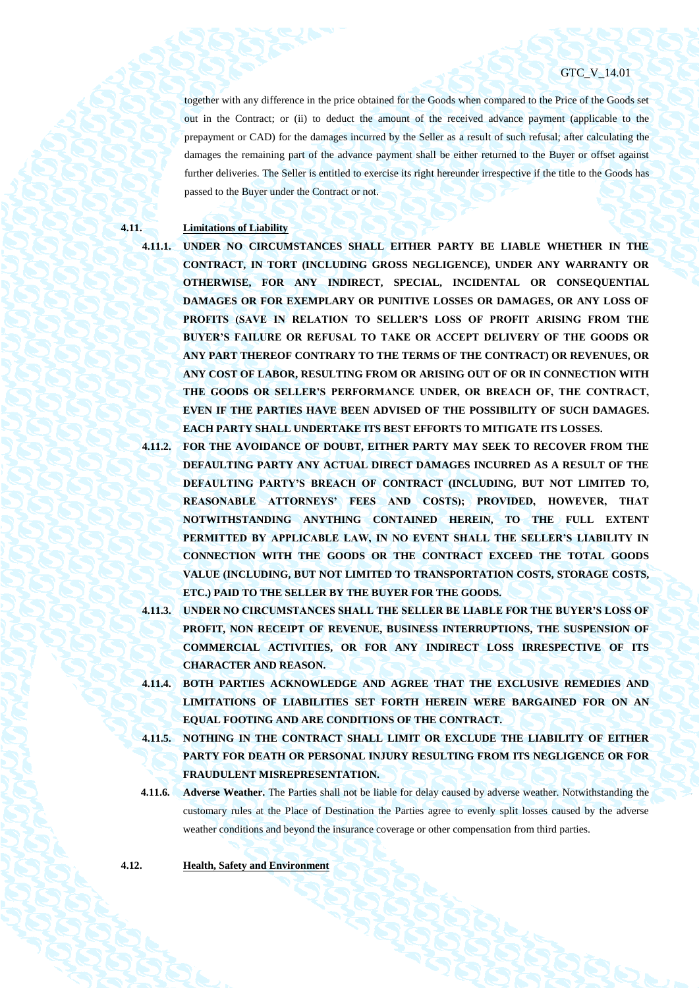together with any difference in the price obtained for the Goods when compared to the Price of the Goods set out in the Contract; or (ii) to deduct the amount of the received advance payment (applicable to the prepayment or CAD) for the damages incurred by the Seller as a result of such refusal; after calculating the damages the remaining part of the advance payment shall be either returned to the Buyer or offset against further deliveries. The Seller is entitled to exercise its right hereunder irrespective if the title to the Goods has passed to the Buyer under the Contract or not.

# **4.11. Limitations of Liability**

**4.11.1. UNDER NO CIRCUMSTANCES SHALL EITHER PARTY BE LIABLE WHETHER IN THE CONTRACT, IN TORT (INCLUDING GROSS NEGLIGENCE), UNDER ANY WARRANTY OR OTHERWISE, FOR ANY INDIRECT, SPECIAL, INCIDENTAL OR CONSEQUENTIAL DAMAGES OR FOR EXEMPLARY OR PUNITIVE LOSSES OR DAMAGES, OR ANY LOSS OF PROFITS (SAVE IN RELATION TO SELLER'S LOSS OF PROFIT ARISING FROM THE BUYER'S FAILURE OR REFUSAL TO TAKE OR ACCEPT DELIVERY OF THE GOODS OR ANY PART THEREOF CONTRARY TO THE TERMS OF THE CONTRACT) OR REVENUES, OR ANY COST OF LABOR, RESULTING FROM OR ARISING OUT OF OR IN CONNECTION WITH THE GOODS OR SELLER'S PERFORMANCE UNDER, OR BREACH OF, THE CONTRACT, EVEN IF THE PARTIES HAVE BEEN ADVISED OF THE POSSIBILITY OF SUCH DAMAGES. EACH PARTY SHALL UNDERTAKE ITS BEST EFFORTS TO MITIGATE ITS LOSSES.**

- **4.11.2. FOR THE AVOIDANCE OF DOUBT, EITHER PARTY MAY SEEK TO RECOVER FROM THE DEFAULTING PARTY ANY ACTUAL DIRECT DAMAGES INCURRED AS A RESULT OF THE DEFAULTING PARTY'S BREACH OF CONTRACT (INCLUDING, BUT NOT LIMITED TO, REASONABLE ATTORNEYS' FEES AND COSTS); PROVIDED, HOWEVER, THAT NOTWITHSTANDING ANYTHING CONTAINED HEREIN, TO THE FULL EXTENT PERMITTED BY APPLICABLE LAW, IN NO EVENT SHALL THE SELLER'S LIABILITY IN CONNECTION WITH THE GOODS OR THE CONTRACT EXCEED THE TOTAL GOODS VALUE (INCLUDING, BUT NOT LIMITED TO TRANSPORTATION COSTS, STORAGE COSTS, ETC.) PAID TO THE SELLER BY THE BUYER FOR THE GOODS.**
- **4.11.3. UNDER NO CIRCUMSTANCES SHALL THE SELLER BE LIABLE FOR THE BUYER'S LOSS OF PROFIT, NON RECEIPT OF REVENUE, BUSINESS INTERRUPTIONS, THE SUSPENSION OF COMMERCIAL ACTIVITIES, OR FOR ANY INDIRECT LOSS IRRESPECTIVE OF ITS CHARACTER AND REASON.**
- **4.11.4. BOTH PARTIES ACKNOWLEDGE AND AGREE THAT THE EXCLUSIVE REMEDIES AND LIMITATIONS OF LIABILITIES SET FORTH HEREIN WERE BARGAINED FOR ON AN EQUAL FOOTING AND ARE CONDITIONS OF THE CONTRACT.**
- **4.11.5. NOTHING IN THE CONTRACT SHALL LIMIT OR EXCLUDE THE LIABILITY OF EITHER PARTY FOR DEATH OR PERSONAL INJURY RESULTING FROM ITS NEGLIGENCE OR FOR FRAUDULENT MISREPRESENTATION.**
- <span id="page-35-0"></span>**4.11.6. Adverse Weather.** The Parties shall not be liable for delay caused by adverse weather. Notwithstanding the customary rules at the Place of Destination the Parties agree to evenly split losses caused by the adverse weather conditions and beyond the insurance coverage or other compensation from third parties.

**4.12. Health, Safety and Environment**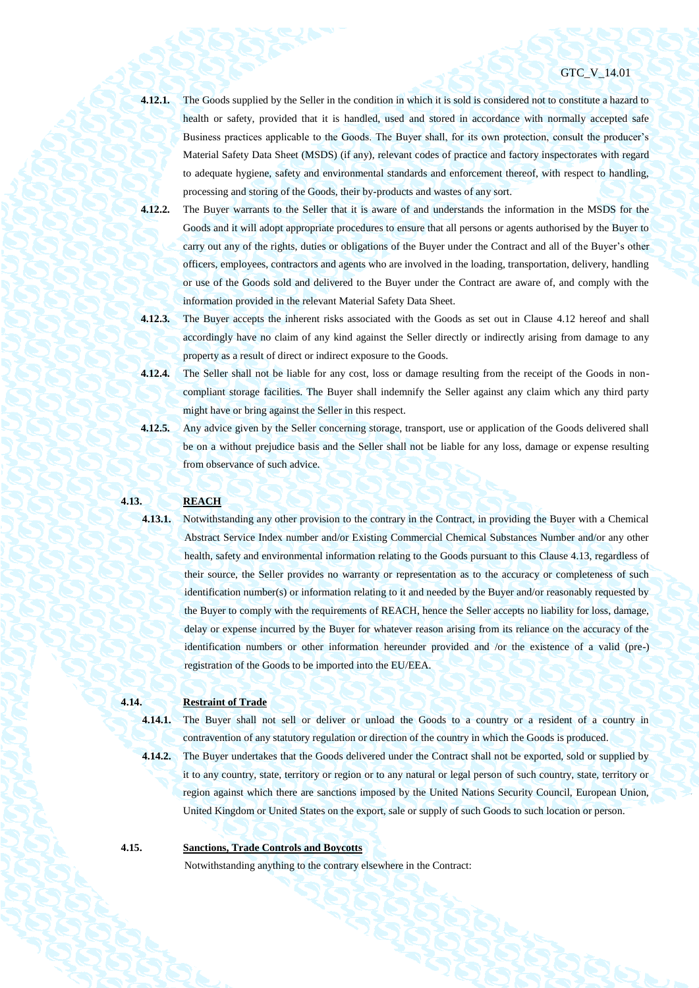- **4.12.1.** The Goods supplied by the Seller in the condition in which it is sold is considered not to constitute a hazard to health or safety, provided that it is handled, used and stored in accordance with normally accepted safe Business practices applicable to the Goods. The Buyer shall, for its own protection, consult the producer's Material Safety Data Sheet (MSDS) (if any), relevant codes of practice and factory inspectorates with regard to adequate hygiene, safety and environmental standards and enforcement thereof, with respect to handling, processing and storing of the Goods, their by-products and wastes of any sort.
- **4.12.2.** The Buyer warrants to the Seller that it is aware of and understands the information in the MSDS for the Goods and it will adopt appropriate procedures to ensure that all persons or agents authorised by the Buyer to carry out any of the rights, duties or obligations of the Buyer under the Contract and all of the Buyer's other officers, employees, contractors and agents who are involved in the loading, transportation, delivery, handling or use of the Goods sold and delivered to the Buyer under the Contract are aware of, and comply with the information provided in the relevant Material Safety Data Sheet.
- **4.12.3.** The Buyer accepts the inherent risks associated with the Goods as set out in Clause [4.12](#page-35-0) hereof and shall accordingly have no claim of any kind against the Seller directly or indirectly arising from damage to any property as a result of direct or indirect exposure to the Goods.
- **4.12.4.** The Seller shall not be liable for any cost, loss or damage resulting from the receipt of the Goods in noncompliant storage facilities. The Buyer shall indemnify the Seller against any claim which any third party might have or bring against the Seller in this respect.
- **4.12.5.** Any advice given by the Seller concerning storage, transport, use or application of the Goods delivered shall be on a without prejudice basis and the Seller shall not be liable for any loss, damage or expense resulting from observance of such advice.

#### <span id="page-36-0"></span>**4.13. REACH**

**4.13.1.** Notwithstanding any other provision to the contrary in the Contract, in providing the Buyer with a Chemical Abstract Service Index number and/or Existing Commercial Chemical Substances Number and/or any other health, safety and environmental information relating to the Goods pursuant to this Clause [4.13,](#page-36-0) regardless of their source, the Seller provides no warranty or representation as to the accuracy or completeness of such identification number(s) or information relating to it and needed by the Buyer and/or reasonably requested by the Buyer to comply with the requirements of REACH, hence the Seller accepts no liability for loss, damage, delay or expense incurred by the Buyer for whatever reason arising from its reliance on the accuracy of the identification numbers or other information hereunder provided and /or the existence of a valid (pre-) registration of the Goods to be imported into the EU/EEA.

# **4.14. Restraint of Trade**

**4.14.1.** The Buyer shall not sell or deliver or unload the Goods to a country or a resident of a country in

contravention of any statutory regulation or direction of the country in which the Goods is produced. **4.14.2.** The Buyer undertakes that the Goods delivered under the Contract shall not be exported, sold or supplied by

it to any country, state, territory or region or to any natural or legal person of such country, state, territory or region against which there are sanctions imposed by the United Nations Security Council, European Union, United Kingdom or United States on the export, sale or supply of such Goods to such location or person.

# **4.15. Sanctions, Trade Controls and Boycotts**

Notwithstanding anything to the contrary elsewhere in the Contract: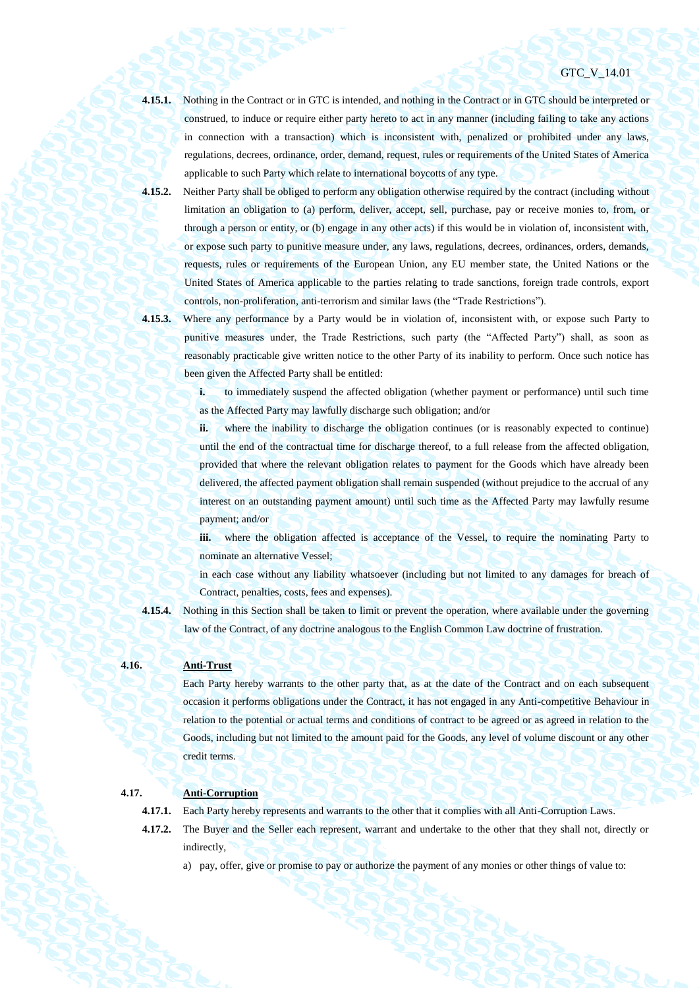**4.15.1.** Nothing in the Contract or in GTC is intended, and nothing in the Contract or in GTC should be interpreted or construed, to induce or require either party hereto to act in any manner (including failing to take any actions in connection with a transaction) which is inconsistent with, penalized or prohibited under any laws, regulations, decrees, ordinance, order, demand, request, rules or requirements of the United States of America applicable to such Party which relate to international boycotts of any type.

- **4.15.2.** Neither Party shall be obliged to perform any obligation otherwise required by the contract (including without limitation an obligation to (a) perform, deliver, accept, sell, purchase, pay or receive monies to, from, or through a person or entity, or (b) engage in any other acts) if this would be in violation of, inconsistent with, or expose such party to punitive measure under, any laws, regulations, decrees, ordinances, orders, demands, requests, rules or requirements of the European Union, any EU member state, the United Nations or the United States of America applicable to the parties relating to trade sanctions, foreign trade controls, export controls, non-proliferation, anti-terrorism and similar laws (the "Trade Restrictions").
- 

**4.15.3.** Where any performance by a Party would be in violation of, inconsistent with, or expose such Party to punitive measures under, the Trade Restrictions, such party (the "Affected Party") shall, as soon as reasonably practicable give written notice to the other Party of its inability to perform. Once such notice has been given the Affected Party shall be entitled:

> **i.** to immediately suspend the affected obligation (whether payment or performance) until such time as the Affected Party may lawfully discharge such obligation; and/or

> **ii.** where the inability to discharge the obligation continues (or is reasonably expected to continue) until the end of the contractual time for discharge thereof, to a full release from the affected obligation, provided that where the relevant obligation relates to payment for the Goods which have already been delivered, the affected payment obligation shall remain suspended (without prejudice to the accrual of any interest on an outstanding payment amount) until such time as the Affected Party may lawfully resume payment; and/or

> iii. where the obligation affected is acceptance of the Vessel, to require the nominating Party to nominate an alternative Vessel;

> in each case without any liability whatsoever (including but not limited to any damages for breach of Contract, penalties, costs, fees and expenses).

**4.15.4.** Nothing in this Section shall be taken to limit or prevent the operation, where available under the governing law of the Contract, of any doctrine analogous to the English Common Law doctrine of frustration.

# **4.16. Anti-Trust**

Each Party hereby warrants to the other party that, as at the date of the Contract and on each subsequent occasion it performs obligations under the Contract, it has not engaged in any Anti-competitive Behaviour in relation to the potential or actual terms and conditions of contract to be agreed or as agreed in relation to the Goods, including but not limited to the amount paid for the Goods, any level of volume discount or any other credit terms.

# **4.17. Anti-Corruption**

- **4.17.1.** Each Party hereby represents and warrants to the other that it complies with all Anti-Corruption Laws.
- **4.17.2.** The Buyer and the Seller each represent, warrant and undertake to the other that they shall not, directly or indirectly,
	- a) pay, offer, give or promise to pay or authorize the payment of any monies or other things of value to: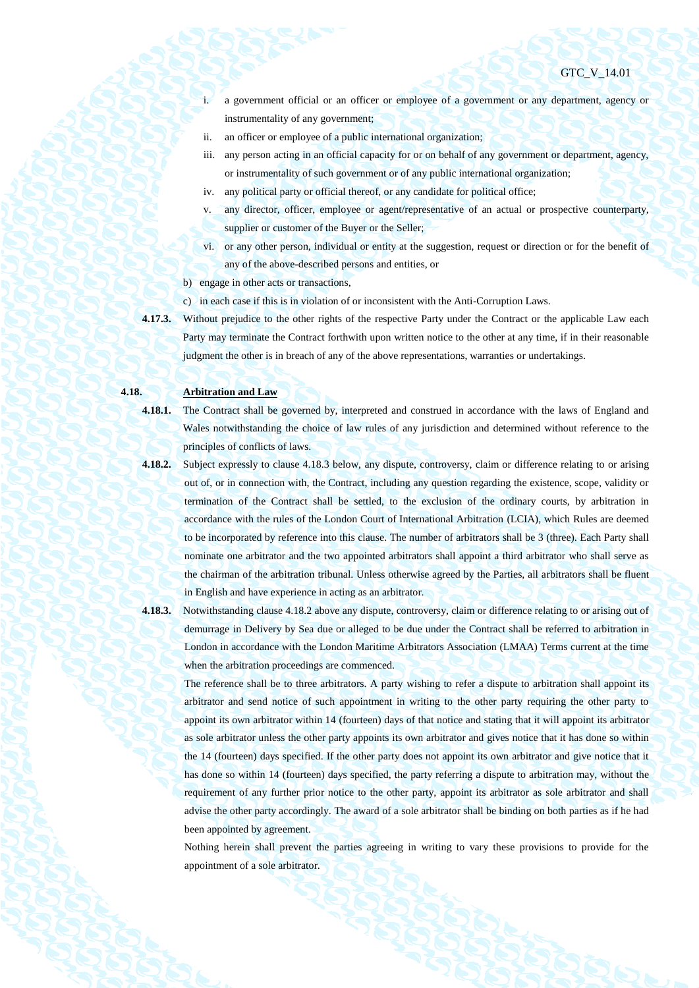- i. a government official or an officer or employee of a government or any department, agency or instrumentality of any government;
- ii. an officer or employee of a public international organization;
- iii. any person acting in an official capacity for or on behalf of any government or department, agency, or instrumentality of such government or of any public international organization;
- iv. any political party or official thereof, or any candidate for political office;
- v. any director, officer, employee or agent/representative of an actual or prospective counterparty, supplier or customer of the Buyer or the Seller;
- vi. or any other person, individual or entity at the suggestion, request or direction or for the benefit of any of the above-described persons and entities, or
- b) engage in other acts or transactions,
- c) in each case if this is in violation of or inconsistent with the Anti-Corruption Laws.
- **4.17.3.** Without prejudice to the other rights of the respective Party under the Contract or the applicable Law each Party may terminate the Contract forthwith upon written notice to the other at any time, if in their reasonable judgment the other is in breach of any of the above representations, warranties or undertakings.

# **4.18. Arbitration and Law**

**4.18.1.** The Contract shall be governed by, interpreted and construed in accordance with the laws of England and Wales notwithstanding the choice of law rules of any jurisdiction and determined without reference to the principles of conflicts of laws.

- **4.18.2.** Subject expressly to clause 4.18.3 below, any dispute, controversy, claim or difference relating to or arising out of, or in connection with, the Contract, including any question regarding the existence, scope, validity or termination of the Contract shall be settled, to the exclusion of the ordinary courts, by arbitration in accordance with the rules of the London Court of International Arbitration (LCIA), which Rules are deemed to be incorporated by reference into this clause. The number of arbitrators shall be 3 (three). Each Party shall nominate one arbitrator and the two appointed arbitrators shall appoint a third arbitrator who shall serve as the chairman of the arbitration tribunal. Unless otherwise agreed by the Parties, all arbitrators shall be fluent in English and have experience in acting as an arbitrator.
- 

**4.18.3.** Notwithstanding clause 4.18.2 above any dispute, controversy, claim or difference relating to or arising out of demurrage in Delivery by Sea due or alleged to be due under the Contract shall be referred to arbitration in London in accordance with the London Maritime Arbitrators Association (LMAA) Terms current at the time when the arbitration proceedings are commenced.

The reference shall be to three arbitrators. A party wishing to refer a dispute to arbitration shall appoint its arbitrator and send notice of such appointment in writing to the other party requiring the other party to appoint its own arbitrator within 14 (fourteen) days of that notice and stating that it will appoint its arbitrator as sole arbitrator unless the other party appoints its own arbitrator and gives notice that it has done so within the 14 (fourteen) days specified. If the other party does not appoint its own arbitrator and give notice that it has done so within 14 (fourteen) days specified, the party referring a dispute to arbitration may, without the requirement of any further prior notice to the other party, appoint its arbitrator as sole arbitrator and shall advise the other party accordingly. The award of a sole arbitrator shall be binding on both parties as if he had been appointed by agreement.

Nothing herein shall prevent the parties agreeing in writing to vary these provisions to provide for the appointment of a sole arbitrator.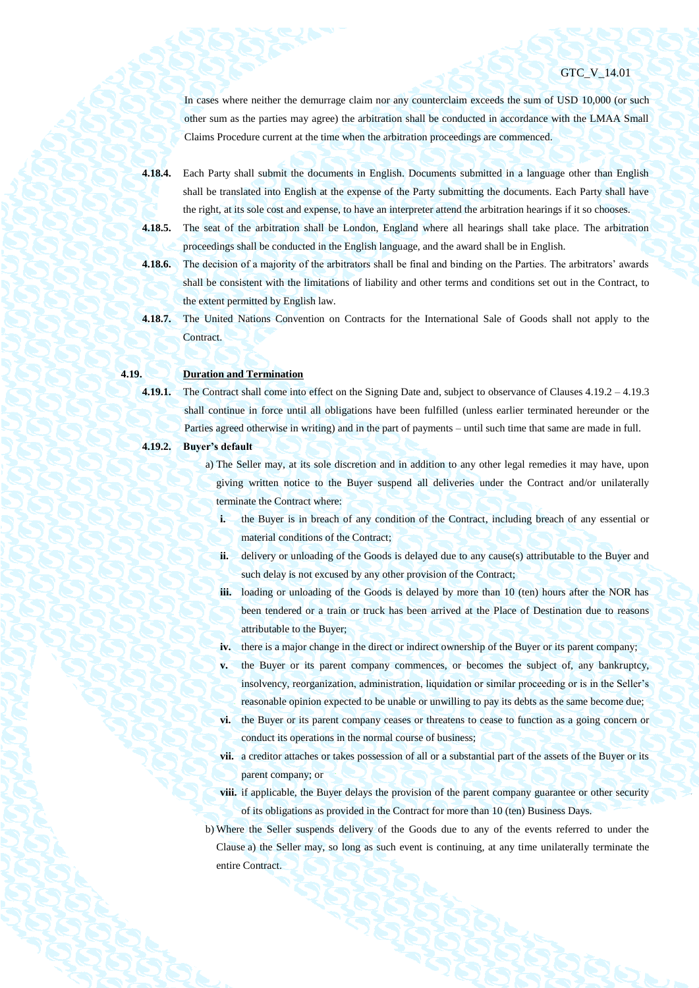In cases where neither the demurrage claim nor any counterclaim exceeds the sum of USD 10,000 (or such other sum as the parties may agree) the arbitration shall be conducted in accordance with the LMAA Small Claims Procedure current at the time when the arbitration proceedings are commenced.

**4.18.4.** Each Party shall submit the documents in English. Documents submitted in a language other than English shall be translated into English at the expense of the Party submitting the documents. Each Party shall have the right, at its sole cost and expense, to have an interpreter attend the arbitration hearings if it so chooses.

**4.18.5.** The seat of the arbitration shall be London, England where all hearings shall take place. The arbitration proceedings shall be conducted in the English language, and the award shall be in English.

- **4.18.6.** The decision of a majority of the arbitrators shall be final and binding on the Parties. The arbitrators' awards shall be consistent with the limitations of liability and other terms and conditions set out in the Contract, to the extent permitted by English law.
- **4.18.7.** The United Nations Convention on Contracts for the International Sale of Goods shall not apply to the **Contract**

# **4.19. Duration and Termination**

**4.19.1.** The Contract shall come into effect on the Signing Date and, subject to observance of Clauses [4.19.2](#page-39-0) – [4.19.3](#page-40-1) shall continue in force until all obligations have been fulfilled (unless earlier terminated hereunder or the

Parties agreed otherwise in writing) and in the part of payments – until such time that same are made in full.

### <span id="page-39-1"></span><span id="page-39-0"></span>**4.19.2. Buyer's default**

- a) The Seller may, at its sole discretion and in addition to any other legal remedies it may have, upon giving written notice to the Buyer suspend all deliveries under the Contract and/or unilaterally terminate the Contract where:
	- **i.** the Buyer is in breach of any condition of the Contract, including breach of any essential or material conditions of the Contract;
	- **ii.** delivery or unloading of the Goods is delayed due to any cause(s) attributable to the Buyer and such delay is not excused by any other provision of the Contract;
	- **iii.** loading or unloading of the Goods is delayed by more than 10 (ten) hours after the NOR has been tendered or a train or truck has been arrived at the Place of Destination due to reasons attributable to the Buyer;
	- **iv.** there is a major change in the direct or indirect ownership of the Buyer or its parent company;
	- **v.** the Buyer or its parent company commences, or becomes the subject of, any bankruptcy, insolvency, reorganization, administration, liquidation or similar proceeding or is in the Seller's reasonable opinion expected to be unable or unwilling to pay its debts as the same become due;
	- **vi.** the Buyer or its parent company ceases or threatens to cease to function as a going concern or conduct its operations in the normal course of business;
	- **vii.** a creditor attaches or takes possession of all or a substantial part of the assets of the Buyer or its parent company; or
	- **viii.** if applicable, the Buyer delays the provision of the parent company guarantee or other security of its obligations as provided in the Contract for more than 10 (ten) Business Days.
- b) Where the Seller suspends delivery of the Goods due to any of the events referred to under the Clause [a\)](#page-39-1) the Seller may, so long as such event is continuing, at any time unilaterally terminate the entire Contract.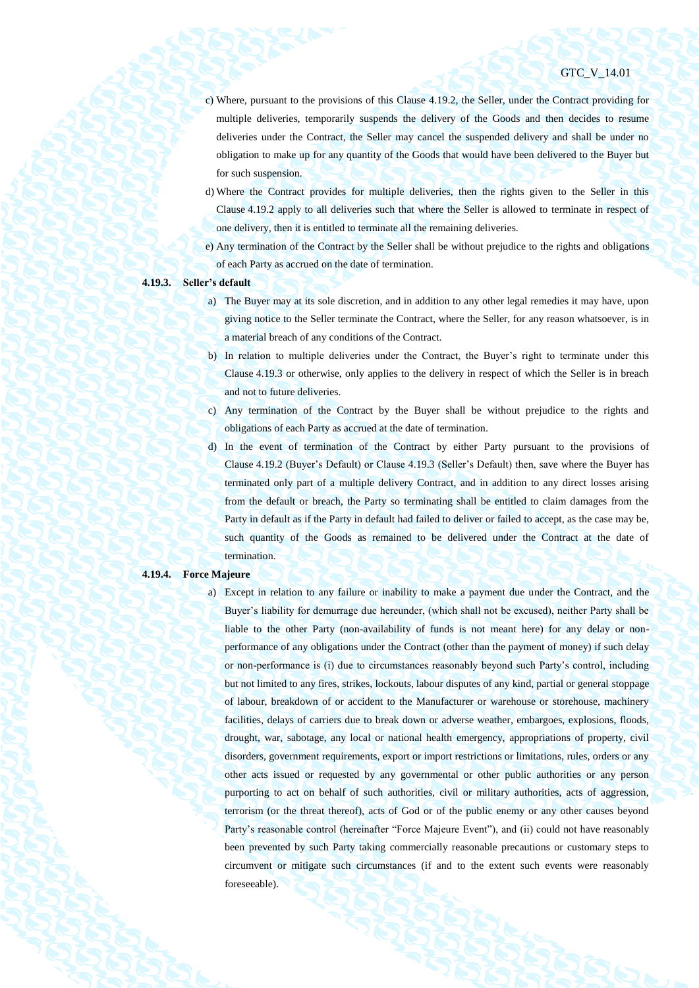- c) Where, pursuant to the provisions of this Clause [4.19.2,](#page-39-0) the Seller, under the Contract providing for multiple deliveries, temporarily suspends the delivery of the Goods and then decides to resume deliveries under the Contract, the Seller may cancel the suspended delivery and shall be under no obligation to make up for any quantity of the Goods that would have been delivered to the Buyer but for such suspension.
- d) Where the Contract provides for multiple deliveries, then the rights given to the Seller in this Clause [4.19.2](#page-39-0) apply to all deliveries such that where the Seller is allowed to terminate in respect of one delivery, then it is entitled to terminate all the remaining deliveries.
- e) Any termination of the Contract by the Seller shall be without prejudice to the rights and obligations of each Party as accrued on the date of termination.

#### <span id="page-40-1"></span>**4.19.3. Seller's default**

- a) The Buyer may at its sole discretion, and in addition to any other legal remedies it may have, upon giving notice to the Seller terminate the Contract, where the Seller, for any reason whatsoever, is in a material breach of any conditions of the Contract.
- b) In relation to multiple deliveries under the Contract, the Buyer's right to terminate under this Clause [4.19.3](#page-40-1) or otherwise, only applies to the delivery in respect of which the Seller is in breach and not to future deliveries.
- c) Any termination of the Contract by the Buyer shall be without prejudice to the rights and obligations of each Party as accrued at the date of termination.
- d) In the event of termination of the Contract by either Party pursuant to the provisions of Clause [4.19.2](#page-39-0) (Buyer's Default) or Claus[e 4.19.3](#page-40-1) (Seller's Default) then, save where the Buyer has terminated only part of a multiple delivery Contract, and in addition to any direct losses arising from the default or breach, the Party so terminating shall be entitled to claim damages from the Party in default as if the Party in default had failed to deliver or failed to accept, as the case may be, such quantity of the Goods as remained to be delivered under the Contract at the date of termination.

#### <span id="page-40-0"></span>**4.19.4. Force Majeure**

a) Except in relation to any failure or inability to make a payment due under the Contract, and the Buyer's liability for demurrage due hereunder, (which shall not be excused), neither Party shall be liable to the other Party (non-availability of funds is not meant here) for any delay or nonperformance of any obligations under the Contract (other than the payment of money) if such delay or non-performance is (i) due to circumstances reasonably beyond such Party's control, including but not limited to any fires, strikes, lockouts, labour disputes of any kind, partial or general stoppage of labour, breakdown of or accident to the Manufacturer or warehouse or storehouse, machinery facilities, delays of carriers due to break down or adverse weather, embargoes, explosions, floods, drought, war, sabotage, any local or national health emergency, appropriations of property, civil disorders, government requirements, export or import restrictions or limitations, rules, orders or any other acts issued or requested by any governmental or other public authorities or any person purporting to act on behalf of such authorities, civil or military authorities, acts of aggression, terrorism (or the threat thereof), acts of God or of the public enemy or any other causes beyond Party's reasonable control (hereinafter "Force Majeure Event"), and (ii) could not have reasonably been prevented by such Party taking commercially reasonable precautions or customary steps to circumvent or mitigate such circumstances (if and to the extent such events were reasonably foreseeable).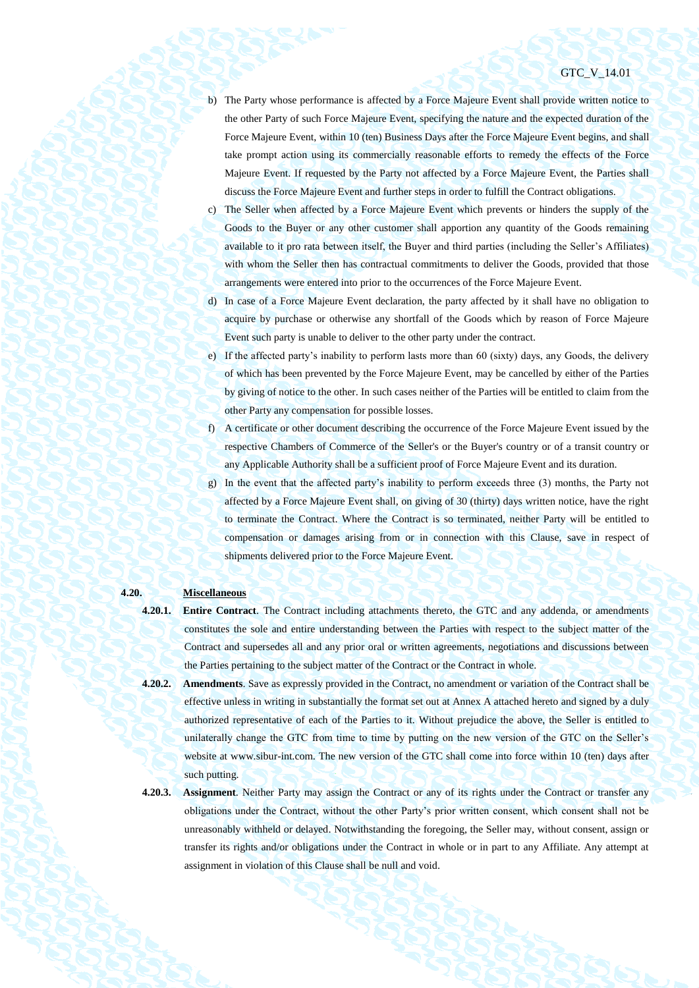- b) The Party whose performance is affected by a Force Majeure Event shall provide written notice to the other Party of such Force Majeure Event, specifying the nature and the expected duration of the Force Majeure Event, within 10 (ten) Business Days after the Force Majeure Event begins, and shall take prompt action using its commercially reasonable efforts to remedy the effects of the Force Majeure Event. If requested by the Party not affected by a Force Majeure Event, the Parties shall discuss the Force Majeure Event and further steps in order to fulfill the Contract obligations.
- c) The Seller when affected by a Force Majeure Event which prevents or hinders the supply of the Goods to the Buyer or any other customer shall apportion any quantity of the Goods remaining available to it pro rata between itself, the Buyer and third parties (including the Seller's Affiliates) with whom the Seller then has contractual commitments to deliver the Goods, provided that those arrangements were entered into prior to the occurrences of the Force Majeure Event.
- d) In case of a Force Majeure Event declaration, the party affected by it shall have no obligation to acquire by purchase or otherwise any shortfall of the Goods which by reason of Force Majeure Event such party is unable to deliver to the other party under the contract.
- e) If the affected party's inability to perform lasts more than 60 (sixty) days, any Goods, the delivery of which has been prevented by the Force Majeure Event, may be cancelled by either of the Parties by giving of notice to the other. In such cases neither of the Parties will be entitled to claim from the other Party any compensation for possible losses.
- f) A certificate or other document describing the occurrence of the Force Majeure Event issued by the respective Chambers of Commerce of the Seller's or the Buyer's country or of a transit country or any Applicable Authority shall be a sufficient proof of Force Majeure Event and its duration.
- g) In the event that the affected party's inability to perform exceeds three (3) months, the Party not affected by a Force Majeure Event shall, on giving of 30 (thirty) days written notice, have the right to terminate the Contract. Where the Contract is so terminated, neither Party will be entitled to compensation or damages arising from or in connection with this Clause, save in respect of shipments delivered prior to the Force Majeure Event.

#### **4.20. Miscellaneous**

- **4.20.1. Entire Contract**. The Contract including attachments thereto, the GTC and any addenda, or amendments constitutes the sole and entire understanding between the Parties with respect to the subject matter of the Contract and supersedes all and any prior oral or written agreements, negotiations and discussions between the Parties pertaining to the subject matter of the Contract or the Contract in whole.
- **4.20.2. Amendments**. Save as expressly provided in the Contract, no amendment or variation of the Contract shall be effective unless in writing in substantially the format set out at Annex A attached hereto and signed by a duly authorized representative of each of the Parties to it. Without prejudice the above, the Seller is entitled to unilaterally change the GTC from time to time by putting on the new version of the GTC on the Seller's website at www.sibur-int.com. The new version of the GTC shall come into force within 10 (ten) days after such putting.
- 

**4.20.3. Assignment**. Neither Party may assign the Contract or any of its rights under the Contract or transfer any obligations under the Contract, without the other Party's prior written consent, which consent shall not be unreasonably withheld or delayed. Notwithstanding the foregoing, the Seller may, without consent, assign or transfer its rights and/or obligations under the Contract in whole or in part to any Affiliate. Any attempt at assignment in violation of this Clause shall be null and void.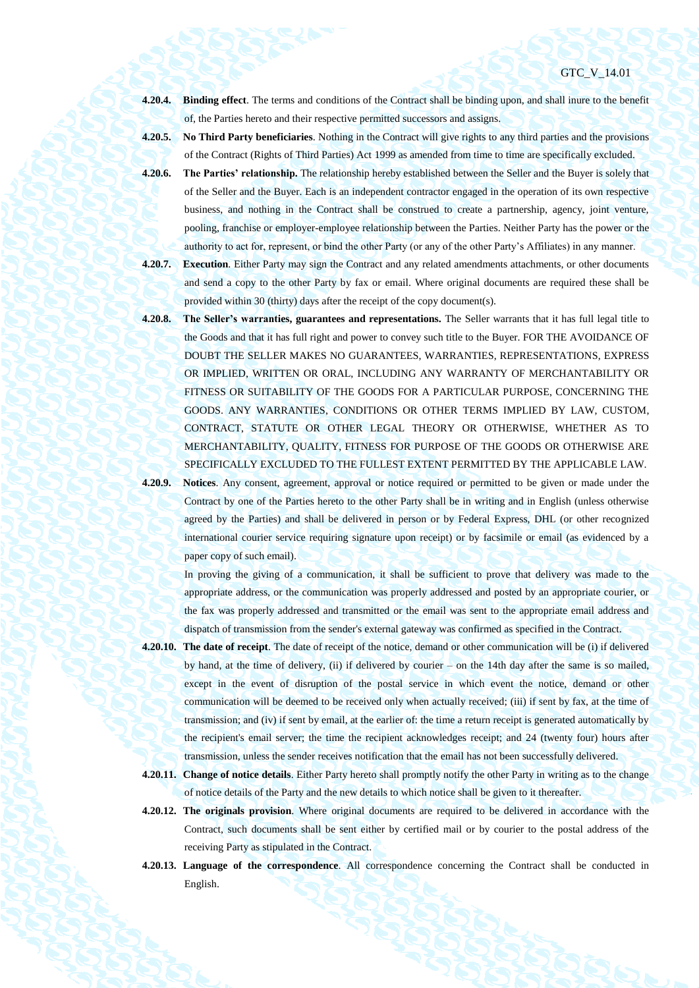- **4.20.4. Binding effect**. The terms and conditions of the Contract shall be binding upon, and shall inure to the benefit of, the Parties hereto and their respective permitted successors and assigns.
- **4.20.5. No Third Party beneficiaries**. Nothing in the Contract will give rights to any third parties and the provisions of the Contract (Rights of Third Parties) Act 1999 as amended from time to time are specifically excluded.
- **4.20.6. The Parties' relationship.** The relationship hereby established between the Seller and the Buyer is solely that of the Seller and the Buyer. Each is an independent contractor engaged in the operation of its own respective business, and nothing in the Contract shall be construed to create a partnership, agency, joint venture, pooling, franchise or employer-employee relationship between the Parties. Neither Party has the power or the authority to act for, represent, or bind the other Party (or any of the other Party's Affiliates) in any manner.
- **4.20.7. Execution**. Either Party may sign the Contract and any related amendments attachments, or other documents and send a copy to the other Party by fax or email. Where original documents are required these shall be provided within 30 (thirty) days after the receipt of the copy document(s).
- **4.20.8. The Seller's warranties, guarantees and representations.** The Seller warrants that it has full legal title to the Goods and that it has full right and power to convey such title to the Buyer. FOR THE AVOIDANCE OF DOUBT THE SELLER MAKES NO GUARANTEES, WARRANTIES, REPRESENTATIONS, EXPRESS OR IMPLIED, WRITTEN OR ORAL, INCLUDING ANY WARRANTY OF MERCHANTABILITY OR FITNESS OR SUITABILITY OF THE GOODS FOR A PARTICULAR PURPOSE, CONCERNING THE GOODS. ANY WARRANTIES, CONDITIONS OR OTHER TERMS IMPLIED BY LAW, CUSTOM, CONTRACT, STATUTE OR OTHER LEGAL THEORY OR OTHERWISE, WHETHER AS TO MERCHANTABILITY, QUALITY, FITNESS FOR PURPOSE OF THE GOODS OR OTHERWISE ARE SPECIFICALLY EXCLUDED TO THE FULLEST EXTENT PERMITTED BY THE APPLICABLE LAW.
- **4.20.9. Notices**. Any consent, agreement, approval or notice required or permitted to be given or made under the Contract by one of the Parties hereto to the other Party shall be in writing and in English (unless otherwise agreed by the Parties) and shall be delivered in person or by Federal Express, DHL (or other recognized international courier service requiring signature upon receipt) or by facsimile or email (as evidenced by a paper copy of such email).

In proving the giving of a communication, it shall be sufficient to prove that delivery was made to the appropriate address, or the communication was properly addressed and posted by an appropriate courier, or the fax was properly addressed and transmitted or the email was sent to the appropriate email address and dispatch of transmission from the sender's external gateway was confirmed as specified in the Contract.

- **4.20.10. The date of receipt**. The date of receipt of the notice, demand or other communication will be (i) if delivered by hand, at the time of delivery, (ii) if delivered by courier – on the 14th day after the same is so mailed, except in the event of disruption of the postal service in which event the notice, demand or other communication will be deemed to be received only when actually received; (iii) if sent by fax, at the time of transmission; and (iv) if sent by email, at the earlier of: the time a return receipt is generated automatically by the recipient's email server; the time the recipient acknowledges receipt; and 24 (twenty four) hours after transmission, unless the sender receives notification that the email has not been successfully delivered.
- **4.20.11. Change of notice details**. Either Party hereto shall promptly notify the other Party in writing as to the change of notice details of the Party and the new details to which notice shall be given to it thereafter.
- **4.20.12. The originals provision**. Where original documents are required to be delivered in accordance with the Contract, such documents shall be sent either by certified mail or by courier to the postal address of the receiving Party as stipulated in the Contract.
- **4.20.13. Language of the correspondence**. All correspondence concerning the Contract shall be conducted in English.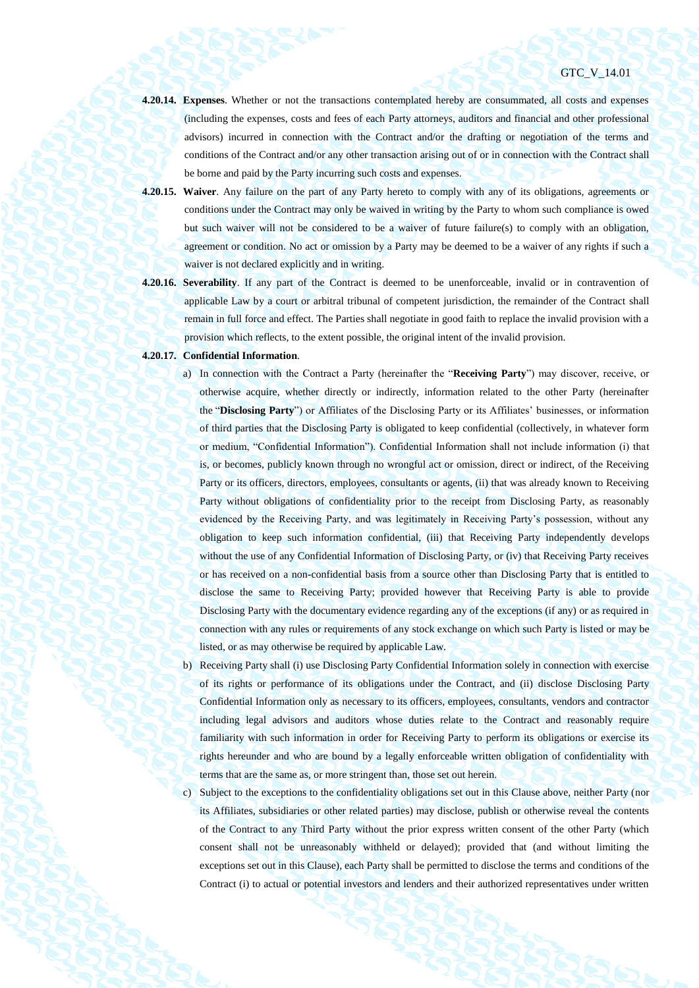- **4.20.14. Expenses**. Whether or not the transactions contemplated hereby are consummated, all costs and expenses (including the expenses, costs and fees of each Party attorneys, auditors and financial and other professional advisors) incurred in connection with the Contract and/or the drafting or negotiation of the terms and conditions of the Contract and/or any other transaction arising out of or in connection with the Contract shall be borne and paid by the Party incurring such costs and expenses.
- **4.20.15. Waiver**. Any failure on the part of any Party hereto to comply with any of its obligations, agreements or conditions under the Contract may only be waived in writing by the Party to whom such compliance is owed but such waiver will not be considered to be a waiver of future failure(s) to comply with an obligation, agreement or condition. No act or omission by a Party may be deemed to be a waiver of any rights if such a waiver is not declared explicitly and in writing.
- **4.20.16. Severability**. If any part of the Contract is deemed to be unenforceable, invalid or in contravention of applicable Law by a court or arbitral tribunal of competent jurisdiction, the remainder of the Contract shall remain in full force and effect. The Parties shall negotiate in good faith to replace the invalid provision with a provision which reflects, to the extent possible, the original intent of the invalid provision.

## **4.20.17. Confidential Information**.

- a) In connection with the Contract a Party (hereinafter the "**Receiving Party**") may discover, receive, or otherwise acquire, whether directly or indirectly, information related to the other Party (hereinafter the "**Disclosing Party**") or Affiliates of the Disclosing Party or its Affiliates' businesses, or information of third parties that the Disclosing Party is obligated to keep confidential (collectively, in whatever form or medium, "Confidential Information"). Confidential Information shall not include information (i) that is, or becomes, publicly known through no wrongful act or omission, direct or indirect, of the Receiving Party or its officers, directors, employees, consultants or agents, (ii) that was already known to Receiving Party without obligations of confidentiality prior to the receipt from Disclosing Party, as reasonably evidenced by the Receiving Party, and was legitimately in Receiving Party's possession, without any obligation to keep such information confidential, (iii) that Receiving Party independently develops without the use of any Confidential Information of Disclosing Party, or (iv) that Receiving Party receives or has received on a non-confidential basis from a source other than Disclosing Party that is entitled to disclose the same to Receiving Party; provided however that Receiving Party is able to provide Disclosing Party with the documentary evidence regarding any of the exceptions (if any) or as required in connection with any rules or requirements of any stock exchange on which such Party is listed or may be listed, or as may otherwise be required by applicable Law.
- b) Receiving Party shall (i) use Disclosing Party Confidential Information solely in connection with exercise of its rights or performance of its obligations under the Contract, and (ii) disclose Disclosing Party Confidential Information only as necessary to its officers, employees, consultants, vendors and contractor including legal advisors and auditors whose duties relate to the Contract and reasonably require familiarity with such information in order for Receiving Party to perform its obligations or exercise its rights hereunder and who are bound by a legally enforceable written obligation of confidentiality with terms that are the same as, or more stringent than, those set out herein.
- c) Subject to the exceptions to the confidentiality obligations set out in this Clause above, neither Party (nor its Affiliates, subsidiaries or other related parties) may disclose, publish or otherwise reveal the contents of the Contract to any Third Party without the prior express written consent of the other Party (which consent shall not be unreasonably withheld or delayed); provided that (and without limiting the exceptions set out in this Clause), each Party shall be permitted to disclose the terms and conditions of the Contract (i) to actual or potential investors and lenders and their authorized representatives under written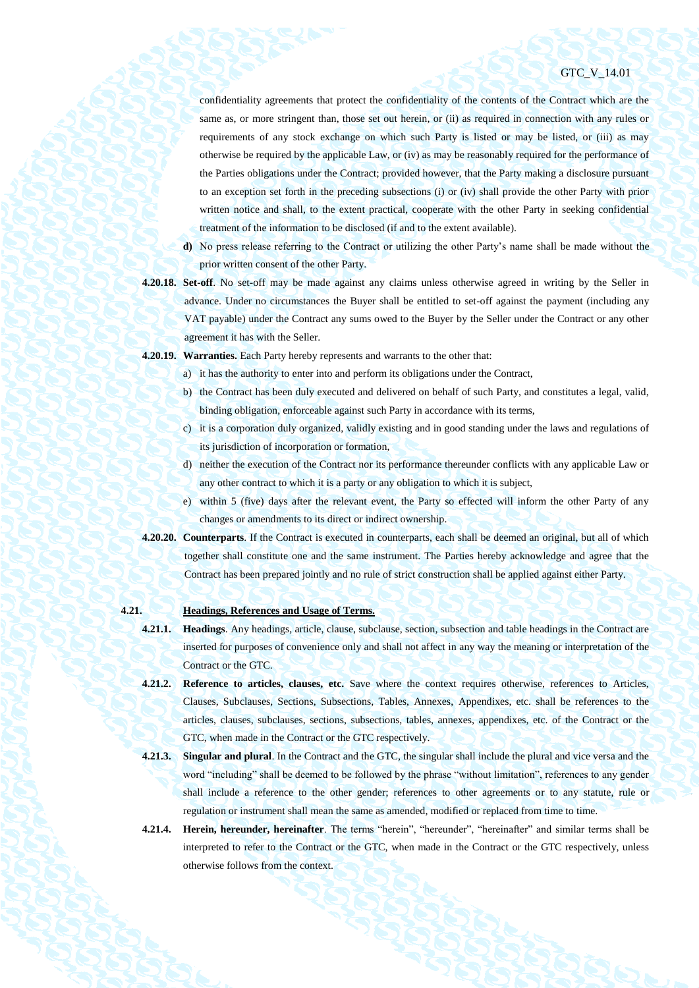confidentiality agreements that protect the confidentiality of the contents of the Contract which are the same as, or more stringent than, those set out herein, or (ii) as required in connection with any rules or requirements of any stock exchange on which such Party is listed or may be listed, or (iii) as may otherwise be required by the applicable Law, or (iv) as may be reasonably required for the performance of the Parties obligations under the Contract; provided however, that the Party making a disclosure pursuant to an exception set forth in the preceding subsections (i) or (iv) shall provide the other Party with prior written notice and shall, to the extent practical, cooperate with the other Party in seeking confidential treatment of the information to be disclosed (if and to the extent available).

- **d)** No press release referring to the Contract or utilizing the other Party's name shall be made without the prior written consent of the other Party.
- **4.20.18. Set-off**. No set-off may be made against any claims unless otherwise agreed in writing by the Seller in advance. Under no circumstances the Buyer shall be entitled to set-off against the payment (including any VAT payable) under the Contract any sums owed to the Buyer by the Seller under the Contract or any other agreement it has with the Seller.
- **4.20.19. Warranties.** Each Party hereby represents and warrants to the other that:
	- a) it has the authority to enter into and perform its obligations under the Contract,
	- b) the Contract has been duly executed and delivered on behalf of such Party, and constitutes a legal, valid, binding obligation, enforceable against such Party in accordance with its terms,
	- c) it is a corporation duly organized, validly existing and in good standing under the laws and regulations of its jurisdiction of incorporation or formation,
	- d) neither the execution of the Contract nor its performance thereunder conflicts with any applicable Law or any other contract to which it is a party or any obligation to which it is subject,
	- e) within 5 (five) days after the relevant event, the Party so effected will inform the other Party of any changes or amendments to its direct or indirect ownership.
- **4.20.20. Counterparts**. If the Contract is executed in counterparts, each shall be deemed an original, but all of which together shall constitute one and the same instrument. The Parties hereby acknowledge and agree that the Contract has been prepared jointly and no rule of strict construction shall be applied against either Party.

# **4.21. Headings, References and Usage of Terms.**

- **4.21.1. Headings**. Any headings, article, clause, subclause, section, subsection and table headings in the Contract are inserted for purposes of convenience only and shall not affect in any way the meaning or interpretation of the Contract or the GTC.
- **4.21.2. Reference to articles, clauses, etc.** Save where the context requires otherwise, references to Articles, Clauses, Subclauses, Sections, Subsections, Tables, Annexes, Appendixes, etc. shall be references to the articles, clauses, subclauses, sections, subsections, tables, annexes, appendixes, etc. of the Contract or the GTC, when made in the Contract or the GTC respectively.
- **4.21.3. Singular and plural**. In the Contract and the GTC, the singular shall include the plural and vice versa and the word "including" shall be deemed to be followed by the phrase "without limitation", references to any gender shall include a reference to the other gender; references to other agreements or to any statute, rule or regulation or instrument shall mean the same as amended, modified or replaced from time to time.
- **4.21.4. Herein, hereunder, hereinafter**. The terms "herein", "hereunder", "hereinafter" and similar terms shall be interpreted to refer to the Contract or the GTC, when made in the Contract or the GTC respectively, unless otherwise follows from the context.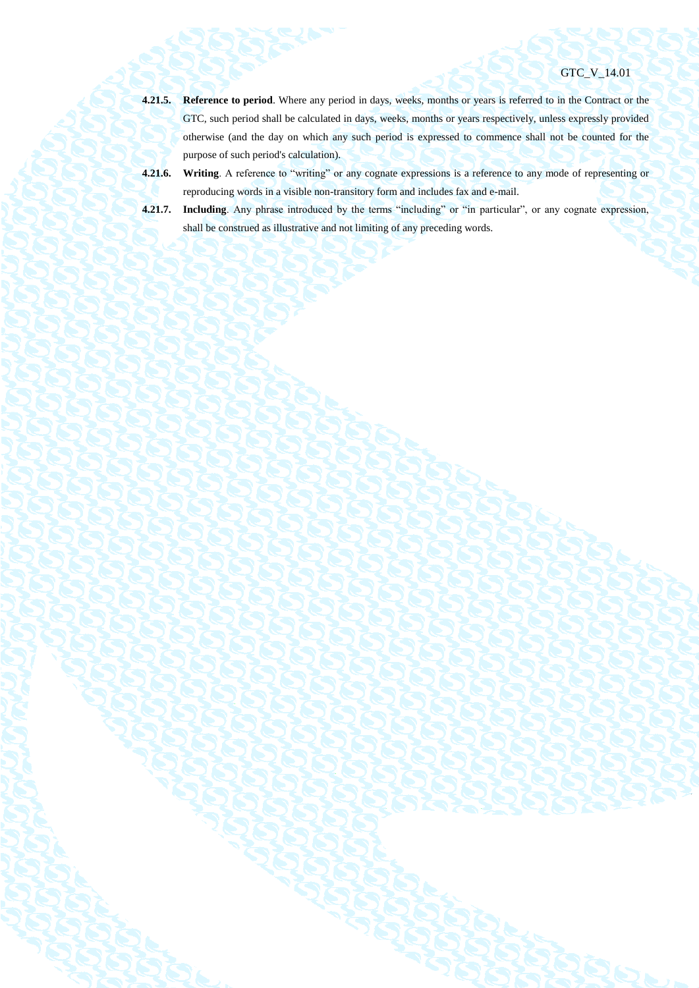- **4.21.5. Reference to period**. Where any period in days, weeks, months or years is referred to in the Contract or the GTC, such period shall be calculated in days, weeks, months or years respectively, unless expressly provided otherwise (and the day on which any such period is expressed to commence shall not be counted for the purpose of such period's calculation).
- **4.21.6. Writing**. A reference to "writing" or any cognate expressions is a reference to any mode of representing or reproducing words in a visible non-transitory form and includes fax and e-mail.
- **4.21.7. Including**. Any phrase introduced by the terms "including" or "in particular", or any cognate expression, shall be construed as illustrative and not limiting of any preceding words.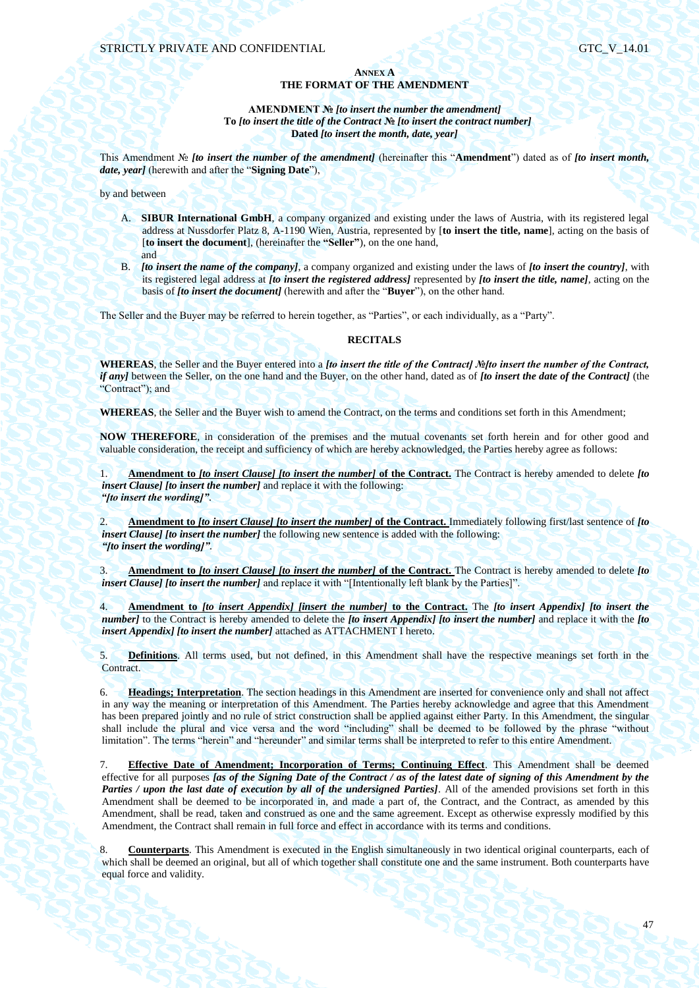# **ANNEX A THE FORMAT OF THE AMENDMENT**

# **AMENDMENT №** *[to insert the number the amendment]* **To** *[to insert the title of the Contract* **№** *[to insert the contract number]* **Dated** *[to insert the month, date, year]*

This Amendment № *[to insert the number of the amendment]* (hereinafter this "**Amendment**") dated as of *[to insert month, date, year]* (herewith and after the "**Signing Date**"),

by and between

- A. **SIBUR International GmbH**, a company organized and existing under the laws of Austria, with its registered legal address at Nussdorfer Platz 8, A-1190 Wien, Austria, represented by [**to insert the title, name**], acting on the basis of [**to insert the document**], (hereinafter the **"Seller"**), on the one hand, and
- B. *[to insert the name of the company]*, a company organized and existing under the laws of *[to insert the country]*, with its registered legal address at *[to insert the registered address]* represented by *[to insert the title, name]*, acting on the basis of *[to insert the document]* (herewith and after the "**Buyer**"), on the other hand.

The Seller and the Buyer may be referred to herein together, as "Parties", or each individually, as a "Party".

# **RECITALS**

**WHEREAS**, the Seller and the Buyer entered into a *[to insert the title of the Contract] №[to insert the number of the Contract, if any]* between the Seller, on the one hand and the Buyer, on the other hand, dated as of *[to insert the date of the Contract]* (the "Contract"); and

**WHEREAS**, the Seller and the Buyer wish to amend the Contract, on the terms and conditions set forth in this Amendment;

**NOW THEREFORE**, in consideration of the premises and the mutual covenants set forth herein and for other good and valuable consideration, the receipt and sufficiency of which are hereby acknowledged, the Parties hereby agree as follows:

1. **Amendment to** *[to insert Clause] [to insert the number]* **of the Contract.** The Contract is hereby amended to delete *[to insert Clause] [to insert the number]* and replace it with the following: *"[to insert the wording]"*.

2. **Amendment to** *[to insert Clause] [to insert the number]* **of the Contract.** Immediately following first/last sentence of *[to insert Clause] [to insert the number]* the following new sentence is added with the following: *"[to insert the wording]"*.

3. **Amendment to** *[to insert Clause] [to insert the number]* **of the Contract.** The Contract is hereby amended to delete *[to insert Clause] [to insert the number]* and replace it with "[Intentionally left blank by the Parties]".

4. **Amendment to** *[to insert Appendix] [insert the number]* **to the Contract.** The *[to insert Appendix] [to insert the number]* to the Contract is hereby amended to delete the *[to insert Appendix] [to insert the number]* and replace it with the *[to insert Appendix] [to insert the number]* attached as ATTACHMENT I hereto.

5. **Definitions**. All terms used, but not defined, in this Amendment shall have the respective meanings set forth in the Contract.

6. **Headings; Interpretation**. The section headings in this Amendment are inserted for convenience only and shall not affect in any way the meaning or interpretation of this Amendment. The Parties hereby acknowledge and agree that this Amendment has been prepared jointly and no rule of strict construction shall be applied against either Party. In this Amendment, the singular shall include the plural and vice versa and the word "including" shall be deemed to be followed by the phrase "without limitation". The terms "herein" and "hereunder" and similar terms shall be interpreted to refer to this entire Amendment.

7. **Effective Date of Amendment; Incorporation of Terms; Continuing Effect**. This Amendment shall be deemed effective for all purposes *[as of the Signing Date of the Contract / as of the latest date of signing of this Amendment by the Parties / upon the last date of execution by all of the undersigned Parties]*. All of the amended provisions set forth in this Amendment shall be deemed to be incorporated in, and made a part of, the Contract, and the Contract, as amended by this Amendment, shall be read, taken and construed as one and the same agreement. Except as otherwise expressly modified by this Amendment, the Contract shall remain in full force and effect in accordance with its terms and conditions.

8. **Counterparts**. This Amendment is executed in the English simultaneously in two identical original counterparts, each of which shall be deemed an original, but all of which together shall constitute one and the same instrument. Both counterparts have equal force and validity.